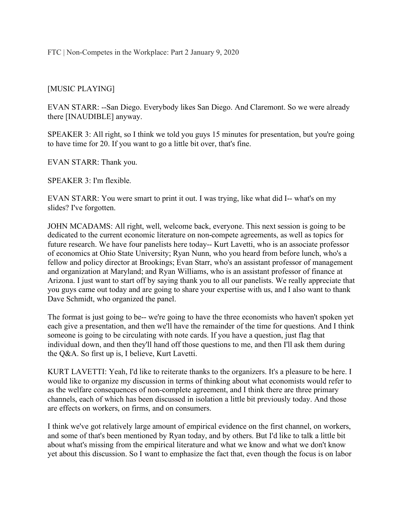FTC | Non-Competes in the Workplace: Part 2 January 9, 2020

## [MUSIC PLAYING]

 EVAN STARR: --San Diego. Everybody likes San Diego. And Claremont. So we were already there [INAUDIBLE] anyway.

 SPEAKER 3: All right, so I think we told you guys 15 minutes for presentation, but you're going to have time for 20. If you want to go a little bit over, that's fine.

EVAN STARR: Thank you.

SPEAKER 3: I'm flexible.

 EVAN STARR: You were smart to print it out. I was trying, like what did I-- what's on my slides? I've forgotten.

 JOHN MCADAMS: All right, well, welcome back, everyone. This next session is going to be dedicated to the current economic literature on non-compete agreements, as well as topics for future research. We have four panelists here today-- Kurt Lavetti, who is an associate professor of economics at Ohio State University; Ryan Nunn, who you heard from before lunch, who's a fellow and policy director at Brookings; Evan Starr, who's an assistant professor of management and organization at Maryland; and Ryan Williams, who is an assistant professor of finance at Arizona. I just want to start off by saying thank you to all our panelists. We really appreciate that you guys came out today and are going to share your expertise with us, and I also want to thank Dave Schmidt, who organized the panel.

 The format is just going to be-- we're going to have the three economists who haven't spoken yet each give a presentation, and then we'll have the remainder of the time for questions. And I think someone is going to be circulating with note cards. If you have a question, just flag that individual down, and then they'll hand off those questions to me, and then I'll ask them during the Q&A. So first up is, I believe, Kurt Lavetti.

 KURT LAVETTI: Yeah, I'd like to reiterate thanks to the organizers. It's a pleasure to be here. I would like to organize my discussion in terms of thinking about what economists would refer to as the welfare consequences of non-complete agreement, and I think there are three primary channels, each of which has been discussed in isolation a little bit previously today. And those are effects on workers, on firms, and on consumers.

 I think we've got relatively large amount of empirical evidence on the first channel, on workers, and some of that's been mentioned by Ryan today, and by others. But I'd like to talk a little bit about what's missing from the empirical literature and what we know and what we don't know yet about this discussion. So I want to emphasize the fact that, even though the focus is on labor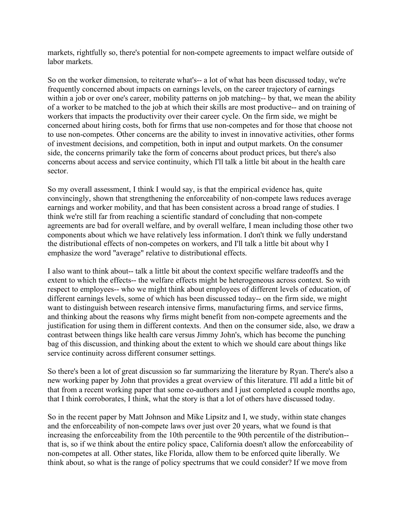markets, rightfully so, there's potential for non-compete agreements to impact welfare outside of labor markets.

 So on the worker dimension, to reiterate what's-- a lot of what has been discussed today, we're frequently concerned about impacts on earnings levels, on the career trajectory of earnings within a job or over one's career, mobility patterns on job matching-- by that, we mean the ability of a worker to be matched to the job at which their skills are most productive-- and on training of workers that impacts the productivity over their career cycle. On the firm side, we might be concerned about hiring costs, both for firms that use non-competes and for those that choose not to use non-competes. Other concerns are the ability to invest in innovative activities, other forms of investment decisions, and competition, both in input and output markets. On the consumer side, the concerns primarily take the form of concerns about product prices, but there's also concerns about access and service continuity, which I'll talk a little bit about in the health care sector.

sector.<br>So my overall assessment, I think I would say, is that the empirical evidence has, quite convincingly, shown that strengthening the enforceability of non-compete laws reduces average earnings and worker mobility, and that has been consistent across a broad range of studies. I think we're still far from reaching a scientific standard of concluding that non-compete agreements are bad for overall welfare, and by overall welfare, I mean including those other two components about which we have relatively less information. I don't think we fully understand the distributional effects of non-competes on workers, and I'll talk a little bit about why I emphasize the word "average" relative to distributional effects.

 I also want to think about-- talk a little bit about the context specific welfare tradeoffs and the extent to which the effects-- the welfare effects might be heterogeneous across context. So with respect to employees-- who we might think about employees of different levels of education, of different earnings levels, some of which has been discussed today-- on the firm side, we might want to distinguish between research intensive firms, manufacturing firms, and service firms, and thinking about the reasons why firms might benefit from non-compete agreements and the justification for using them in different contexts. And then on the consumer side, also, we draw a contrast between things like health care versus Jimmy John's, which has become the punching bag of this discussion, and thinking about the extent to which we should care about things like service continuity across different consumer settings.

 So there's been a lot of great discussion so far summarizing the literature by Ryan. There's also a new working paper by John that provides a great overview of this literature. I'll add a little bit of that from a recent working paper that some co-authors and I just completed a couple months ago, that I think corroborates, I think, what the story is that a lot of others have discussed today.

 So in the recent paper by Matt Johnson and Mike Lipsitz and I, we study, within state changes and the enforceability of non-compete laws over just over 20 years, what we found is that increasing the enforceability from the 10th percentile to the 90th percentile of the distribution-- that is, so if we think about the entire policy space, California doesn't allow the enforceability of non-competes at all. Other states, like Florida, allow them to be enforced quite liberally. We think about, so what is the range of policy spectrums that we could consider? If we move from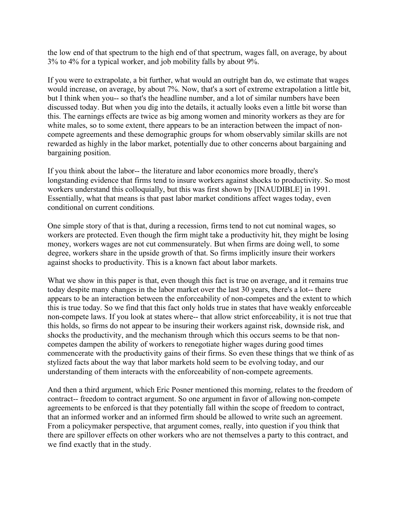the low end of that spectrum to the high end of that spectrum, wages fall, on average, by about 3% to 4% for a typical worker, and job mobility falls by about 9%.

 If you were to extrapolate, a bit further, what would an outright ban do, we estimate that wages would increase, on average, by about 7%. Now, that's a sort of extreme extrapolation a little bit, but I think when you-- so that's the headline number, and a lot of similar numbers have been discussed today. But when you dig into the details, it actually looks even a little bit worse than this. The earnings effects are twice as big among women and minority workers as they are for white males, so to some extent, there appears to be an interaction between the impact of non- compete agreements and these demographic groups for whom observably similar skills are not rewarded as highly in the labor market, potentially due to other concerns about bargaining and bargaining position.

 If you think about the labor-- the literature and labor economics more broadly, there's longstanding evidence that firms tend to insure workers against shocks to productivity. So most workers understand this colloquially, but this was first shown by [INAUDIBLE] in 1991. Essentially, what that means is that past labor market conditions affect wages today, even conditional on current conditions.

 One simple story of that is that, during a recession, firms tend to not cut nominal wages, so workers are protected. Even though the firm might take a productivity hit, they might be losing money, workers wages are not cut commensurately. But when firms are doing well, to some degree, workers share in the upside growth of that. So firms implicitly insure their workers against shocks to productivity. This is a known fact about labor markets.

 What we show in this paper is that, even though this fact is true on average, and it remains true today despite many changes in the labor market over the last 30 years, there's a lot-- there appears to be an interaction between the enforceability of non-competes and the extent to which this is true today. So we find that this fact only holds true in states that have weakly enforceable non-compete laws. If you look at states where-- that allow strict enforceability, it is not true that this holds, so firms do not appear to be insuring their workers against risk, downside risk, and shocks the productivity, and the mechanism through which this occurs seems to be that non- competes dampen the ability of workers to renegotiate higher wages during good times commencerate with the productivity gains of their firms. So even these things that we think of as stylized facts about the way that labor markets hold seem to be evolving today, and our understanding of them interacts with the enforceability of non-compete agreements.

 And then a third argument, which Eric Posner mentioned this morning, relates to the freedom of contract-- freedom to contract argument. So one argument in favor of allowing non-compete agreements to be enforced is that they potentially fall within the scope of freedom to contract, that an informed worker and an informed firm should be allowed to write such an agreement. From a policymaker perspective, that argument comes, really, into question if you think that there are spillover effects on other workers who are not themselves a party to this contract, and we find exactly that in the study.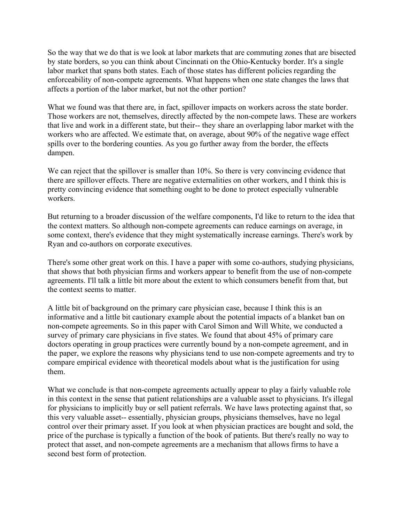So the way that we do that is we look at labor markets that are commuting zones that are bisected by state borders, so you can think about Cincinnati on the Ohio-Kentucky border. It's a single labor market that spans both states. Each of those states has different policies regarding the enforceability of non-compete agreements. What happens when one state changes the laws that affects a portion of the labor market, but not the other portion?

 What we found was that there are, in fact, spillover impacts on workers across the state border. Those workers are not, themselves, directly affected by the non-compete laws. These are workers that live and work in a different state, but their-- they share an overlapping labor market with the workers who are affected. We estimate that, on average, about 90% of the negative wage effect spills over to the bordering counties. As you go further away from the border, the effects dampen.

dampen.<br>We can reject that the spillover is smaller than 10%. So there is very convincing evidence that there are spillover effects. There are negative externalities on other workers, and I think this is pretty convincing evidence that something ought to be done to protect especially vulnerable workers.

workers.<br>But returning to a broader discussion of the welfare components, I'd like to return to the idea that the context matters. So although non-compete agreements can reduce earnings on average, in some context, there's evidence that they might systematically increase earnings. There's work by Ryan and co-authors on corporate executives.

 There's some other great work on this. I have a paper with some co-authors, studying physicians, that shows that both physician firms and workers appear to benefit from the use of non-compete agreements. I'll talk a little bit more about the extent to which consumers benefit from that, but the context seems to matter.

 A little bit of background on the primary care physician case, because I think this is an informative and a little bit cautionary example about the potential impacts of a blanket ban on non-compete agreements. So in this paper with Carol Simon and Will White, we conducted a survey of primary care physicians in five states. We found that about 45% of primary care doctors operating in group practices were currently bound by a non-compete agreement, and in the paper, we explore the reasons why physicians tend to use non-compete agreements and try to compare empirical evidence with theoretical models about what is the justification for using them.

 What we conclude is that non-compete agreements actually appear to play a fairly valuable role in this context in the sense that patient relationships are a valuable asset to physicians. It's illegal for physicians to implicitly buy or sell patient referrals. We have laws protecting against that, so this very valuable asset-- essentially, physician groups, physicians themselves, have no legal control over their primary asset. If you look at when physician practices are bought and sold, the price of the purchase is typically a function of the book of patients. But there's really no way to protect that asset, and non-compete agreements are a mechanism that allows firms to have a second best form of protection.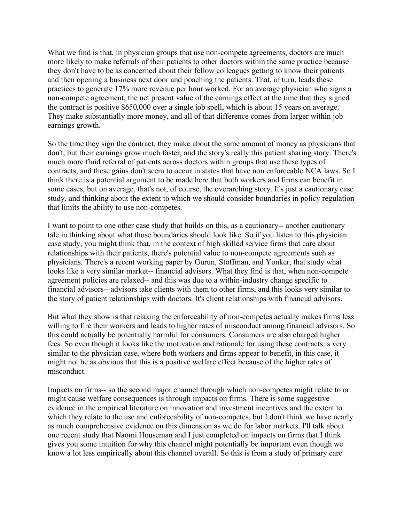What we find is that, in physician groups that use non-compete agreements, doctors are much more likely to make referrals of their patients to other doctors within the same practice because they don't have to be as concerned about their fellow colleagues getting to know their patients and then opening a business next door and poaching the patients. That, in turn, leads these practices to generate 17% more revenue per hour worked. For an average physician who signs a non-compete agreement, the net present value of the earnings effect at the time that they signed the contract is positive \$650,000 over a single job spell, which is about 15 years on average. They make substantially more money, and all of that difference comes from larger within job earnings growth.

 So the time they sign the contract, they make about the same amount of money as physicians that don't, but their earnings grow much faster, and the story's really this patient sharing story. There's much more fluid referral of patients across doctors within groups that use these types of contracts, and these gains don't seem to occur in states that have non enforceable NCA laws. So I think there is a potential argument to be made here that both workers and firms can benefit in some cases, but on average, that's not, of course, the overarching story. It's just a cautionary case study, and thinking about the extent to which we should consider boundaries in policy regulation that limits the ability to use non-competes.

 I want to point to one other case study that builds on this, as a cautionary-- another cautionary tale in thinking about what those boundaries should look like. So if you listen to this physician case study, you might think that, in the context of high skilled service firms that care about relationships with their patients, there's potential value to non-compete agreements such as physicians. There's a recent working paper by Gurun, Stoffman, and Yonker, that study what looks like a very similar market-- financial advisors. What they find is that, when non-compete agreement policies are relaxed-- and this was due to a within-industry change specific to financial advisors-- advisors take clients with them to other firms, and this looks very similar to the story of patient relationships with doctors. It's client relationships with financial advisors.

 But what they show is that relaxing the enforceability of non-competes actually makes firms less willing to fire their workers and leads to higher rates of misconduct among financial advisors. So this could actually be potentially harmful for consumers. Consumers are also charged higher fees. So even though it looks like the motivation and rationale for using these contracts is very similar to the physician case, where both workers and firms appear to benefit, in this case, it might not be as obvious that this is a positive welfare effect because of the higher rates of misconduct.

misconduct.<br>Impacts on firms-- so the second major channel through which non-competes might relate to or might cause welfare consequences is through impacts on firms. There is some suggestive evidence in the empirical literature on innovation and investment incentives and the extent to which they relate to the use and enforceability of non-competes, but I don't think we have nearly as much comprehensive evidence on this dimension as we do for labor markets. I'll talk about one recent study that Naomi Houseman and I just completed on impacts on firms that I think gives you some intuition for why this channel might potentially be important even though we know a lot less empirically about this channel overall. So this is from a study of primary care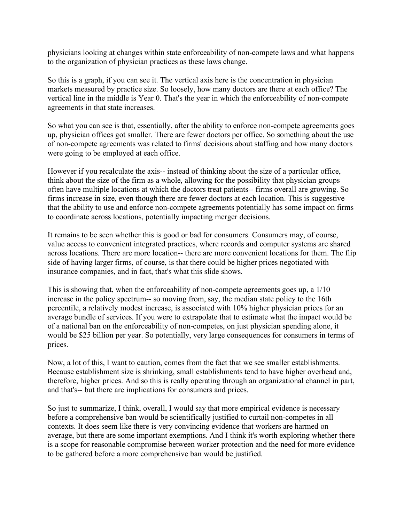physicians looking at changes within state enforceability of non-compete laws and what happens to the organization of physician practices as these laws change.

 So this is a graph, if you can see it. The vertical axis here is the concentration in physician markets measured by practice size. So loosely, how many doctors are there at each office? The vertical line in the middle is Year 0. That's the year in which the enforceability of non-compete agreements in that state increases.

 So what you can see is that, essentially, after the ability to enforce non-compete agreements goes up, physician offices got smaller. There are fewer doctors per office. So something about the use of non-compete agreements was related to firms' decisions about staffing and how many doctors were going to be employed at each office.

 However if you recalculate the axis-- instead of thinking about the size of a particular office, think about the size of the firm as a whole, allowing for the possibility that physician groups often have multiple locations at which the doctors treat patients-- firms overall are growing. So firms increase in size, even though there are fewer doctors at each location. This is suggestive that the ability to use and enforce non-compete agreements potentially has some impact on firms to coordinate across locations, potentially impacting merger decisions.

 It remains to be seen whether this is good or bad for consumers. Consumers may, of course, value access to convenient integrated practices, where records and computer systems are shared across locations. There are more location-- there are more convenient locations for them. The flip side of having larger firms, of course, is that there could be higher prices negotiated with insurance companies, and in fact, that's what this slide shows.

 This is showing that, when the enforceability of non-compete agreements goes up, a 1/10 increase in the policy spectrum-- so moving from, say, the median state policy to the 16th percentile, a relatively modest increase, is associated with 10% higher physician prices for an average bundle of services. If you were to extrapolate that to estimate what the impact would be of a national ban on the enforceability of non-competes, on just physician spending alone, it would be \$25 billion per year. So potentially, very large consequences for consumers in terms of prices.

prices.<br>Now, a lot of this, I want to caution, comes from the fact that we see smaller establishments. Because establishment size is shrinking, small establishments tend to have higher overhead and, therefore, higher prices. And so this is really operating through an organizational channel in part, and that's-- but there are implications for consumers and prices.

 So just to summarize, I think, overall, I would say that more empirical evidence is necessary before a comprehensive ban would be scientifically justified to curtail non-competes in all contexts. It does seem like there is very convincing evidence that workers are harmed on average, but there are some important exemptions. And I think it's worth exploring whether there is a scope for reasonable compromise between worker protection and the need for more evidence to be gathered before a more comprehensive ban would be justified.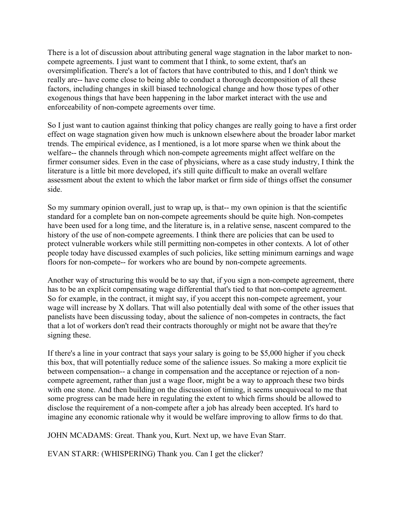There is a lot of discussion about attributing general wage stagnation in the labor market to non- compete agreements. I just want to comment that I think, to some extent, that's an oversimplification. There's a lot of factors that have contributed to this, and I don't think we really are-- have come close to being able to conduct a thorough decomposition of all these factors, including changes in skill biased technological change and how those types of other exogenous things that have been happening in the labor market interact with the use and enforceability of non-compete agreements over time.

 So I just want to caution against thinking that policy changes are really going to have a first order effect on wage stagnation given how much is unknown elsewhere about the broader labor market trends. The empirical evidence, as I mentioned, is a lot more sparse when we think about the welfare-- the channels through which non-compete agreements might affect welfare on the firmer consumer sides. Even in the case of physicians, where as a case study industry, I think the literature is a little bit more developed, it's still quite difficult to make an overall welfare assessment about the extent to which the labor market or firm side of things offset the consumer side.

side.<br>So my summary opinion overall, just to wrap up, is that-- my own opinion is that the scientific standard for a complete ban on non-compete agreements should be quite high. Non-competes have been used for a long time, and the literature is, in a relative sense, nascent compared to the history of the use of non-compete agreements. I think there are policies that can be used to protect vulnerable workers while still permitting non-competes in other contexts. A lot of other people today have discussed examples of such policies, like setting minimum earnings and wage floors for non-compete-- for workers who are bound by non-compete agreements.

 Another way of structuring this would be to say that, if you sign a non-compete agreement, there has to be an explicit compensating wage differential that's tied to that non-compete agreement. So for example, in the contract, it might say, if you accept this non-compete agreement, your wage will increase by X dollars. That will also potentially deal with some of the other issues that panelists have been discussing today, about the salience of non-competes in contracts, the fact that a lot of workers don't read their contracts thoroughly or might not be aware that they're signing these.

signing these.<br>If there's a line in your contract that says your salary is going to be \$5,000 higher if you check this box, that will potentially reduce some of the salience issues. So making a more explicit tie between compensation-- a change in compensation and the acceptance or rejection of a non- compete agreement, rather than just a wage floor, might be a way to approach these two birds with one stone. And then building on the discussion of timing, it seems unequivocal to me that some progress can be made here in regulating the extent to which firms should be allowed to disclose the requirement of a non-compete after a job has already been accepted. It's hard to imagine any economic rationale why it would be welfare improving to allow firms to do that.

JOHN MCADAMS: Great. Thank you, Kurt. Next up, we have Evan Starr.

EVAN STARR: (WHISPERING) Thank you. Can I get the clicker?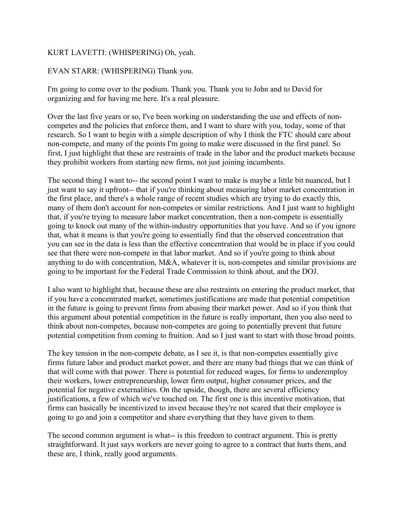## KURT LAVETTI: (WHISPERING) Oh, yeah.

### EVAN STARR: (WHISPERING) Thank you.

 I'm going to come over to the podium. Thank you. Thank you to John and to David for organizing and for having me here. It's a real pleasure.

 Over the last five years or so, I've been working on understanding the use and effects of non- competes and the policies that enforce them, and I want to share with you, today, some of that research. So I want to begin with a simple description of why I think the FTC should care about non-compete, and many of the points I'm going to make were discussed in the first panel. So first, I just highlight that these are restraints of trade in the labor and the product markets because they prohibit workers from starting new firms, not just joining incumbents.

 The second thing I want to-- the second point I want to make is maybe a little bit nuanced, but I just want to say it upfront-- that if you're thinking about measuring labor market concentration in the first place, and there's a whole range of recent studies which are trying to do exactly this, many of them don't account for non-competes or similar restrictions. And I just want to highlight that, if you're trying to measure labor market concentration, then a non-compete is essentially going to knock out many of the within-industry opportunities that you have. And so if you ignore that, what it means is that you're going to essentially find that the observed concentration that you can see in the data is less than the effective concentration that would be in place if you could see that there were non-compete in that labor market. And so if you're going to think about anything to do with concentration, M&A, whatever it is, non-competes and similar provisions are going to be important for the Federal Trade Commission to think about, and the DOJ.

 I also want to highlight that, because these are also restraints on entering the product market, that if you have a concentrated market, sometimes justifications are made that potential competition in the future is going to prevent firms from abusing their market power. And so if you think that this argument about potential competition in the future is really important, then you also need to think about non-competes, because non-competes are going to potentially prevent that future potential competition from coming to fruition. And so I just want to start with those broad points.

 The key tension in the non-compete debate, as I see it, is that non-competes essentially give firms future labor and product market power, and there are many bad things that we can think of that will come with that power. There is potential for reduced wages, for firms to underemploy their workers, lower entrepreneurship, lower firm output, higher consumer prices, and the potential for negative externalities. On the upside, though, there are several efficiency justifications, a few of which we've touched on. The first one is this incentive motivation, that firms can basically be incentivized to invest because they're not scared that their employee is going to go and join a competitor and share everything that they have given to them.

 The second common argument is what-- is this freedom to contract argument. This is pretty straightforward. It just says workers are never going to agree to a contract that hurts them, and these are, I think, really good arguments.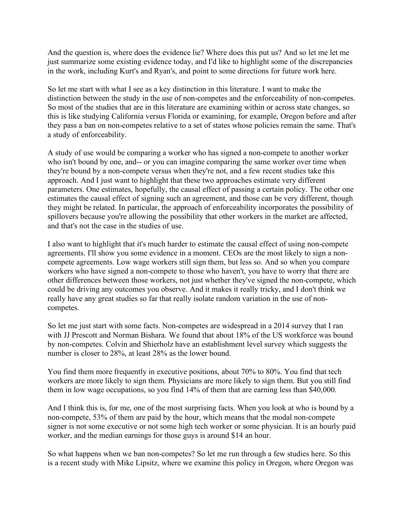And the question is, where does the evidence lie? Where does this put us? And so let me let me just summarize some existing evidence today, and I'd like to highlight some of the discrepancies in the work, including Kurt's and Ryan's, and point to some directions for future work here.

 So let me start with what I see as a key distinction in this literature. I want to make the distinction between the study in the use of non-competes and the enforceability of non-competes. So most of the studies that are in this literature are examining within or across state changes, so this is like studying California versus Florida or examining, for example, Oregon before and after they pass a ban on non-competes relative to a set of states whose policies remain the same. That's a study of enforceability.

 A study of use would be comparing a worker who has signed a non-compete to another worker who isn't bound by one, and-- or you can imagine comparing the same worker over time when they're bound by a non-compete versus when they're not, and a few recent studies take this approach. And I just want to highlight that these two approaches estimate very different parameters. One estimates, hopefully, the causal effect of passing a certain policy. The other one estimates the causal effect of signing such an agreement, and those can be very different, though they might be related. In particular, the approach of enforceability incorporates the possibility of spillovers because you're allowing the possibility that other workers in the market are affected, and that's not the case in the studies of use.

 I also want to highlight that it's much harder to estimate the causal effect of using non-compete agreements. I'll show you some evidence in a moment. CEOs are the most likely to sign a non- compete agreements. Low wage workers still sign them, but less so. And so when you compare workers who have signed a non-compete to those who haven't, you have to worry that there are other differences between those workers, not just whether they've signed the non-compete, which could be driving any outcomes you observe. And it makes it really tricky, and I don't think we really have any great studies so far that really isolate random variation in the use of noncompetes.

competes.<br>So let me just start with some facts. Non-competes are widespread in a 2014 survey that I ran with JJ Prescott and Norman Bishara. We found that about 18% of the US workforce was bound by non-competes. Colvin and Shierholz have an establishment level survey which suggests the number is closer to 28%, at least 28% as the lower bound.

 You find them more frequently in executive positions, about 70% to 80%. You find that tech workers are more likely to sign them. Physicians are more likely to sign them. But you still find them in low wage occupations, so you find 14% of them that are earning less than \$40,000.

 And I think this is, for me, one of the most surprising facts. When you look at who is bound by a non-compete, 53% of them are paid by the hour, which means that the modal non-compete signer is not some executive or not some high tech worker or some physician. It is an hourly paid worker, and the median earnings for those guys is around \$14 an hour.

 So what happens when we ban non-competes? So let me run through a few studies here. So this is a recent study with Mike Lipsitz, where we examine this policy in Oregon, where Oregon was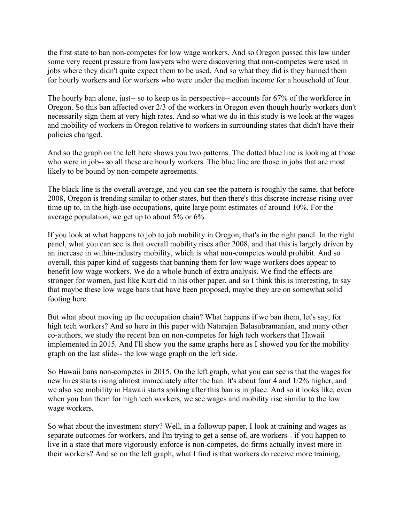the first state to ban non-competes for low wage workers. And so Oregon passed this law under some very recent pressure from lawyers who were discovering that non-competes were used in jobs where they didn't quite expect them to be used. And so what they did is they banned them for hourly workers and for workers who were under the median income for a household of four.

 The hourly ban alone, just-- so to keep us in perspective-- accounts for 67% of the workforce in Oregon. So this ban affected over 2/3 of the workers in Oregon even though hourly workers don't necessarily sign them at very high rates. And so what we do in this study is we look at the wages and mobility of workers in Oregon relative to workers in surrounding states that didn't have their policies changed.

 And so the graph on the left here shows you two patterns. The dotted blue line is looking at those who were in job-- so all these are hourly workers. The blue line are those in jobs that are most likely to be bound by non-compete agreements.

 The black line is the overall average, and you can see the pattern is roughly the same, that before 2008, Oregon is trending similar to other states, but then there's this discrete increase rising over time up to, in the high-use occupations, quite large point estimates of around 10%. For the average population, we get up to about 5% or 6%.

 If you look at what happens to job to job mobility in Oregon, that's in the right panel. In the right panel, what you can see is that overall mobility rises after 2008, and that this is largely driven by an increase in within-industry mobility, which is what non-competes would prohibit. And so overall, this paper kind of suggests that banning them for low wage workers does appear to benefit low wage workers. We do a whole bunch of extra analysis. We find the effects are stronger for women, just like Kurt did in his other paper, and so I think this is interesting, to say that maybe these low wage bans that have been proposed, maybe they are on somewhat solid footing here.

footing here.<br>But what about moving up the occupation chain? What happens if we ban them, let's say, for high tech workers? And so here in this paper with Natarajan Balasubramanian, and many other co-authors, we study the recent ban on non-competes for high tech workers that Hawaii implemented in 2015. And I'll show you the same graphs here as I showed you for the mobility graph on the last slide-- the low wage graph on the left side.

 So Hawaii bans non-competes in 2015. On the left graph, what you can see is that the wages for new hires starts rising almost immediately after the ban. It's about four 4 and 1/2% higher, and we also see mobility in Hawaii starts spiking after this ban is in place. And so it looks like, even when you ban them for high tech workers, we see wages and mobility rise similar to the low wage workers.

 So what about the investment story? Well, in a followup paper, I look at training and wages as separate outcomes for workers, and I'm trying to get a sense of, are workers-- if you happen to live in a state that more vigorously enforce is non-competes, do firms actually invest more in their workers? And so on the left graph, what I find is that workers do receive more training,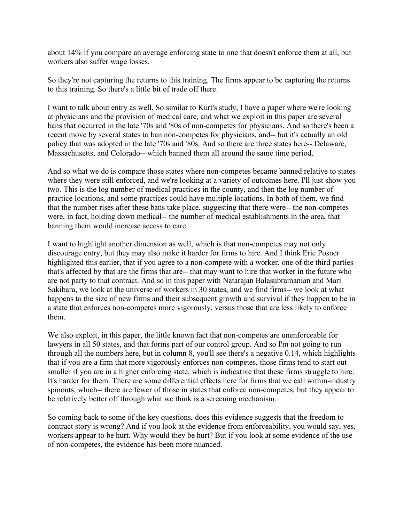about 14% if you compare an average enforcing state to one that doesn't enforce them at all, but workers also suffer wage losses.

 So they're not capturing the returns to this training. The firms appear to be capturing the returns to this training. So there's a little bit of trade off there.

 I want to talk about entry as well. So similar to Kurt's study, I have a paper where we're looking at physicians and the provision of medical care, and what we exploit in this paper are several bans that occurred in the late '70s and '80s of non-competes for physicians. And so there's been a recent move by several states to ban non-competes for physicians, and-- but it's actually an old policy that was adopted in the late '70s and '80s. And so there are three states here-- Delaware, Massachusetts, and Colorado-- which banned them all around the same time period.

 And so what we do is compare those states where non-competes became banned relative to states where they were still enforced, and we're looking at a variety of outcomes here. I'll just show you two. This is the log number of medical practices in the county, and then the log number of practice locations, and some practices could have multiple locations. In both of them, we find that the number rises after these bans take place, suggesting that there were-- the non-competes were, in fact, holding down medical-- the number of medical establishments in the area, that banning them would increase access to care.

 I want to highlight another dimension as well, which is that non-competes may not only discourage entry, but they may also make it harder for firms to hire. And I think Eric Posner highlighted this earlier, that if you agree to a non-compete with a worker, one of the third parties that's affected by that are the firms that are-- that may want to hire that worker in the future who are not party to that contract. And so in this paper with Natarajan Balasubramanian and Mari Sakibara, we look at the universe of workers in 30 states, and we find firms-- we look at what happens to the size of new firms and their subsequent growth and survival if they happen to be in a state that enforces non-competes more vigorously, versus those that are less likely to enforce them.

 We also exploit, in this paper, the little known fact that non-competes are unenforceable for lawyers in all 50 states, and that forms part of our control group. And so I'm not going to run through all the numbers here, but in column 8, you'll see there's a negative 0.14, which highlights that if you are a firm that more vigorously enforces non-competes, those firms tend to start out smaller if you are in a higher enforcing state, which is indicative that these firms struggle to hire. It's harder for them. There are some differential effects here for firms that we call within-industry spinouts, which-- there are fewer of those in states that enforce non-competes, but they appear to be relatively better off through what we think is a screening mechanism.

 So coming back to some of the key questions, does this evidence suggests that the freedom to contract story is wrong? And if you look at the evidence from enforceability, you would say, yes, workers appear to be hurt. Why would they be hurt? But if you look at some evidence of the use of non-competes, the evidence has been more nuanced.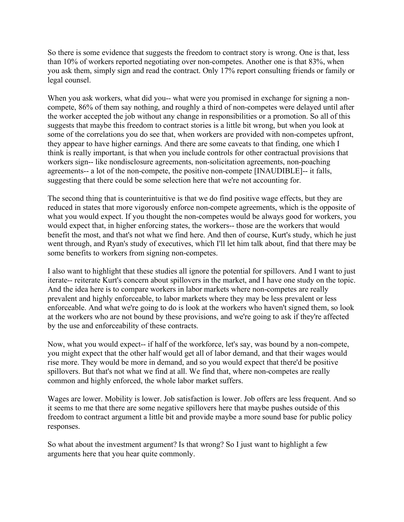So there is some evidence that suggests the freedom to contract story is wrong. One is that, less than 10% of workers reported negotiating over non-competes. Another one is that 83%, when you ask them, simply sign and read the contract. Only 17% report consulting friends or family or legal counsel.

 When you ask workers, what did you-- what were you promised in exchange for signing a non- compete, 86% of them say nothing, and roughly a third of non-competes were delayed until after the worker accepted the job without any change in responsibilities or a promotion. So all of this suggests that maybe this freedom to contract stories is a little bit wrong, but when you look at some of the correlations you do see that, when workers are provided with non-competes upfront, they appear to have higher earnings. And there are some caveats to that finding, one which I think is really important, is that when you include controls for other contractual provisions that workers sign-- like nondisclosure agreements, non-solicitation agreements, non-poaching agreements-- a lot of the non-compete, the positive non-compete [INAUDIBLE]-- it falls, suggesting that there could be some selection here that we're not accounting for.

 The second thing that is counterintuitive is that we do find positive wage effects, but they are reduced in states that more vigorously enforce non-compete agreements, which is the opposite of what you would expect. If you thought the non-competes would be always good for workers, you would expect that, in higher enforcing states, the workers-- those are the workers that would benefit the most, and that's not what we find here. And then of course, Kurt's study, which he just went through, and Ryan's study of executives, which I'll let him talk about, find that there may be some benefits to workers from signing non-competes.

 I also want to highlight that these studies all ignore the potential for spillovers. And I want to just iterate-- reiterate Kurt's concern about spillovers in the market, and I have one study on the topic. And the idea here is to compare workers in labor markets where non-competes are really prevalent and highly enforceable, to labor markets where they may be less prevalent or less enforceable. And what we're going to do is look at the workers who haven't signed them, so look at the workers who are not bound by these provisions, and we're going to ask if they're affected by the use and enforceability of these contracts.

 Now, what you would expect-- if half of the workforce, let's say, was bound by a non-compete, you might expect that the other half would get all of labor demand, and that their wages would rise more. They would be more in demand, and so you would expect that there'd be positive spillovers. But that's not what we find at all. We find that, where non-competes are really common and highly enforced, the whole labor market suffers.

 Wages are lower. Mobility is lower. Job satisfaction is lower. Job offers are less frequent. And so it seems to me that there are some negative spillovers here that maybe pushes outside of this freedom to contract argument a little bit and provide maybe a more sound base for public policy responses.

responses.<br>So what about the investment argument? Is that wrong? So I just want to highlight a few arguments here that you hear quite commonly.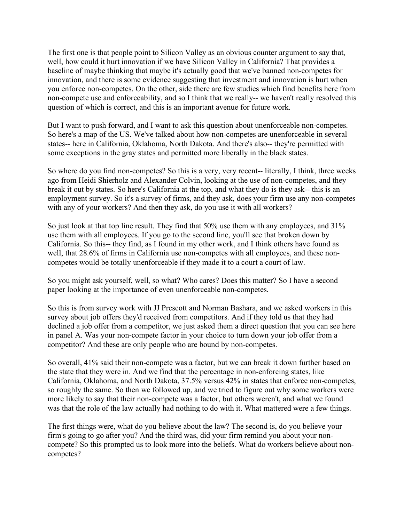The first one is that people point to Silicon Valley as an obvious counter argument to say that, well, how could it hurt innovation if we have Silicon Valley in California? That provides a baseline of maybe thinking that maybe it's actually good that we've banned non-competes for innovation, and there is some evidence suggesting that investment and innovation is hurt when you enforce non-competes. On the other, side there are few studies which find benefits here from non-compete use and enforceability, and so I think that we really-- we haven't really resolved this question of which is correct, and this is an important avenue for future work.

 But I want to push forward, and I want to ask this question about unenforceable non-competes. So here's a map of the US. We've talked about how non-competes are unenforceable in several states-- here in California, Oklahoma, North Dakota. And there's also-- they're permitted with some exceptions in the gray states and permitted more liberally in the black states.

 So where do you find non-competes? So this is a very, very recent-- literally, I think, three weeks ago from Heidi Shierholz and Alexander Colvin, looking at the use of non-competes, and they break it out by states. So here's California at the top, and what they do is they ask-- this is an employment survey. So it's a survey of firms, and they ask, does your firm use any non-competes with any of your workers? And then they ask, do you use it with all workers?

 So just look at that top line result. They find that 50% use them with any employees, and 31% use them with all employees. If you go to the second line, you'll see that broken down by California. So this-- they find, as I found in my other work, and I think others have found as well, that 28.6% of firms in California use non-competes with all employees, and these non-competes would be totally unenforceable if they made it to a court a court of law.

 So you might ask yourself, well, so what? Who cares? Does this matter? So I have a second paper looking at the importance of even unenforceable non-competes.

 So this is from survey work with JJ Prescott and Norman Bashara, and we asked workers in this survey about job offers they'd received from competitors. And if they told us that they had declined a job offer from a competitor, we just asked them a direct question that you can see here in panel A. Was your non-compete factor in your choice to turn down your job offer from a competitor? And these are only people who are bound by non-competes.

 So overall, 41% said their non-compete was a factor, but we can break it down further based on the state that they were in. And we find that the percentage in non-enforcing states, like California, Oklahoma, and North Dakota, 37.5% versus 42% in states that enforce non-competes, so roughly the same. So then we followed up, and we tried to figure out why some workers were more likely to say that their non-compete was a factor, but others weren't, and what we found was that the role of the law actually had nothing to do with it. What mattered were a few things.

 The first things were, what do you believe about the law? The second is, do you believe your firm's going to go after you? And the third was, did your firm remind you about your non- compete? So this prompted us to look more into the beliefs. What do workers believe about non-competes?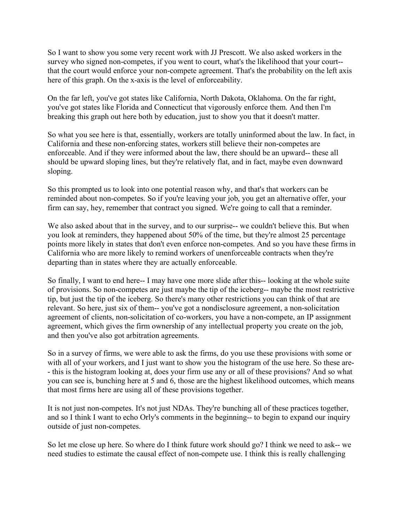So I want to show you some very recent work with JJ Prescott. We also asked workers in the survey who signed non-competes, if you went to court, what's the likelihood that your court-- that the court would enforce your non-compete agreement. That's the probability on the left axis here of this graph. On the x-axis is the level of enforceability.

 On the far left, you've got states like California, North Dakota, Oklahoma. On the far right, you've got states like Florida and Connecticut that vigorously enforce them. And then I'm breaking this graph out here both by education, just to show you that it doesn't matter.

 So what you see here is that, essentially, workers are totally uninformed about the law. In fact, in California and these non-enforcing states, workers still believe their non-competes are enforceable. And if they were informed about the law, there should be an upward-- these all should be upward sloping lines, but they're relatively flat, and in fact, maybe even downward sloping.

sloping.<br>So this prompted us to look into one potential reason why, and that's that workers can be reminded about non-competes. So if you're leaving your job, you get an alternative offer, your firm can say, hey, remember that contract you signed. We're going to call that a reminder.

We also asked about that in the survey, and to our surprise-- we couldn't believe this. But when you look at reminders, they happened about 50% of the time, but they're almost 25 percentage points more likely in states that don't even enforce non-competes. And so you have these firms in California who are more likely to remind workers of unenforceable contracts when they're departing than in states where they are actually enforceable.

 So finally, I want to end here-- I may have one more slide after this-- looking at the whole suite of provisions. So non-competes are just maybe the tip of the iceberg-- maybe the most restrictive tip, but just the tip of the iceberg. So there's many other restrictions you can think of that are relevant. So here, just six of them-- you've got a nondisclosure agreement, a non-solicitation agreement of clients, non-solicitation of co-workers, you have a non-compete, an IP assignment agreement, which gives the firm ownership of any intellectual property you create on the job, and then you've also got arbitration agreements.

 So in a survey of firms, we were able to ask the firms, do you use these provisions with some or with all of your workers, and I just want to show you the histogram of the use here. So these are- - this is the histogram looking at, does your firm use any or all of these provisions? And so what you can see is, bunching here at 5 and 6, those are the highest likelihood outcomes, which means that most firms here are using all of these provisions together.

 It is not just non-competes. It's not just NDAs. They're bunching all of these practices together, and so I think I want to echo Orly's comments in the beginning-- to begin to expand our inquiry outside of just non-competes.

 So let me close up here. So where do I think future work should go? I think we need to ask-- we need studies to estimate the causal effect of non-compete use. I think this is really challenging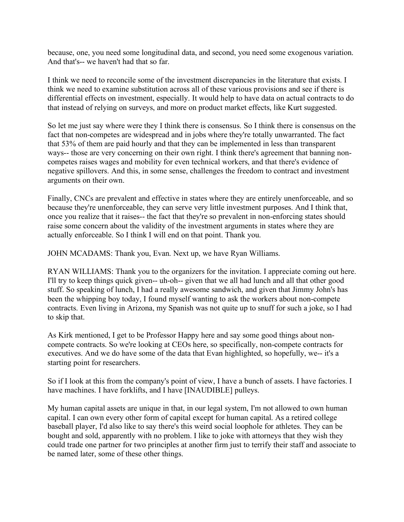because, one, you need some longitudinal data, and second, you need some exogenous variation. And that's-- we haven't had that so far.

 I think we need to reconcile some of the investment discrepancies in the literature that exists. I think we need to examine substitution across all of these various provisions and see if there is differential effects on investment, especially. It would help to have data on actual contracts to do that instead of relying on surveys, and more on product market effects, like Kurt suggested.

 So let me just say where were they I think there is consensus. So I think there is consensus on the fact that non-competes are widespread and in jobs where they're totally unwarranted. The fact that 53% of them are paid hourly and that they can be implemented in less than transparent ways-- those are very concerning on their own right. I think there's agreement that banning non- competes raises wages and mobility for even technical workers, and that there's evidence of negative spillovers. And this, in some sense, challenges the freedom to contract and investment arguments on their own.

 Finally, CNCs are prevalent and effective in states where they are entirely unenforceable, and so because they're unenforceable, they can serve very little investment purposes. And I think that, once you realize that it raises-- the fact that they're so prevalent in non-enforcing states should raise some concern about the validity of the investment arguments in states where they are actually enforceable. So I think I will end on that point. Thank you.

JOHN MCADAMS: Thank you, Evan. Next up, we have Ryan Williams.

 RYAN WILLIAMS: Thank you to the organizers for the invitation. I appreciate coming out here. I'll try to keep things quick given-- uh-oh-- given that we all had lunch and all that other good stuff. So speaking of lunch, I had a really awesome sandwich, and given that Jimmy John's has been the whipping boy today, I found myself wanting to ask the workers about non-compete contracts. Even living in Arizona, my Spanish was not quite up to snuff for such a joke, so I had to skip that.

to skip that.<br>As Kirk mentioned, I get to be Professor Happy here and say some good things about non- compete contracts. So we're looking at CEOs here, so specifically, non-compete contracts for executives. And we do have some of the data that Evan highlighted, so hopefully, we-- it's a starting point for researchers.

 So if I look at this from the company's point of view, I have a bunch of assets. I have factories. I have machines. I have forklifts, and I have [INAUDIBLE] pulleys.

 My human capital assets are unique in that, in our legal system, I'm not allowed to own human capital. I can own every other form of capital except for human capital. As a retired college baseball player, I'd also like to say there's this weird social loophole for athletes. They can be bought and sold, apparently with no problem. I like to joke with attorneys that they wish they could trade one partner for two principles at another firm just to terrify their staff and associate to be named later, some of these other things.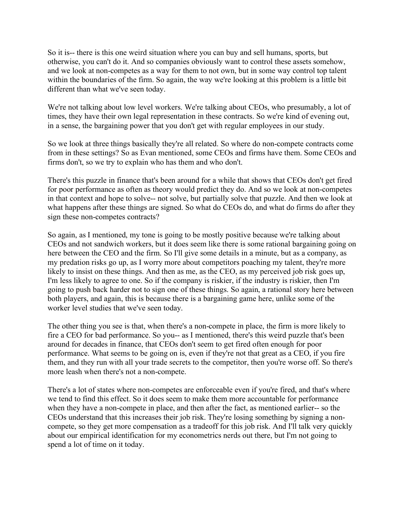So it is-- there is this one weird situation where you can buy and sell humans, sports, but otherwise, you can't do it. And so companies obviously want to control these assets somehow, and we look at non-competes as a way for them to not own, but in some way control top talent within the boundaries of the firm. So again, the way we're looking at this problem is a little bit different than what we've seen today.

 We're not talking about low level workers. We're talking about CEOs, who presumably, a lot of times, they have their own legal representation in these contracts. So we're kind of evening out, in a sense, the bargaining power that you don't get with regular employees in our study.

 So we look at three things basically they're all related. So where do non-compete contracts come from in these settings? So as Evan mentioned, some CEOs and firms have them. Some CEOs and firms don't, so we try to explain who has them and who don't.

 There's this puzzle in finance that's been around for a while that shows that CEOs don't get fired for poor performance as often as theory would predict they do. And so we look at non-competes in that context and hope to solve-- not solve, but partially solve that puzzle. And then we look at what happens after these things are signed. So what do CEOs do, and what do firms do after they sign these non-competes contracts?

 So again, as I mentioned, my tone is going to be mostly positive because we're talking about CEOs and not sandwich workers, but it does seem like there is some rational bargaining going on here between the CEO and the firm. So I'll give some details in a minute, but as a company, as my predation risks go up, as I worry more about competitors poaching my talent, they're more likely to insist on these things. And then as me, as the CEO, as my perceived job risk goes up, I'm less likely to agree to one. So if the company is riskier, if the industry is riskier, then I'm going to push back harder not to sign one of these things. So again, a rational story here between both players, and again, this is because there is a bargaining game here, unlike some of the worker level studies that we've seen today.

 The other thing you see is that, when there's a non-compete in place, the firm is more likely to fire a CEO for bad performance. So you-- as I mentioned, there's this weird puzzle that's been around for decades in finance, that CEOs don't seem to get fired often enough for poor performance. What seems to be going on is, even if they're not that great as a CEO, if you fire them, and they run with all your trade secrets to the competitor, then you're worse off. So there's more leash when there's not a non-compete.

 There's a lot of states where non-competes are enforceable even if you're fired, and that's where we tend to find this effect. So it does seem to make them more accountable for performance when they have a non-compete in place, and then after the fact, as mentioned earlier-- so the CEOs understand that this increases their job risk. They're losing something by signing a non- compete, so they get more compensation as a tradeoff for this job risk. And I'll talk very quickly about our empirical identification for my econometrics nerds out there, but I'm not going to spend a lot of time on it today.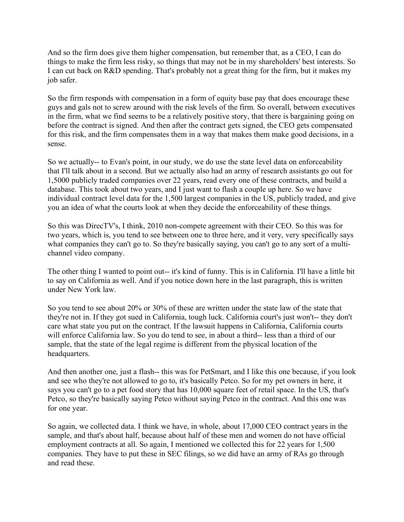And so the firm does give them higher compensation, but remember that, as a CEO, I can do things to make the firm less risky, so things that may not be in my shareholders' best interests. So I can cut back on R&D spending. That's probably not a great thing for the firm, but it makes my job safer.

job safer.<br>So the firm responds with compensation in a form of equity base pay that does encourage these guys and gals not to screw around with the risk levels of the firm. So overall, between executives in the firm, what we find seems to be a relatively positive story, that there is bargaining going on before the contract is signed. And then after the contract gets signed, the CEO gets compensated for this risk, and the firm compensates them in a way that makes them make good decisions, in a sense.

sense.<br>So we actually-- to Evan's point, in our study, we do use the state level data on enforceability that I'll talk about in a second. But we actually also had an army of research assistants go out for 1,5000 publicly traded companies over 22 years, read every one of these contracts, and build a database. This took about two years, and I just want to flash a couple up here. So we have individual contract level data for the 1,500 largest companies in the US, publicly traded, and give you an idea of what the courts look at when they decide the enforceability of these things.

 So this was DirecTV's, I think, 2010 non-compete agreement with their CEO. So this was for two years, which is, you tend to see between one to three here, and it very, very specifically says what companies they can't go to. So they're basically saying, you can't go to any sort of a multi-channel video company.

 The other thing I wanted to point out-- it's kind of funny. This is in California. I'll have a little bit to say on California as well. And if you notice down here in the last paragraph, this is written under New York law.

 So you tend to see about 20% or 30% of these are written under the state law of the state that they're not in. If they got sued in California, tough luck. California court's just won't-- they don't care what state you put on the contract. If the lawsuit happens in California, California courts will enforce California law. So you do tend to see, in about a third-- less than a third of our sample, that the state of the legal regime is different from the physical location of the headquarters.

headquarters.<br>And then another one, just a flash-- this was for PetSmart, and I like this one because, if you look and see who they're not allowed to go to, it's basically Petco. So for my pet owners in here, it says you can't go to a pet food story that has 10,000 square feet of retail space. In the US, that's Petco, so they're basically saying Petco without saying Petco in the contract. And this one was for one year.

 So again, we collected data. I think we have, in whole, about 17,000 CEO contract years in the sample, and that's about half, because about half of these men and women do not have official employment contracts at all. So again, I mentioned we collected this for 22 years for 1,500 companies. They have to put these in SEC filings, so we did have an army of RAs go through and read these.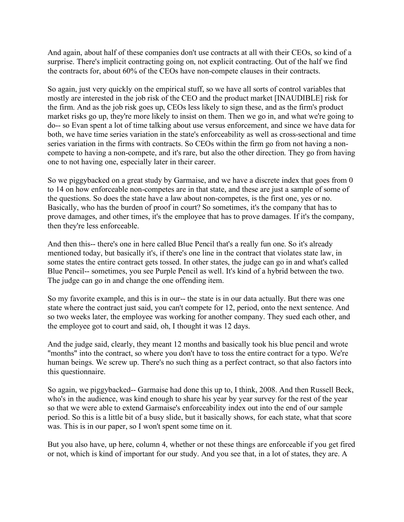And again, about half of these companies don't use contracts at all with their CEOs, so kind of a surprise. There's implicit contracting going on, not explicit contracting. Out of the half we find the contracts for, about 60% of the CEOs have non-compete clauses in their contracts.

 So again, just very quickly on the empirical stuff, so we have all sorts of control variables that mostly are interested in the job risk of the CEO and the product market [INAUDIBLE] risk for the firm. And as the job risk goes up, CEOs less likely to sign these, and as the firm's product market risks go up, they're more likely to insist on them. Then we go in, and what we're going to do-- so Evan spent a lot of time talking about use versus enforcement, and since we have data for both, we have time series variation in the state's enforceability as well as cross-sectional and time series variation in the firms with contracts. So CEOs within the firm go from not having a non- compete to having a non-compete, and it's rare, but also the other direction. They go from having one to not having one, especially later in their career.

 So we piggybacked on a great study by Garmaise, and we have a discrete index that goes from 0 to 14 on how enforceable non-competes are in that state, and these are just a sample of some of the questions. So does the state have a law about non-competes, is the first one, yes or no. Basically, who has the burden of proof in court? So sometimes, it's the company that has to prove damages, and other times, it's the employee that has to prove damages. If it's the company, then they're less enforceable.

 And then this-- there's one in here called Blue Pencil that's a really fun one. So it's already mentioned today, but basically it's, if there's one line in the contract that violates state law, in some states the entire contract gets tossed. In other states, the judge can go in and what's called Blue Pencil-- sometimes, you see Purple Pencil as well. It's kind of a hybrid between the two. The judge can go in and change the one offending item.

 So my favorite example, and this is in our-- the state is in our data actually. But there was one state where the contract just said, you can't compete for 12, period, onto the next sentence. And so two weeks later, the employee was working for another company. They sued each other, and the employee got to court and said, oh, I thought it was 12 days.

 And the judge said, clearly, they meant 12 months and basically took his blue pencil and wrote "months" into the contract, so where you don't have to toss the entire contract for a typo. We're human beings. We screw up. There's no such thing as a perfect contract, so that also factors into this questionnaire.

this questionnaire.<br>So again, we piggybacked-- Garmaise had done this up to, I think, 2008. And then Russell Beck, who's in the audience, was kind enough to share his year by year survey for the rest of the year so that we were able to extend Garmaise's enforceability index out into the end of our sample period. So this is a little bit of a busy slide, but it basically shows, for each state, what that score was. This is in our paper, so I won't spent some time on it.

 But you also have, up here, column 4, whether or not these things are enforceable if you get fired or not, which is kind of important for our study. And you see that, in a lot of states, they are. A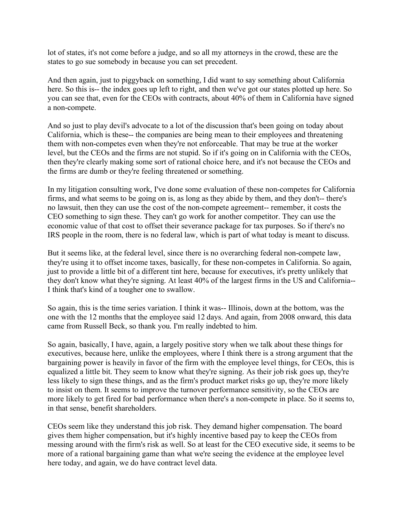lot of states, it's not come before a judge, and so all my attorneys in the crowd, these are the states to go sue somebody in because you can set precedent.

 And then again, just to piggyback on something, I did want to say something about California here. So this is-- the index goes up left to right, and then we've got our states plotted up here. So you can see that, even for the CEOs with contracts, about 40% of them in California have signed a non-compete.

a non-compete.<br>And so just to play devil's advocate to a lot of the discussion that's been going on today about California, which is these-- the companies are being mean to their employees and threatening them with non-competes even when they're not enforceable. That may be true at the worker level, but the CEOs and the firms are not stupid. So if it's going on in California with the CEOs, then they're clearly making some sort of rational choice here, and it's not because the CEOs and the firms are dumb or they're feeling threatened or something.

 In my litigation consulting work, I've done some evaluation of these non-competes for California firms, and what seems to be going on is, as long as they abide by them, and they don't-- there's no lawsuit, then they can use the cost of the non-compete agreement-- remember, it costs the CEO something to sign these. They can't go work for another competitor. They can use the economic value of that cost to offset their severance package for tax purposes. So if there's no IRS people in the room, there is no federal law, which is part of what today is meant to discuss.

 But it seems like, at the federal level, since there is no overarching federal non-compete law, they're using it to offset income taxes, basically, for these non-competes in California. So again, just to provide a little bit of a different tint here, because for executives, it's pretty unlikely that they don't know what they're signing. At least 40% of the largest firms in the US and California-- I think that's kind of a tougher one to swallow.

 So again, this is the time series variation. I think it was-- Illinois, down at the bottom, was the one with the 12 months that the employee said 12 days. And again, from 2008 onward, this data came from Russell Beck, so thank you. I'm really indebted to him.

 So again, basically, I have, again, a largely positive story when we talk about these things for executives, because here, unlike the employees, where I think there is a strong argument that the bargaining power is heavily in favor of the firm with the employee level things, for CEOs, this is equalized a little bit. They seem to know what they're signing. As their job risk goes up, they're less likely to sign these things, and as the firm's product market risks go up, they're more likely to insist on them. It seems to improve the turnover performance sensitivity, so the CEOs are more likely to get fired for bad performance when there's a non-compete in place. So it seems to, in that sense, benefit shareholders.

 CEOs seem like they understand this job risk. They demand higher compensation. The board gives them higher compensation, but it's highly incentive based pay to keep the CEOs from messing around with the firm's risk as well. So at least for the CEO executive side, it seems to be more of a rational bargaining game than what we're seeing the evidence at the employee level here today, and again, we do have contract level data.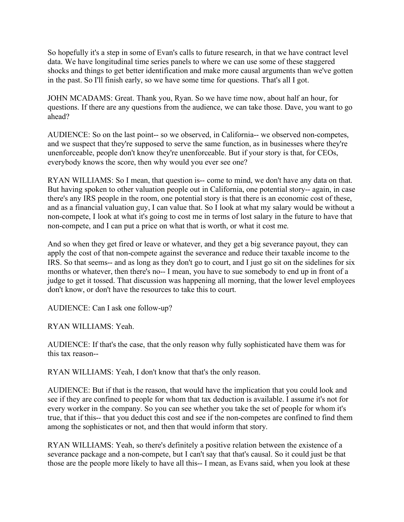So hopefully it's a step in some of Evan's calls to future research, in that we have contract level data. We have longitudinal time series panels to where we can use some of these staggered shocks and things to get better identification and make more causal arguments than we've gotten in the past. So I'll finish early, so we have some time for questions. That's all I got.

 JOHN MCADAMS: Great. Thank you, Ryan. So we have time now, about half an hour, for questions. If there are any questions from the audience, we can take those. Dave, you want to go ahead?

ahead?<br>AUDIENCE: So on the last point-- so we observed, in California-- we observed non-competes, and we suspect that they're supposed to serve the same function, as in businesses where they're unenforceable, people don't know they're unenforceable. But if your story is that, for CEOs, everybody knows the score, then why would you ever see one?

 RYAN WILLIAMS: So I mean, that question is-- come to mind, we don't have any data on that. But having spoken to other valuation people out in California, one potential story-- again, in case there's any IRS people in the room, one potential story is that there is an economic cost of these, and as a financial valuation guy, I can value that. So I look at what my salary would be without a non-compete, I look at what it's going to cost me in terms of lost salary in the future to have that non-compete, and I can put a price on what that is worth, or what it cost me.

 And so when they get fired or leave or whatever, and they get a big severance payout, they can apply the cost of that non-compete against the severance and reduce their taxable income to the IRS. So that seems-- and as long as they don't go to court, and I just go sit on the sidelines for six months or whatever, then there's no-- I mean, you have to sue somebody to end up in front of a judge to get it tossed. That discussion was happening all morning, that the lower level employees don't know, or don't have the resources to take this to court.

AUDIENCE: Can I ask one follow-up?

RYAN WILLIAMS: Yeah.

 AUDIENCE: If that's the case, that the only reason why fully sophisticated have them was for this tax reason--

RYAN WILLIAMS: Yeah, I don't know that that's the only reason.

 AUDIENCE: But if that is the reason, that would have the implication that you could look and see if they are confined to people for whom that tax deduction is available. I assume it's not for every worker in the company. So you can see whether you take the set of people for whom it's true, that if this-- that you deduct this cost and see if the non-competes are confined to find them among the sophisticates or not, and then that would inform that story.

 RYAN WILLIAMS: Yeah, so there's definitely a positive relation between the existence of a severance package and a non-compete, but I can't say that that's causal. So it could just be that those are the people more likely to have all this-- I mean, as Evans said, when you look at these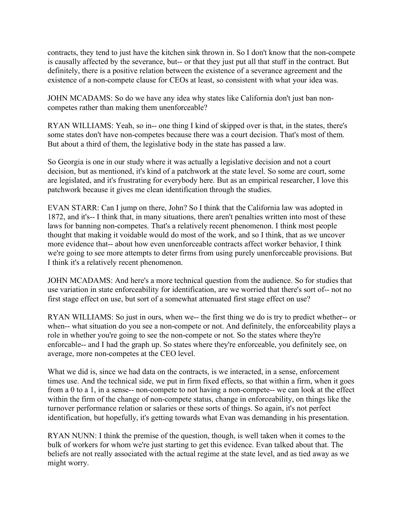contracts, they tend to just have the kitchen sink thrown in. So I don't know that the non-compete is causally affected by the severance, but-- or that they just put all that stuff in the contract. But definitely, there is a positive relation between the existence of a severance agreement and the existence of a non-compete clause for CEOs at least, so consistent with what your idea was.

 JOHN MCADAMS: So do we have any idea why states like California don't just ban non-competes rather than making them unenforceable?

 RYAN WILLIAMS: Yeah, so in-- one thing I kind of skipped over is that, in the states, there's some states don't have non-competes because there was a court decision. That's most of them. But about a third of them, the legislative body in the state has passed a law.

 So Georgia is one in our study where it was actually a legislative decision and not a court decision, but as mentioned, it's kind of a patchwork at the state level. So some are court, some are legislated, and it's frustrating for everybody here. But as an empirical researcher, I love this patchwork because it gives me clean identification through the studies.

 EVAN STARR: Can I jump on there, John? So I think that the California law was adopted in 1872, and it's-- I think that, in many situations, there aren't penalties written into most of these laws for banning non-competes. That's a relatively recent phenomenon. I think most people thought that making it voidable would do most of the work, and so I think, that as we uncover more evidence that-- about how even unenforceable contracts affect worker behavior, I think we're going to see more attempts to deter firms from using purely unenforceable provisions. But I think it's a relatively recent phenomenon.

 JOHN MCADAMS: And here's a more technical question from the audience. So for studies that use variation in state enforceability for identification, are we worried that there's sort of-- not no first stage effect on use, but sort of a somewhat attenuated first stage effect on use?

 RYAN WILLIAMS: So just in ours, when we-- the first thing we do is try to predict whether-- or when-- what situation do you see a non-compete or not. And definitely, the enforceability plays a role in whether you're going to see the non-compete or not. So the states where they're enforcable-- and I had the graph up. So states where they're enforceable, you definitely see, on average, more non-competes at the CEO level.

What we did is, since we had data on the contracts, is we interacted, in a sense, enforcement times use. And the technical side, we put in firm fixed effects, so that within a firm, when it goes from a 0 to a 1, in a sense-- non-compete to not having a non-compete-- we can look at the effect within the firm of the change of non-compete status, change in enforceability, on things like the turnover performance relation or salaries or these sorts of things. So again, it's not perfect identification, but hopefully, it's getting towards what Evan was demanding in his presentation.

 RYAN NUNN: I think the premise of the question, though, is well taken when it comes to the bulk of workers for whom we're just starting to get this evidence. Evan talked about that. The beliefs are not really associated with the actual regime at the state level, and as tied away as we might worry.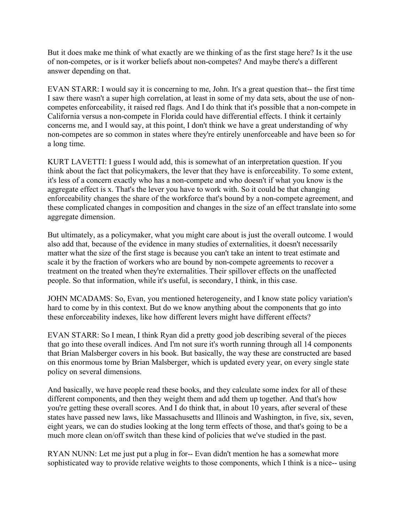But it does make me think of what exactly are we thinking of as the first stage here? Is it the use of non-competes, or is it worker beliefs about non-competes? And maybe there's a different answer depending on that.

 EVAN STARR: I would say it is concerning to me, John. It's a great question that-- the first time I saw there wasn't a super high correlation, at least in some of my data sets, about the use of non- competes enforceability, it raised red flags. And I do think that it's possible that a non-compete in California versus a non-compete in Florida could have differential effects. I think it certainly concerns me, and I would say, at this point, I don't think we have a great understanding of why non-competes are so common in states where they're entirely unenforceable and have been so for a long time.

 KURT LAVETTI: I guess I would add, this is somewhat of an interpretation question. If you think about the fact that policymakers, the lever that they have is enforceability. To some extent, it's less of a concern exactly who has a non-compete and who doesn't if what you know is the aggregate effect is x. That's the lever you have to work with. So it could be that changing enforceability changes the share of the workforce that's bound by a non-compete agreement, and these complicated changes in composition and changes in the size of an effect translate into some aggregate dimension.

 But ultimately, as a policymaker, what you might care about is just the overall outcome. I would also add that, because of the evidence in many studies of externalities, it doesn't necessarily matter what the size of the first stage is because you can't take an intent to treat estimate and scale it by the fraction of workers who are bound by non-compete agreements to recover a treatment on the treated when they're externalities. Their spillover effects on the unaffected people. So that information, while it's useful, is secondary, I think, in this case.

 JOHN MCADAMS: So, Evan, you mentioned heterogeneity, and I know state policy variation's hard to come by in this context. But do we know anything about the components that go into these enforceability indexes, like how different levers might have different effects?

 EVAN STARR: So I mean, I think Ryan did a pretty good job describing several of the pieces that go into these overall indices. And I'm not sure it's worth running through all 14 components that Brian Malsberger covers in his book. But basically, the way these are constructed are based on this enormous tome by Brian Malsberger, which is updated every year, on every single state policy on several dimensions.

 And basically, we have people read these books, and they calculate some index for all of these different components, and then they weight them and add them up together. And that's how you're getting these overall scores. And I do think that, in about 10 years, after several of these states have passed new laws, like Massachusetts and Illinois and Washington, in five, six, seven, eight years, we can do studies looking at the long term effects of those, and that's going to be a much more clean on/off switch than these kind of policies that we've studied in the past.

 RYAN NUNN: Let me just put a plug in for-- Evan didn't mention he has a somewhat more sophisticated way to provide relative weights to those components, which I think is a nice-- using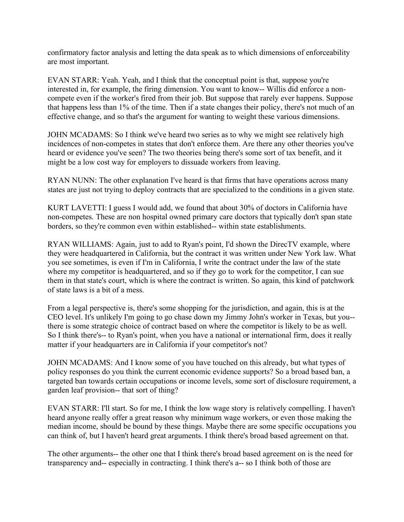confirmatory factor analysis and letting the data speak as to which dimensions of enforceability are most important.

 EVAN STARR: Yeah. Yeah, and I think that the conceptual point is that, suppose you're interested in, for example, the firing dimension. You want to know-- Willis did enforce a non- compete even if the worker's fired from their job. But suppose that rarely ever happens. Suppose that happens less than 1% of the time. Then if a state changes their policy, there's not much of an effective change, and so that's the argument for wanting to weight these various dimensions.

 JOHN MCADAMS: So I think we've heard two series as to why we might see relatively high incidences of non-competes in states that don't enforce them. Are there any other theories you've heard or evidence you've seen? The two theories being there's some sort of tax benefit, and it might be a low cost way for employers to dissuade workers from leaving.

 RYAN NUNN: The other explanation I've heard is that firms that have operations across many states are just not trying to deploy contracts that are specialized to the conditions in a given state.

 KURT LAVETTI: I guess I would add, we found that about 30% of doctors in California have non-competes. These are non hospital owned primary care doctors that typically don't span state borders, so they're common even within established-- within state establishments.

 RYAN WILLIAMS: Again, just to add to Ryan's point, I'd shown the DirecTV example, where they were headquartered in California, but the contract it was written under New York law. What you see sometimes, is even if I'm in California, I write the contract under the law of the state where my competitor is headquartered, and so if they go to work for the competitor, I can sue them in that state's court, which is where the contract is written. So again, this kind of patchwork of state laws is a bit of a mess.

 From a legal perspective is, there's some shopping for the jurisdiction, and again, this is at the CEO level. It's unlikely I'm going to go chase down my Jimmy John's worker in Texas, but you-- there is some strategic choice of contract based on where the competitor is likely to be as well. So I think there's-- to Ryan's point, when you have a national or international firm, does it really matter if your headquarters are in California if your competitor's not?

 JOHN MCADAMS: And I know some of you have touched on this already, but what types of policy responses do you think the current economic evidence supports? So a broad based ban, a targeted ban towards certain occupations or income levels, some sort of disclosure requirement, a garden leaf provision-- that sort of thing?

 EVAN STARR: I'll start. So for me, I think the low wage story is relatively compelling. I haven't heard anyone really offer a great reason why minimum wage workers, or even those making the median income, should be bound by these things. Maybe there are some specific occupations you can think of, but I haven't heard great arguments. I think there's broad based agreement on that.

 The other arguments-- the other one that I think there's broad based agreement on is the need for transparency and-- especially in contracting. I think there's a-- so I think both of those are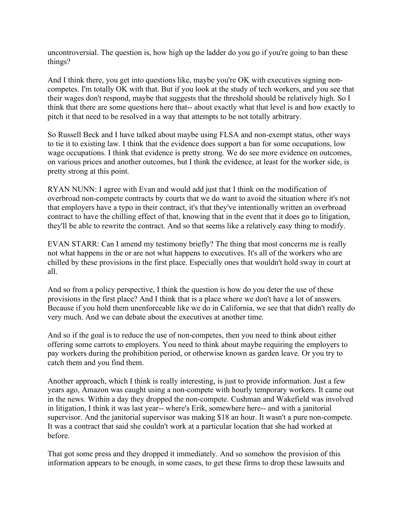uncontroversial. The question is, how high up the ladder do you go if you're going to ban these things?

things?<br>And I think there, you get into questions like, maybe you're OK with executives signing non- competes. I'm totally OK with that. But if you look at the study of tech workers, and you see that their wages don't respond, maybe that suggests that the threshold should be relatively high. So I think that there are some questions here that-- about exactly what that level is and how exactly to pitch it that need to be resolved in a way that attempts to be not totally arbitrary.

 So Russell Beck and I have talked about maybe using FLSA and non-exempt status, other ways to tie it to existing law. I think that the evidence does support a ban for some occupations, low wage occupations. I think that evidence is pretty strong. We do see more evidence on outcomes, on various prices and another outcomes, but I think the evidence, at least for the worker side, is pretty strong at this point.

 RYAN NUNN: I agree with Evan and would add just that I think on the modification of overbroad non-compete contracts by courts that we do want to avoid the situation where it's not that employers have a typo in their contract, it's that they've intentionally written an overbroad contract to have the chilling effect of that, knowing that in the event that it does go to litigation, they'll be able to rewrite the contract. And so that seems like a relatively easy thing to modify.

 EVAN STARR: Can I amend my testimony briefly? The thing that most concerns me is really not what happens in the or are not what happens to executives. It's all of the workers who are chilled by these provisions in the first place. Especially ones that wouldn't hold sway in court at all.

 And so from a policy perspective, I think the question is how do you deter the use of these provisions in the first place? And I think that is a place where we don't have a lot of answers. Because if you hold them unenforceable like we do in California, we see that that didn't really do very much. And we can debate about the executives at another time.

 And so if the goal is to reduce the use of non-competes, then you need to think about either offering some carrots to employers. You need to think about maybe requiring the employers to pay workers during the prohibition period, or otherwise known as garden leave. Or you try to catch them and you find them.

 Another approach, which I think is really interesting, is just to provide information. Just a few years ago, Amazon was caught using a non-compete with hourly temporary workers. It came out in the news. Within a day they dropped the non-compete. Cushman and Wakefield was involved in litigation, I think it was last year-- where's Erik, somewhere here-- and with a janitorial supervisor. And the janitorial supervisor was making \$18 an hour. It wasn't a pure non-compete. It was a contract that said she couldn't work at a particular location that she had worked at before.

before.<br>That got some press and they dropped it immediately. And so somehow the provision of this information appears to be enough, in some cases, to get these firms to drop these lawsuits and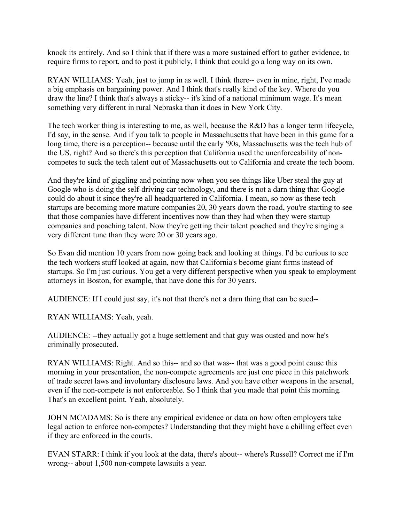knock its entirely. And so I think that if there was a more sustained effort to gather evidence, to require firms to report, and to post it publicly, I think that could go a long way on its own.

 RYAN WILLIAMS: Yeah, just to jump in as well. I think there-- even in mine, right, I've made a big emphasis on bargaining power. And I think that's really kind of the key. Where do you draw the line? I think that's always a sticky-- it's kind of a national minimum wage. It's mean something very different in rural Nebraska than it does in New York City.

 The tech worker thing is interesting to me, as well, because the R&D has a longer term lifecycle, I'd say, in the sense. And if you talk to people in Massachusetts that have been in this game for a long time, there is a perception-- because until the early '90s, Massachusetts was the tech hub of the US, right? And so there's this perception that California used the unenforceability of non-competes to suck the tech talent out of Massachusetts out to California and create the tech boom.

 And they're kind of giggling and pointing now when you see things like Uber steal the guy at Google who is doing the self-driving car technology, and there is not a darn thing that Google could do about it since they're all headquartered in California. I mean, so now as these tech startups are becoming more mature companies 20, 30 years down the road, you're starting to see that those companies have different incentives now than they had when they were startup companies and poaching talent. Now they're getting their talent poached and they're singing a very different tune than they were 20 or 30 years ago.

 So Evan did mention 10 years from now going back and looking at things. I'd be curious to see the tech workers stuff looked at again, now that California's become giant firms instead of startups. So I'm just curious. You get a very different perspective when you speak to employment attorneys in Boston, for example, that have done this for 30 years.

AUDIENCE: If I could just say, it's not that there's not a darn thing that can be sued--

RYAN WILLIAMS: Yeah, yeah.

 AUDIENCE: --they actually got a huge settlement and that guy was ousted and now he's criminally prosecuted.

criminally prosecuted.<br>RYAN WILLIAMS: Right. And so this-- and so that was-- that was a good point cause this morning in your presentation, the non-compete agreements are just one piece in this patchwork of trade secret laws and involuntary disclosure laws. And you have other weapons in the arsenal, even if the non-compete is not enforceable. So I think that you made that point this morning. That's an excellent point. Yeah, absolutely.

 JOHN MCADAMS: So is there any empirical evidence or data on how often employers take legal action to enforce non-competes? Understanding that they might have a chilling effect even if they are enforced in the courts.

 EVAN STARR: I think if you look at the data, there's about-- where's Russell? Correct me if I'm wrong-- about 1,500 non-compete lawsuits a year.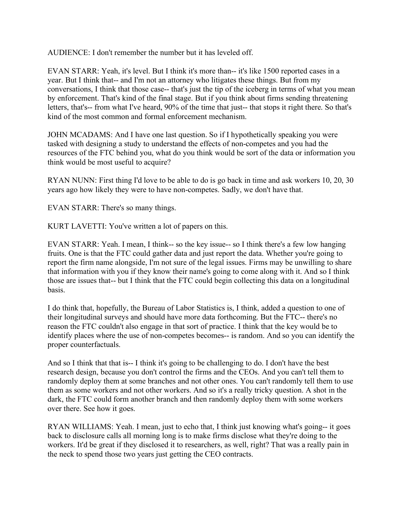AUDIENCE: I don't remember the number but it has leveled off.

 EVAN STARR: Yeah, it's level. But I think it's more than-- it's like 1500 reported cases in a year. But I think that-- and I'm not an attorney who litigates these things. But from my conversations, I think that those case-- that's just the tip of the iceberg in terms of what you mean by enforcement. That's kind of the final stage. But if you think about firms sending threatening letters, that's-- from what I've heard, 90% of the time that just-- that stops it right there. So that's kind of the most common and formal enforcement mechanism.

 JOHN MCADAMS: And I have one last question. So if I hypothetically speaking you were tasked with designing a study to understand the effects of non-competes and you had the resources of the FTC behind you, what do you think would be sort of the data or information you think would be most useful to acquire?

 RYAN NUNN: First thing I'd love to be able to do is go back in time and ask workers 10, 20, 30 years ago how likely they were to have non-competes. Sadly, we don't have that.

EVAN STARR: There's so many things.

KURT LAVETTI: You've written a lot of papers on this.

 EVAN STARR: Yeah. I mean, I think-- so the key issue-- so I think there's a few low hanging fruits. One is that the FTC could gather data and just report the data. Whether you're going to report the firm name alongside, I'm not sure of the legal issues. Firms may be unwilling to share that information with you if they know their name's going to come along with it. And so I think those are issues that-- but I think that the FTC could begin collecting this data on a longitudinal **basis** 

basis.<br>I do think that, hopefully, the Bureau of Labor Statistics is, I think, added a question to one of their longitudinal surveys and should have more data forthcoming. But the FTC-- there's no reason the FTC couldn't also engage in that sort of practice. I think that the key would be to identify places where the use of non-competes becomes-- is random. And so you can identify the proper counterfactuals.

proper counterfactuals.<br>And so I think that that is-- I think it's going to be challenging to do. I don't have the best research design, because you don't control the firms and the CEOs. And you can't tell them to randomly deploy them at some branches and not other ones. You can't randomly tell them to use them as some workers and not other workers. And so it's a really tricky question. A shot in the dark, the FTC could form another branch and then randomly deploy them with some workers over there. See how it goes.

 RYAN WILLIAMS: Yeah. I mean, just to echo that, I think just knowing what's going-- it goes back to disclosure calls all morning long is to make firms disclose what they're doing to the workers. It'd be great if they disclosed it to researchers, as well, right? That was a really pain in the neck to spend those two years just getting the CEO contracts.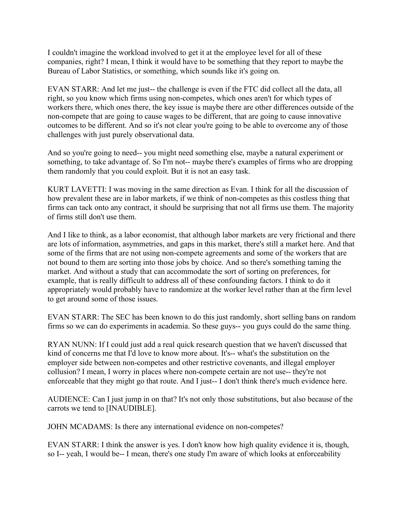I couldn't imagine the workload involved to get it at the employee level for all of these companies, right? I mean, I think it would have to be something that they report to maybe the Bureau of Labor Statistics, or something, which sounds like it's going on.

 EVAN STARR: And let me just-- the challenge is even if the FTC did collect all the data, all right, so you know which firms using non-competes, which ones aren't for which types of workers there, which ones there, the key issue is maybe there are other differences outside of the non-compete that are going to cause wages to be different, that are going to cause innovative outcomes to be different. And so it's not clear you're going to be able to overcome any of those challenges with just purely observational data.

 And so you're going to need-- you might need something else, maybe a natural experiment or something, to take advantage of. So I'm not-- maybe there's examples of firms who are dropping them randomly that you could exploit. But it is not an easy task.

 KURT LAVETTI: I was moving in the same direction as Evan. I think for all the discussion of how prevalent these are in labor markets, if we think of non-competes as this costless thing that firms can tack onto any contract, it should be surprising that not all firms use them. The majority of firms still don't use them.

 And I like to think, as a labor economist, that although labor markets are very frictional and there are lots of information, asymmetries, and gaps in this market, there's still a market here. And that some of the firms that are not using non-compete agreements and some of the workers that are not bound to them are sorting into those jobs by choice. And so there's something taming the market. And without a study that can accommodate the sort of sorting on preferences, for example, that is really difficult to address all of these confounding factors. I think to do it appropriately would probably have to randomize at the worker level rather than at the firm level to get around some of those issues.

 EVAN STARR: The SEC has been known to do this just randomly, short selling bans on random firms so we can do experiments in academia. So these guys-- you guys could do the same thing.

 RYAN NUNN: If I could just add a real quick research question that we haven't discussed that kind of concerns me that I'd love to know more about. It's-- what's the substitution on the employer side between non-competes and other restrictive covenants, and illegal employer collusion? I mean, I worry in places where non-compete certain are not use-- they're not enforceable that they might go that route. And I just-- I don't think there's much evidence here.

 AUDIENCE: Can I just jump in on that? It's not only those substitutions, but also because of the carrots we tend to [INAUDIBLE].

JOHN MCADAMS: Is there any international evidence on non-competes?

 EVAN STARR: I think the answer is yes. I don't know how high quality evidence it is, though, so I-- yeah, I would be-- I mean, there's one study I'm aware of which looks at enforceability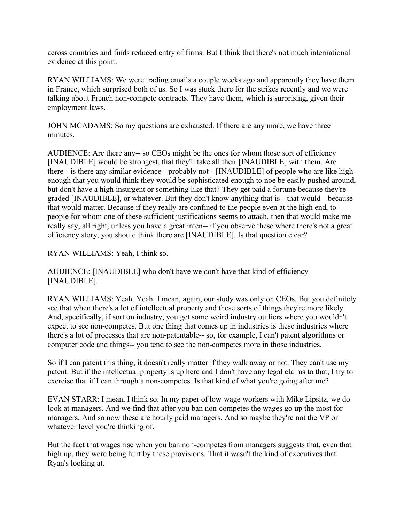across countries and finds reduced entry of firms. But I think that there's not much international evidence at this point.

 RYAN WILLIAMS: We were trading emails a couple weeks ago and apparently they have them in France, which surprised both of us. So I was stuck there for the strikes recently and we were talking about French non-compete contracts. They have them, which is surprising, given their employment laws.

 JOHN MCADAMS: So my questions are exhausted. If there are any more, we have three minutes.

minutes.<br>AUDIENCE: Are there any-- so CEOs might be the ones for whom those sort of efficiency [INAUDIBLE] would be strongest, that they'll take all their [INAUDIBLE] with them. Are there-- is there any similar evidence-- probably not-- [INAUDIBLE] of people who are like high enough that you would think they would be sophisticated enough to noe be easily pushed around, but don't have a high insurgent or something like that? They get paid a fortune because they're graded [INAUDIBLE], or whatever. But they don't know anything that is-- that would-- because that would matter. Because if they really are confined to the people even at the high end, to people for whom one of these sufficient justifications seems to attach, then that would make me really say, all right, unless you have a great inten-- if you observe these where there's not a great efficiency story, you should think there are [INAUDIBLE]. Is that question clear?

RYAN WILLIAMS: Yeah, I think so.

 AUDIENCE: [INAUDIBLE] who don't have we don't have that kind of efficiency [INAUDIBLE].

 RYAN WILLIAMS: Yeah. Yeah. I mean, again, our study was only on CEOs. But you definitely see that when there's a lot of intellectual property and these sorts of things they're more likely. And, specifically, if sort on industry, you get some weird industry outliers where you wouldn't expect to see non-competes. But one thing that comes up in industries is these industries where there's a lot of processes that are non-patentable-- so, for example, I can't patent algorithms or computer code and things-- you tend to see the non-competes more in those industries.

 So if I can patent this thing, it doesn't really matter if they walk away or not. They can't use my patent. But if the intellectual property is up here and I don't have any legal claims to that, I try to exercise that if I can through a non-competes. Is that kind of what you're going after me?

 EVAN STARR: I mean, I think so. In my paper of low-wage workers with Mike Lipsitz, we do look at managers. And we find that after you ban non-competes the wages go up the most for managers. And so now these are hourly paid managers. And so maybe they're not the VP or whatever level you're thinking of.

 But the fact that wages rise when you ban non-competes from managers suggests that, even that high up, they were being hurt by these provisions. That it wasn't the kind of executives that Ryan's looking at.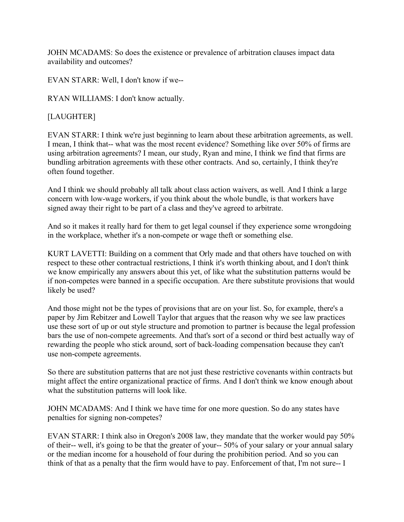JOHN MCADAMS: So does the existence or prevalence of arbitration clauses impact data availability and outcomes?

availability and outcomes? EVAN STARR: Well, I don't know if we--

RYAN WILLIAMS: I don't know actually.

## [LAUGHTER]

 EVAN STARR: I think we're just beginning to learn about these arbitration agreements, as well. I mean, I think that-- what was the most recent evidence? Something like over 50% of firms are using arbitration agreements? I mean, our study, Ryan and mine, I think we find that firms are bundling arbitration agreements with these other contracts. And so, certainly, I think they're often found together.

 And I think we should probably all talk about class action waivers, as well. And I think a large concern with low-wage workers, if you think about the whole bundle, is that workers have signed away their right to be part of a class and they've agreed to arbitrate.

 And so it makes it really hard for them to get legal counsel if they experience some wrongdoing in the workplace, whether it's a non-compete or wage theft or something else.

 KURT LAVETTI: Building on a comment that Orly made and that others have touched on with respect to these other contractual restrictions, I think it's worth thinking about, and I don't think we know empirically any answers about this yet, of like what the substitution patterns would be if non-competes were banned in a specific occupation. Are there substitute provisions that would likely be used?

 And those might not be the types of provisions that are on your list. So, for example, there's a paper by Jim Rebitzer and Lowell Taylor that argues that the reason why we see law practices use these sort of up or out style structure and promotion to partner is because the legal profession bars the use of non-compete agreements. And that's sort of a second or third best actually way of rewarding the people who stick around, sort of back-loading compensation because they can't use non-compete agreements.

 So there are substitution patterns that are not just these restrictive covenants within contracts but might affect the entire organizational practice of firms. And I don't think we know enough about what the substitution patterns will look like.

 JOHN MCADAMS: And I think we have time for one more question. So do any states have penalties for signing non-competes?

 EVAN STARR: I think also in Oregon's 2008 law, they mandate that the worker would pay 50% of their-- well, it's going to be that the greater of your-- 50% of your salary or your annual salary or the median income for a household of four during the prohibition period. And so you can think of that as a penalty that the firm would have to pay. Enforcement of that, I'm not sure-- I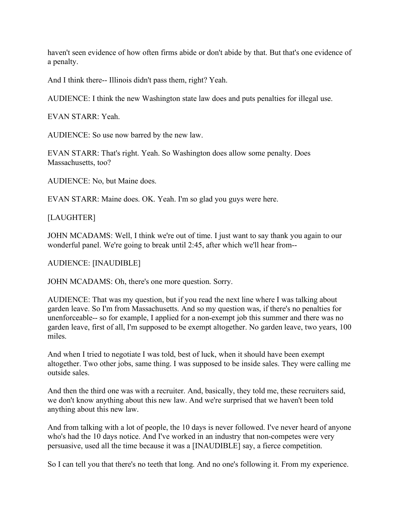haven't seen evidence of how often firms abide or don't abide by that. But that's one evidence of a penalty.

And I think there-- Illinois didn't pass them, right? Yeah.

AUDIENCE: I think the new Washington state law does and puts penalties for illegal use.

EVAN STARR: Yeah.

AUDIENCE: So use now barred by the new law.

 EVAN STARR: That's right. Yeah. So Washington does allow some penalty. Does Massachusetts, too?

AUDIENCE: No, but Maine does.

EVAN STARR: Maine does. OK. Yeah. I'm so glad you guys were here.

[LAUGHTER]

 JOHN MCADAMS: Well, I think we're out of time. I just want to say thank you again to our wonderful panel. We're going to break until 2:45, after which we'll hear from--

AUDIENCE: [INAUDIBLE]

JOHN MCADAMS: Oh, there's one more question. Sorry.

 AUDIENCE: That was my question, but if you read the next line where I was talking about garden leave. So I'm from Massachusetts. And so my question was, if there's no penalties for unenforceable-- so for example, I applied for a non-exempt job this summer and there was no garden leave, first of all, I'm supposed to be exempt altogether. No garden leave, two years, 100 miles.

 And when I tried to negotiate I was told, best of luck, when it should have been exempt altogether. Two other jobs, same thing. I was supposed to be inside sales. They were calling me outside sales.

 And then the third one was with a recruiter. And, basically, they told me, these recruiters said, we don't know anything about this new law. And we're surprised that we haven't been told anything about this new law.

 And from talking with a lot of people, the 10 days is never followed. I've never heard of anyone who's had the 10 days notice. And I've worked in an industry that non-competes were very persuasive, used all the time because it was a [INAUDIBLE] say, a fierce competition.

So I can tell you that there's no teeth that long. And no one's following it. From my experience.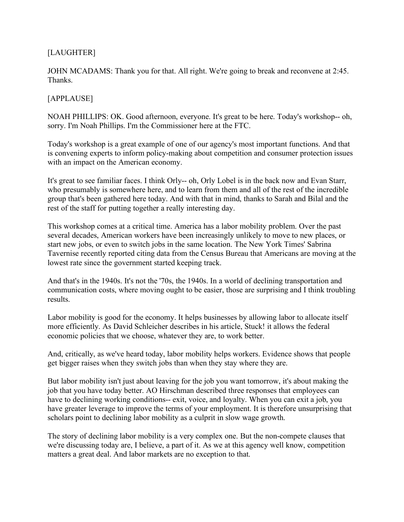# [LAUGHTER]

 JOHN MCADAMS: Thank you for that. All right. We're going to break and reconvene at 2:45. Thanks.

### [APPLAUSE]

 NOAH PHILLIPS: OK. Good afternoon, everyone. It's great to be here. Today's workshop-- oh, sorry. I'm Noah Phillips. I'm the Commissioner here at the FTC.

 Today's workshop is a great example of one of our agency's most important functions. And that is convening experts to inform policy-making about competition and consumer protection issues with an impact on the American economy.

 It's great to see familiar faces. I think Orly-- oh, Orly Lobel is in the back now and Evan Starr, who presumably is somewhere here, and to learn from them and all of the rest of the incredible group that's been gathered here today. And with that in mind, thanks to Sarah and Bilal and the rest of the staff for putting together a really interesting day.

 This workshop comes at a critical time. America has a labor mobility problem. Over the past several decades, American workers have been increasingly unlikely to move to new places, or start new jobs, or even to switch jobs in the same location. The New York Times' Sabrina Tavernise recently reported citing data from the Census Bureau that Americans are moving at the lowest rate since the government started keeping track.

 And that's in the 1940s. It's not the '70s, the 1940s. In a world of declining transportation and communication costs, where moving ought to be easier, those are surprising and I think troubling results.

results.<br>Labor mobility is good for the economy. It helps businesses by allowing labor to allocate itself more efficiently. As David Schleicher describes in his article, Stuck! it allows the federal economic policies that we choose, whatever they are, to work better.

 And, critically, as we've heard today, labor mobility helps workers. Evidence shows that people get bigger raises when they switch jobs than when they stay where they are.

 But labor mobility isn't just about leaving for the job you want tomorrow, it's about making the job that you have today better. AO Hirschman described three responses that employees can have to declining working conditions-- exit, voice, and loyalty. When you can exit a job, you have greater leverage to improve the terms of your employment. It is therefore unsurprising that scholars point to declining labor mobility as a culprit in slow wage growth.

 The story of declining labor mobility is a very complex one. But the non-compete clauses that we're discussing today are, I believe, a part of it. As we at this agency well know, competition matters a great deal. And labor markets are no exception to that.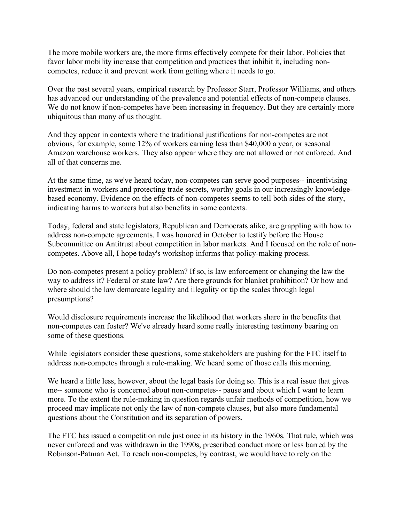The more mobile workers are, the more firms effectively compete for their labor. Policies that favor labor mobility increase that competition and practices that inhibit it, including non-competes, reduce it and prevent work from getting where it needs to go.

 Over the past several years, empirical research by Professor Starr, Professor Williams, and others has advanced our understanding of the prevalence and potential effects of non-compete clauses. We do not know if non-competes have been increasing in frequency. But they are certainly more ubiquitous than many of us thought.

 And they appear in contexts where the traditional justifications for non-competes are not obvious, for example, some 12% of workers earning less than \$40,000 a year, or seasonal Amazon warehouse workers. They also appear where they are not allowed or not enforced. And all of that concerns me.

 At the same time, as we've heard today, non-competes can serve good purposes-- incentivising investment in workers and protecting trade secrets, worthy goals in our increasingly knowledge- based economy. Evidence on the effects of non-competes seems to tell both sides of the story, indicating harms to workers but also benefits in some contexts.

 Today, federal and state legislators, Republican and Democrats alike, are grappling with how to address non-compete agreements. I was honored in October to testify before the House Subcommittee on Antitrust about competition in labor markets. And I focused on the role of non-competes. Above all, I hope today's workshop informs that policy-making process.

 Do non-competes present a policy problem? If so, is law enforcement or changing the law the way to address it? Federal or state law? Are there grounds for blanket prohibition? Or how and where should the law demarcate legality and illegality or tip the scales through legal presumptions?

presumptions?<br>Would disclosure requirements increase the likelihood that workers share in the benefits that non-competes can foster? We've already heard some really interesting testimony bearing on some of these questions.

 While legislators consider these questions, some stakeholders are pushing for the FTC itself to address non-competes through a rule-making. We heard some of those calls this morning.

 We heard a little less, however, about the legal basis for doing so. This is a real issue that gives me-- someone who is concerned about non-competes-- pause and about which I want to learn more. To the extent the rule-making in question regards unfair methods of competition, how we proceed may implicate not only the law of non-compete clauses, but also more fundamental questions about the Constitution and its separation of powers.

 The FTC has issued a competition rule just once in its history in the 1960s. That rule, which was never enforced and was withdrawn in the 1990s, prescribed conduct more or less barred by the Robinson-Patman Act. To reach non-competes, by contrast, we would have to rely on the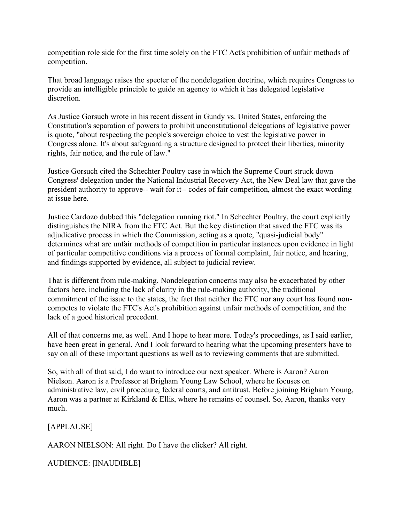competition role side for the first time solely on the FTC Act's prohibition of unfair methods of competition.

competition.<br>That broad language raises the specter of the nondelegation doctrine, which requires Congress to provide an intelligible principle to guide an agency to which it has delegated legislative discretion

discretion.<br>As Justice Gorsuch wrote in his recent dissent in Gundy vs. United States, enforcing the Constitution's separation of powers to prohibit unconstitutional delegations of legislative power is quote, "about respecting the people's sovereign choice to vest the legislative power in Congress alone. It's about safeguarding a structure designed to protect their liberties, minority rights, fair notice, and the rule of law."

 Justice Gorsuch cited the Schechter Poultry case in which the Supreme Court struck down Congress' delegation under the National Industrial Recovery Act, the New Deal law that gave the president authority to approve-- wait for it-- codes of fair competition, almost the exact wording at issue here.

 Justice Cardozo dubbed this "delegation running riot." In Schechter Poultry, the court explicitly distinguishes the NIRA from the FTC Act. But the key distinction that saved the FTC was its adjudicative process in which the Commission, acting as a quote, "quasi-judicial body" determines what are unfair methods of competition in particular instances upon evidence in light of particular competitive conditions via a process of formal complaint, fair notice, and hearing, and findings supported by evidence, all subject to judicial review.

 That is different from rule-making. Nondelegation concerns may also be exacerbated by other factors here, including the lack of clarity in the rule-making authority, the traditional commitment of the issue to the states, the fact that neither the FTC nor any court has found non- competes to violate the FTC's Act's prohibition against unfair methods of competition, and the lack of a good historical precedent.

 All of that concerns me, as well. And I hope to hear more. Today's proceedings, as I said earlier, have been great in general. And I look forward to hearing what the upcoming presenters have to say on all of these important questions as well as to reviewing comments that are submitted.

 So, with all of that said, I do want to introduce our next speaker. Where is Aaron? Aaron Nielson. Aaron is a Professor at Brigham Young Law School, where he focuses on administrative law, civil procedure, federal courts, and antitrust. Before joining Brigham Young, Aaron was a partner at Kirkland & Ellis, where he remains of counsel. So, Aaron, thanks very much.

[APPLAUSE]

much.<br>[APPLAUSE]<br>AARON NIELSON: All right. Do I have the clicker? All right.

AUDIENCE: [INAUDIBLE]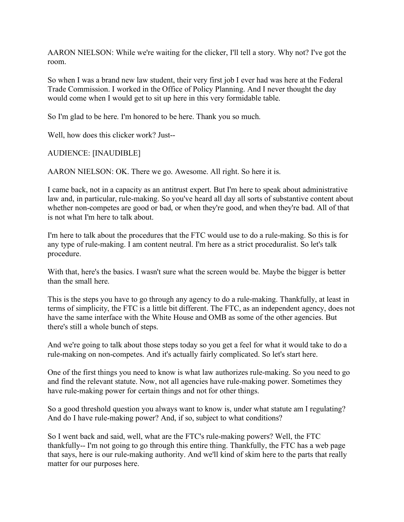AARON NIELSON: While we're waiting for the clicker, I'll tell a story. Why not? I've got the room.

room.<br>So when I was a brand new law student, their very first job I ever had was here at the Federal Trade Commission. I worked in the Office of Policy Planning. And I never thought the day would come when I would get to sit up here in this very formidable table.

So I'm glad to be here. I'm honored to be here. Thank you so much.

Well, how does this clicker work? Just--

AUDIENCE: [INAUDIBLE]

AARON NIELSON: OK. There we go. Awesome. All right. So here it is.

 I came back, not in a capacity as an antitrust expert. But I'm here to speak about administrative law and, in particular, rule-making. So you've heard all day all sorts of substantive content about whether non-competes are good or bad, or when they're good, and when they're bad. All of that is not what I'm here to talk about.

 I'm here to talk about the procedures that the FTC would use to do a rule-making. So this is for any type of rule-making. I am content neutral. I'm here as a strict proceduralist. So let's talk procedure.

 With that, here's the basics. I wasn't sure what the screen would be. Maybe the bigger is better than the small here.

 This is the steps you have to go through any agency to do a rule-making. Thankfully, at least in terms of simplicity, the FTC is a little bit different. The FTC, as an independent agency, does not have the same interface with the White House and OMB as some of the other agencies. But there's still a whole bunch of steps.

 And we're going to talk about those steps today so you get a feel for what it would take to do a rule-making on non-competes. And it's actually fairly complicated. So let's start here.

 One of the first things you need to know is what law authorizes rule-making. So you need to go and find the relevant statute. Now, not all agencies have rule-making power. Sometimes they have rule-making power for certain things and not for other things.

 So a good threshold question you always want to know is, under what statute am I regulating? And do I have rule-making power? And, if so, subject to what conditions?

 So I went back and said, well, what are the FTC's rule-making powers? Well, the FTC thankfully-- I'm not going to go through this entire thing. Thankfully, the FTC has a web page that says, here is our rule-making authority. And we'll kind of skim here to the parts that really matter for our purposes here.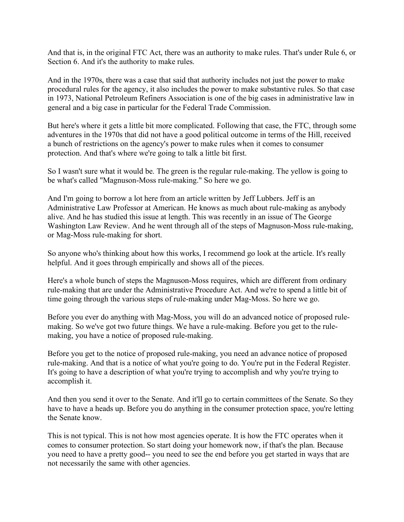And that is, in the original FTC Act, there was an authority to make rules. That's under Rule 6, or Section 6. And it's the authority to make rules.

 And in the 1970s, there was a case that said that authority includes not just the power to make procedural rules for the agency, it also includes the power to make substantive rules. So that case in 1973, National Petroleum Refiners Association is one of the big cases in administrative law in general and a big case in particular for the Federal Trade Commission.

 But here's where it gets a little bit more complicated. Following that case, the FTC, through some adventures in the 1970s that did not have a good political outcome in terms of the Hill, received a bunch of restrictions on the agency's power to make rules when it comes to consumer protection. And that's where we're going to talk a little bit first.

 So I wasn't sure what it would be. The green is the regular rule-making. The yellow is going to be what's called "Magnuson-Moss rule-making." So here we go.

 And I'm going to borrow a lot here from an article written by Jeff Lubbers. Jeff is an Administrative Law Professor at American. He knows as much about rule-making as anybody alive. And he has studied this issue at length. This was recently in an issue of The George Washington Law Review. And he went through all of the steps of Magnuson-Moss rule-making, or Mag-Moss rule-making for short.

 So anyone who's thinking about how this works, I recommend go look at the article. It's really helpful. And it goes through empirically and shows all of the pieces.

 Here's a whole bunch of steps the Magnuson-Moss requires, which are different from ordinary rule-making that are under the Administrative Procedure Act. And we're to spend a little bit of time going through the various steps of rule-making under Mag-Moss. So here we go.

 Before you ever do anything with Mag-Moss, you will do an advanced notice of proposed rule- making. So we've got two future things. We have a rule-making. Before you get to the rule-making, you have a notice of proposed rule-making.

 Before you get to the notice of proposed rule-making, you need an advance notice of proposed rule-making. And that is a notice of what you're going to do. You're put in the Federal Register. It's going to have a description of what you're trying to accomplish and why you're trying to accomplish it.

accomplish it.<br>And then you send it over to the Senate. And it'll go to certain committees of the Senate. So they have to have a heads up. Before you do anything in the consumer protection space, you're letting the Senate know.

 This is not typical. This is not how most agencies operate. It is how the FTC operates when it comes to consumer protection. So start doing your homework now, if that's the plan. Because you need to have a pretty good-- you need to see the end before you get started in ways that are not necessarily the same with other agencies.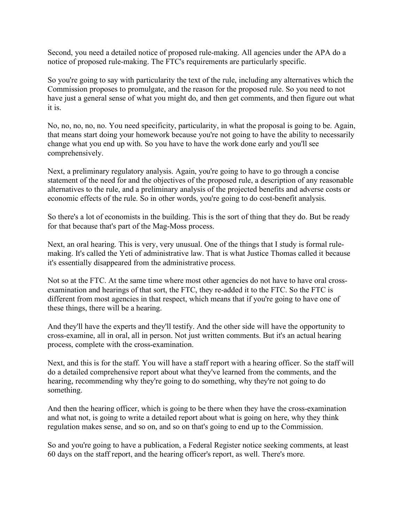Second, you need a detailed notice of proposed rule-making. All agencies under the APA do a notice of proposed rule-making. The FTC's requirements are particularly specific.

 So you're going to say with particularity the text of the rule, including any alternatives which the Commission proposes to promulgate, and the reason for the proposed rule. So you need to not have just a general sense of what you might do, and then get comments, and then figure out what it is.

 No, no, no, no, no. You need specificity, particularity, in what the proposal is going to be. Again, that means start doing your homework because you're not going to have the ability to necessarily change what you end up with. So you have to have the work done early and you'll see comprehensively.

comprehensively.<br>Next, a preliminary regulatory analysis. Again, you're going to have to go through a concise statement of the need for and the objectives of the proposed rule, a description of any reasonable alternatives to the rule, and a preliminary analysis of the projected benefits and adverse costs or economic effects of the rule. So in other words, you're going to do cost-benefit analysis.

 So there's a lot of economists in the building. This is the sort of thing that they do. But be ready for that because that's part of the Mag-Moss process.

 Next, an oral hearing. This is very, very unusual. One of the things that I study is formal rule- making. It's called the Yeti of administrative law. That is what Justice Thomas called it because it's essentially disappeared from the administrative process.

 Not so at the FTC. At the same time where most other agencies do not have to have oral cross- examination and hearings of that sort, the FTC, they re-added it to the FTC. So the FTC is different from most agencies in that respect, which means that if you're going to have one of these things, there will be a hearing.

 And they'll have the experts and they'll testify. And the other side will have the opportunity to cross-examine, all in oral, all in person. Not just written comments. But it's an actual hearing process, complete with the cross-examination.

 Next, and this is for the staff. You will have a staff report with a hearing officer. So the staff will do a detailed comprehensive report about what they've learned from the comments, and the hearing, recommending why they're going to do something, why they're not going to do something.

something.<br>And then the hearing officer, which is going to be there when they have the cross-examination and what not, is going to write a detailed report about what is going on here, why they think regulation makes sense, and so on, and so on that's going to end up to the Commission.

 So and you're going to have a publication, a Federal Register notice seeking comments, at least 60 days on the staff report, and the hearing officer's report, as well. There's more.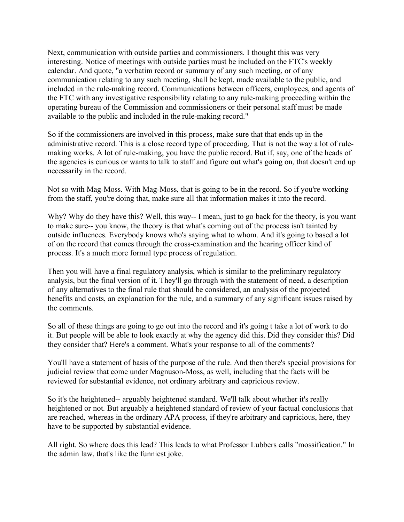Next, communication with outside parties and commissioners. I thought this was very interesting. Notice of meetings with outside parties must be included on the FTC's weekly calendar. And quote, "a verbatim record or summary of any such meeting, or of any communication relating to any such meeting, shall be kept, made available to the public, and included in the rule-making record. Communications between officers, employees, and agents of the FTC with any investigative responsibility relating to any rule-making proceeding within the operating bureau of the Commission and commissioners or their personal staff must be made available to the public and included in the rule-making record."

 So if the commissioners are involved in this process, make sure that that ends up in the administrative record. This is a close record type of proceeding. That is not the way a lot of rule- making works. A lot of rule-making, you have the public record. But if, say, one of the heads of the agencies is curious or wants to talk to staff and figure out what's going on, that doesn't end up necessarily in the record.

 Not so with Mag-Moss. With Mag-Moss, that is going to be in the record. So if you're working from the staff, you're doing that, make sure all that information makes it into the record.

 Why? Why do they have this? Well, this way-- I mean, just to go back for the theory, is you want to make sure-- you know, the theory is that what's coming out of the process isn't tainted by outside influences. Everybody knows who's saying what to whom. And it's going to based a lot of on the record that comes through the cross-examination and the hearing officer kind of process. It's a much more formal type process of regulation.

 Then you will have a final regulatory analysis, which is similar to the preliminary regulatory analysis, but the final version of it. They'll go through with the statement of need, a description of any alternatives to the final rule that should be considered, an analysis of the projected benefits and costs, an explanation for the rule, and a summary of any significant issues raised by the comments.

 So all of these things are going to go out into the record and it's going t take a lot of work to do it. But people will be able to look exactly at why the agency did this. Did they consider this? Did they consider that? Here's a comment. What's your response to all of the comments?

 You'll have a statement of basis of the purpose of the rule. And then there's special provisions for judicial review that come under Magnuson-Moss, as well, including that the facts will be reviewed for substantial evidence, not ordinary arbitrary and capricious review.

 So it's the heightened-- arguably heightened standard. We'll talk about whether it's really heightened or not. But arguably a heightened standard of review of your factual conclusions that are reached, whereas in the ordinary APA process, if they're arbitrary and capricious, here, they have to be supported by substantial evidence.

 All right. So where does this lead? This leads to what Professor Lubbers calls "mossification." In the admin law, that's like the funniest joke.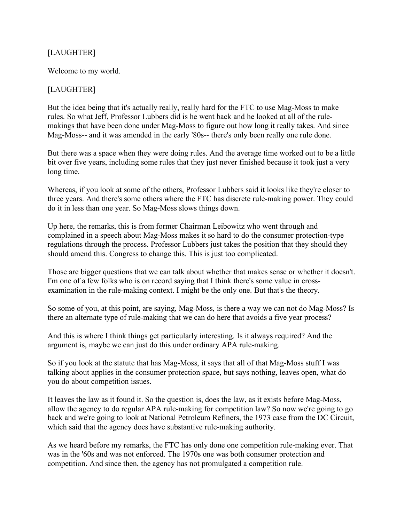## [LAUGHTER]

Welcome to my world.<br>[LAUGHTER]

 But the idea being that it's actually really, really hard for the FTC to use Mag-Moss to make rules. So what Jeff, Professor Lubbers did is he went back and he looked at all of the rule- makings that have been done under Mag-Moss to figure out how long it really takes. And since Mag-Moss-- and it was amended in the early '80s-- there's only been really one rule done.

 But there was a space when they were doing rules. And the average time worked out to be a little bit over five years, including some rules that they just never finished because it took just a very long time.

long time.<br>Whereas, if you look at some of the others, Professor Lubbers said it looks like they're closer to three years. And there's some others where the FTC has discrete rule-making power. They could do it in less than one year. So Mag-Moss slows things down.

 Up here, the remarks, this is from former Chairman Leibowitz who went through and complained in a speech about Mag-Moss makes it so hard to do the consumer protection-type regulations through the process. Professor Lubbers just takes the position that they should they should amend this. Congress to change this. This is just too complicated.

 Those are bigger questions that we can talk about whether that makes sense or whether it doesn't. I'm one of a few folks who is on record saying that I think there's some value in cross-examination in the rule-making context. I might be the only one. But that's the theory.

 So some of you, at this point, are saying, Mag-Moss, is there a way we can not do Mag-Moss? Is there an alternate type of rule-making that we can do here that avoids a five year process?

 And this is where I think things get particularly interesting. Is it always required? And the argument is, maybe we can just do this under ordinary APA rule-making.

 So if you look at the statute that has Mag-Moss, it says that all of that Mag-Moss stuff I was talking about applies in the consumer protection space, but says nothing, leaves open, what do you do about competition issues.

you do about competition issues.<br>It leaves the law as it found it. So the question is, does the law, as it exists before Mag-Moss, allow the agency to do regular APA rule-making for competition law? So now we're going to go back and we're going to look at National Petroleum Refiners, the 1973 case from the DC Circuit, which said that the agency does have substantive rule-making authority.

 As we heard before my remarks, the FTC has only done one competition rule-making ever. That was in the '60s and was not enforced. The 1970s one was both consumer protection and competition. And since then, the agency has not promulgated a competition rule.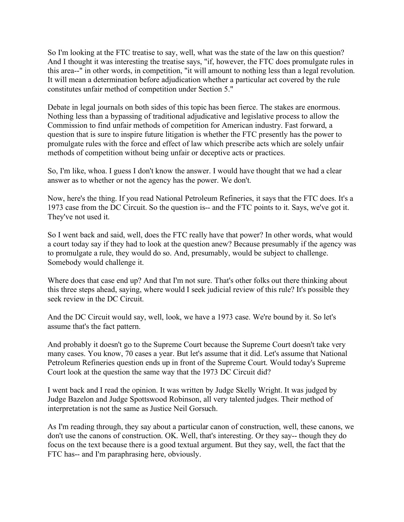So I'm looking at the FTC treatise to say, well, what was the state of the law on this question? And I thought it was interesting the treatise says, "if, however, the FTC does promulgate rules in this area--" in other words, in competition, "it will amount to nothing less than a legal revolution. It will mean a determination before adjudication whether a particular act covered by the rule constitutes unfair method of competition under Section 5."

 Debate in legal journals on both sides of this topic has been fierce. The stakes are enormous. Nothing less than a bypassing of traditional adjudicative and legislative process to allow the Commission to find unfair methods of competition for American industry. Fast forward, a question that is sure to inspire future litigation is whether the FTC presently has the power to promulgate rules with the force and effect of law which prescribe acts which are solely unfair methods of competition without being unfair or deceptive acts or practices.

 So, I'm like, whoa. I guess I don't know the answer. I would have thought that we had a clear answer as to whether or not the agency has the power. We don't.

 Now, here's the thing. If you read National Petroleum Refineries, it says that the FTC does. It's a 1973 case from the DC Circuit. So the question is-- and the FTC points to it. Says, we've got it. They've not used it.

 So I went back and said, well, does the FTC really have that power? In other words, what would a court today say if they had to look at the question anew? Because presumably if the agency was to promulgate a rule, they would do so. And, presumably, would be subject to challenge. Somebody would challenge it.

 Where does that case end up? And that I'm not sure. That's other folks out there thinking about this three steps ahead, saying, where would I seek judicial review of this rule? It's possible they seek review in the DC Circuit.

 And the DC Circuit would say, well, look, we have a 1973 case. We're bound by it. So let's assume that's the fact pattern.

 And probably it doesn't go to the Supreme Court because the Supreme Court doesn't take very many cases. You know, 70 cases a year. But let's assume that it did. Let's assume that National Petroleum Refineries question ends up in front of the Supreme Court. Would today's Supreme Court look at the question the same way that the 1973 DC Circuit did?

 I went back and I read the opinion. It was written by Judge Skelly Wright. It was judged by Judge Bazelon and Judge Spottswood Robinson, all very talented judges. Their method of interpretation is not the same as Justice Neil Gorsuch.

 As I'm reading through, they say about a particular canon of construction, well, these canons, we don't use the canons of construction. OK. Well, that's interesting. Or they say-- though they do focus on the text because there is a good textual argument. But they say, well, the fact that the FTC has-- and I'm paraphrasing here, obviously.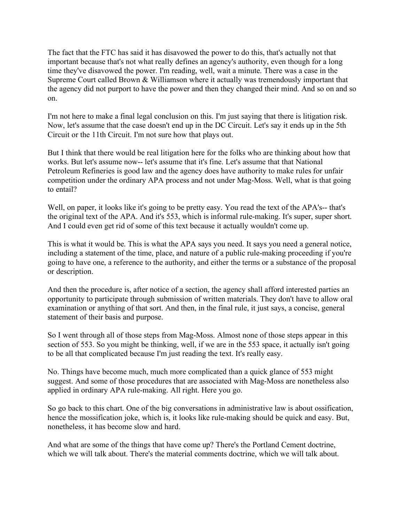The fact that the FTC has said it has disavowed the power to do this, that's actually not that important because that's not what really defines an agency's authority, even though for a long time they've disavowed the power. I'm reading, well, wait a minute. There was a case in the Supreme Court called Brown & Williamson where it actually was tremendously important that the agency did not purport to have the power and then they changed their mind. And so on and so on.

 I'm not here to make a final legal conclusion on this. I'm just saying that there is litigation risk. Now, let's assume that the case doesn't end up in the DC Circuit. Let's say it ends up in the 5th Circuit or the 11th Circuit. I'm not sure how that plays out.

 But I think that there would be real litigation here for the folks who are thinking about how that works. But let's assume now-- let's assume that it's fine. Let's assume that that National Petroleum Refineries is good law and the agency does have authority to make rules for unfair competition under the ordinary APA process and not under Mag-Moss. Well, what is that going to entail?

to entail?<br>Well, on paper, it looks like it's going to be pretty easy. You read the text of the APA's-- that's the original text of the APA. And it's 553, which is informal rule-making. It's super, super short. And I could even get rid of some of this text because it actually wouldn't come up.

 This is what it would be. This is what the APA says you need. It says you need a general notice, including a statement of the time, place, and nature of a public rule-making proceeding if you're going to have one, a reference to the authority, and either the terms or a substance of the proposal or description.

 And then the procedure is, after notice of a section, the agency shall afford interested parties an opportunity to participate through submission of written materials. They don't have to allow oral examination or anything of that sort. And then, in the final rule, it just says, a concise, general statement of their basis and purpose.

 So I went through all of those steps from Mag-Moss. Almost none of those steps appear in this section of 553. So you might be thinking, well, if we are in the 553 space, it actually isn't going to be all that complicated because I'm just reading the text. It's really easy.

 No. Things have become much, much more complicated than a quick glance of 553 might suggest. And some of those procedures that are associated with Mag-Moss are nonetheless also applied in ordinary APA rule-making. All right. Here you go.

 So go back to this chart. One of the big conversations in administrative law is about ossification, hence the mossification joke, which is, it looks like rule-making should be quick and easy. But, nonetheless, it has become slow and hard.

 And what are some of the things that have come up? There's the Portland Cement doctrine, which we will talk about. There's the material comments doctrine, which we will talk about.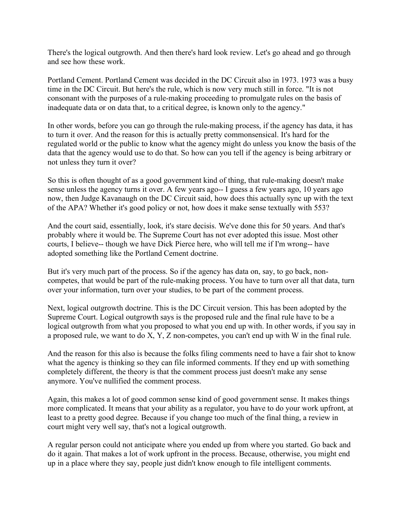There's the logical outgrowth. And then there's hard look review. Let's go ahead and go through and see how these work.

 Portland Cement. Portland Cement was decided in the DC Circuit also in 1973. 1973 was a busy time in the DC Circuit. But here's the rule, which is now very much still in force. "It is not consonant with the purposes of a rule-making proceeding to promulgate rules on the basis of inadequate data or on data that, to a critical degree, is known only to the agency."

 In other words, before you can go through the rule-making process, if the agency has data, it has to turn it over. And the reason for this is actually pretty commonsensical. It's hard for the regulated world or the public to know what the agency might do unless you know the basis of the data that the agency would use to do that. So how can you tell if the agency is being arbitrary or not unless they turn it over?

 So this is often thought of as a good government kind of thing, that rule-making doesn't make sense unless the agency turns it over. A few years ago-- I guess a few years ago, 10 years ago now, then Judge Kavanaugh on the DC Circuit said, how does this actually sync up with the text of the APA? Whether it's good policy or not, how does it make sense textually with 553?

 And the court said, essentially, look, it's stare decisis. We've done this for 50 years. And that's probably where it would be. The Supreme Court has not ever adopted this issue. Most other courts, I believe-- though we have Dick Pierce here, who will tell me if I'm wrong-- have adopted something like the Portland Cement doctrine.

 But it's very much part of the process. So if the agency has data on, say, to go back, non- competes, that would be part of the rule-making process. You have to turn over all that data, turn over your information, turn over your studies, to be part of the comment process.

 Next, logical outgrowth doctrine. This is the DC Circuit version. This has been adopted by the Supreme Court. Logical outgrowth says is the proposed rule and the final rule have to be a logical outgrowth from what you proposed to what you end up with. In other words, if you say in a proposed rule, we want to do X, Y, Z non-competes, you can't end up with W in the final rule.

 And the reason for this also is because the folks filing comments need to have a fair shot to know what the agency is thinking so they can file informed comments. If they end up with something completely different, the theory is that the comment process just doesn't make any sense anymore. You've nullified the comment process.

 Again, this makes a lot of good common sense kind of good government sense. It makes things more complicated. It means that your ability as a regulator, you have to do your work upfront, at least to a pretty good degree. Because if you change too much of the final thing, a review in court might very well say, that's not a logical outgrowth.

 A regular person could not anticipate where you ended up from where you started. Go back and do it again. That makes a lot of work upfront in the process. Because, otherwise, you might end up in a place where they say, people just didn't know enough to file intelligent comments.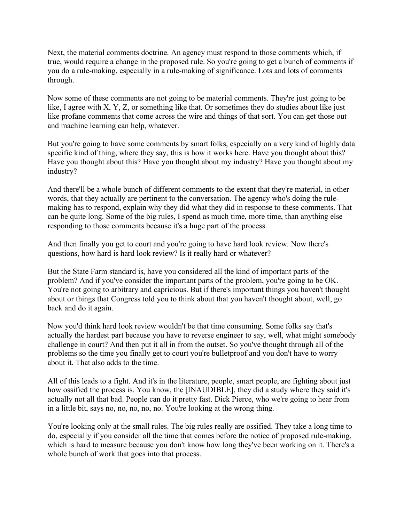Next, the material comments doctrine. An agency must respond to those comments which, if true, would require a change in the proposed rule. So you're going to get a bunch of comments if you do a rule-making, especially in a rule-making of significance. Lots and lots of comments through.

through.<br>Now some of these comments are not going to be material comments. They're just going to be like, I agree with X, Y, Z, or something like that. Or sometimes they do studies about like just like profane comments that come across the wire and things of that sort. You can get those out and machine learning can help, whatever.

 But you're going to have some comments by smart folks, especially on a very kind of highly data specific kind of thing, where they say, this is how it works here. Have you thought about this? Have you thought about this? Have you thought about my industry? Have you thought about my industry?

industry?<br>And there'll be a whole bunch of different comments to the extent that they're material, in other words, that they actually are pertinent to the conversation. The agency who's doing the rule- making has to respond, explain why they did what they did in response to these comments. That can be quite long. Some of the big rules, I spend as much time, more time, than anything else responding to those comments because it's a huge part of the process.

 And then finally you get to court and you're going to have hard look review. Now there's questions, how hard is hard look review? Is it really hard or whatever?

 But the State Farm standard is, have you considered all the kind of important parts of the problem? And if you've consider the important parts of the problem, you're going to be OK. You're not going to arbitrary and capricious. But if there's important things you haven't thought about or things that Congress told you to think about that you haven't thought about, well, go back and do it again.

 Now you'd think hard look review wouldn't be that time consuming. Some folks say that's actually the hardest part because you have to reverse engineer to say, well, what might somebody challenge in court? And then put it all in from the outset. So you've thought through all of the problems so the time you finally get to court you're bulletproof and you don't have to worry about it. That also adds to the time.

 All of this leads to a fight. And it's in the literature, people, smart people, are fighting about just how ossified the process is. You know, the [INAUDIBLE], they did a study where they said it's actually not all that bad. People can do it pretty fast. Dick Pierce, who we're going to hear from in a little bit, says no, no, no, no, no. You're looking at the wrong thing.

 You're looking only at the small rules. The big rules really are ossified. They take a long time to do, especially if you consider all the time that comes before the notice of proposed rule-making, which is hard to measure because you don't know how long they've been working on it. There's a whole bunch of work that goes into that process.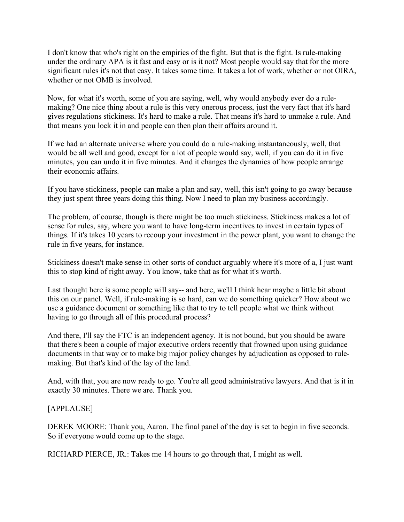I don't know that who's right on the empirics of the fight. But that is the fight. Is rule-making under the ordinary APA is it fast and easy or is it not? Most people would say that for the more significant rules it's not that easy. It takes some time. It takes a lot of work, whether or not OIRA, whether or not OMB is involved.

 Now, for what it's worth, some of you are saying, well, why would anybody ever do a rule- making? One nice thing about a rule is this very onerous process, just the very fact that it's hard gives regulations stickiness. It's hard to make a rule. That means it's hard to unmake a rule. And that means you lock it in and people can then plan their affairs around it.

 If we had an alternate universe where you could do a rule-making instantaneously, well, that would be all well and good, except for a lot of people would say, well, if you can do it in five minutes, you can undo it in five minutes. And it changes the dynamics of how people arrange their economic affairs.

 If you have stickiness, people can make a plan and say, well, this isn't going to go away because they just spent three years doing this thing. Now I need to plan my business accordingly.

 The problem, of course, though is there might be too much stickiness. Stickiness makes a lot of sense for rules, say, where you want to have long-term incentives to invest in certain types of things. If it's takes 10 years to recoup your investment in the power plant, you want to change the rule in five years, for instance.

 Stickiness doesn't make sense in other sorts of conduct arguably where it's more of a, I just want this to stop kind of right away. You know, take that as for what it's worth.

 Last thought here is some people will say-- and here, we'll I think hear maybe a little bit about this on our panel. Well, if rule-making is so hard, can we do something quicker? How about we use a guidance document or something like that to try to tell people what we think without having to go through all of this procedural process?

 And there, I'll say the FTC is an independent agency. It is not bound, but you should be aware that there's been a couple of major executive orders recently that frowned upon using guidance documents in that way or to make big major policy changes by adjudication as opposed to rule-making. But that's kind of the lay of the land.

 And, with that, you are now ready to go. You're all good administrative lawyers. And that is it in exactly 30 minutes. There we are. Thank you.

### [APPLAUSE]

 DEREK MOORE: Thank you, Aaron. The final panel of the day is set to begin in five seconds. So if everyone would come up to the stage.

RICHARD PIERCE, JR.: Takes me 14 hours to go through that, I might as well.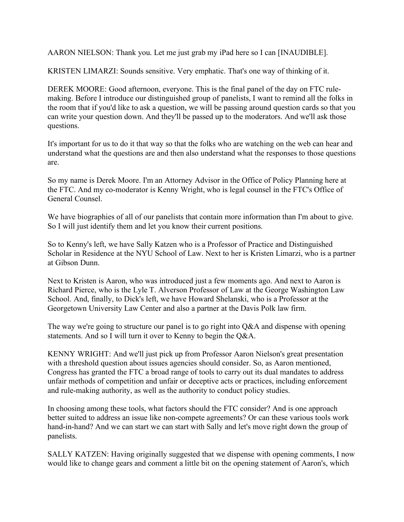AARON NIELSON: Thank you. Let me just grab my iPad here so I can [INAUDIBLE].

KRISTEN LIMARZI: Sounds sensitive. Very emphatic. That's one way of thinking of it.

 DEREK MOORE: Good afternoon, everyone. This is the final panel of the day on FTC rule- making. Before I introduce our distinguished group of panelists, I want to remind all the folks in the room that if you'd like to ask a question, we will be passing around question cards so that you can write your question down. And they'll be passed up to the moderators. And we'll ask those questions.

questions.<br>It's important for us to do it that way so that the folks who are watching on the web can hear and understand what the questions are and then also understand what the responses to those questions are.

 So my name is Derek Moore. I'm an Attorney Advisor in the Office of Policy Planning here at the FTC. And my co-moderator is Kenny Wright, who is legal counsel in the FTC's Office of General Counsel.

 We have biographies of all of our panelists that contain more information than I'm about to give. So I will just identify them and let you know their current positions.

 So to Kenny's left, we have Sally Katzen who is a Professor of Practice and Distinguished Scholar in Residence at the NYU School of Law. Next to her is Kristen Limarzi, who is a partner at Gibson Dunn.

 Next to Kristen is Aaron, who was introduced just a few moments ago. And next to Aaron is Richard Pierce, who is the Lyle T. Alverson Professor of Law at the George Washington Law School. And, finally, to Dick's left, we have Howard Shelanski, who is a Professor at the Georgetown University Law Center and also a partner at the Davis Polk law firm.

The way we're going to structure our panel is to go right into Q&A and dispense with opening statements. And so I will turn it over to Kenny to begin the Q&A.

 KENNY WRIGHT: And we'll just pick up from Professor Aaron Nielson's great presentation with a threshold question about issues agencies should consider. So, as Aaron mentioned, Congress has granted the FTC a broad range of tools to carry out its dual mandates to address unfair methods of competition and unfair or deceptive acts or practices, including enforcement and rule-making authority, as well as the authority to conduct policy studies.

 In choosing among these tools, what factors should the FTC consider? And is one approach better suited to address an issue like non-compete agreements? Or can these various tools work hand-in-hand? And we can start we can start with Sally and let's move right down the group of panelists.

panelists.<br>SALLY KATZEN: Having originally suggested that we dispense with opening comments, I now would like to change gears and comment a little bit on the opening statement of Aaron's, which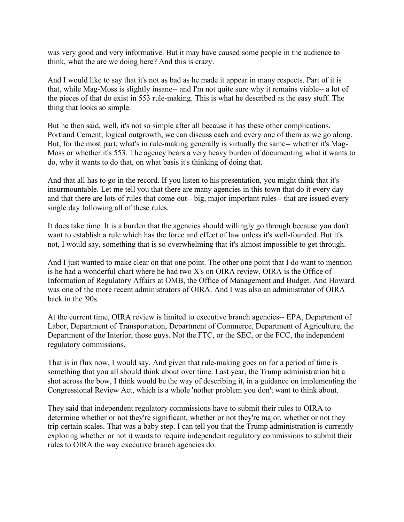was very good and very informative. But it may have caused some people in the audience to think, what the are we doing here? And this is crazy.

 And I would like to say that it's not as bad as he made it appear in many respects. Part of it is that, while Mag-Moss is slightly insane-- and I'm not quite sure why it remains viable-- a lot of the pieces of that do exist in 553 rule-making. This is what he described as the easy stuff. The thing that looks so simple.

 But he then said, well, it's not so simple after all because it has these other complications. Portland Cement, logical outgrowth, we can discuss each and every one of them as we go along. But, for the most part, what's in rule-making generally is virtually the same-- whether it's Mag- Moss or whether it's 553. The agency bears a very heavy burden of documenting what it wants to do, why it wants to do that, on what basis it's thinking of doing that.

 And that all has to go in the record. If you listen to his presentation, you might think that it's insurmountable. Let me tell you that there are many agencies in this town that do it every day and that there are lots of rules that come out-- big, major important rules-- that are issued every single day following all of these rules.

 It does take time. It is a burden that the agencies should willingly go through because you don't want to establish a rule which has the force and effect of law unless it's well-founded. But it's not, I would say, something that is so overwhelming that it's almost impossible to get through.

 And I just wanted to make clear on that one point. The other one point that I do want to mention is he had a wonderful chart where he had two X's on OIRA review. OIRA is the Office of Information of Regulatory Affairs at OMB, the Office of Management and Budget. And Howard was one of the more recent administrators of OIRA. And I was also an administrator of OIRA back in the '90s.

 At the current time, OIRA review is limited to executive branch agencies-- EPA, Department of Labor, Department of Transportation, Department of Commerce, Department of Agriculture, the Department of the Interior, those guys. Not the FTC, or the SEC, or the FCC, the independent regulatory commissions.

regulatory commissions.<br>That is in flux now, I would say. And given that rule-making goes on for a period of time is something that you all should think about over time. Last year, the Trump administration hit a shot across the bow, I think would be the way of describing it, in a guidance on implementing the Congressional Review Act, which is a whole 'nother problem you don't want to think about.

 They said that independent regulatory commissions have to submit their rules to OIRA to determine whether or not they're significant, whether or not they're major, whether or not they trip certain scales. That was a baby step. I can tell you that the Trump administration is currently exploring whether or not it wants to require independent regulatory commissions to submit their rules to OIRA the way executive branch agencies do.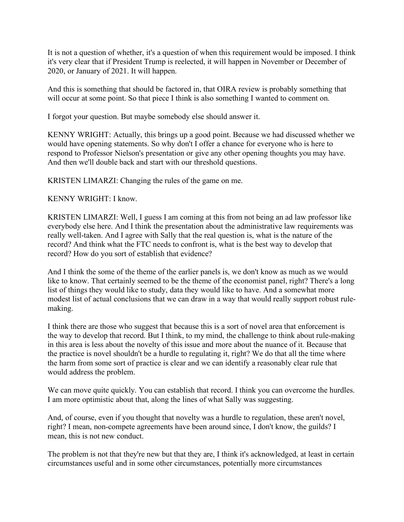It is not a question of whether, it's a question of when this requirement would be imposed. I think it's very clear that if President Trump is reelected, it will happen in November or December of 2020, or January of 2021. It will happen.

 And this is something that should be factored in, that OIRA review is probably something that will occur at some point. So that piece I think is also something I wanted to comment on.

I forgot your question. But maybe somebody else should answer it.

 KENNY WRIGHT: Actually, this brings up a good point. Because we had discussed whether we would have opening statements. So why don't I offer a chance for everyone who is here to respond to Professor Nielson's presentation or give any other opening thoughts you may have. And then we'll double back and start with our threshold questions.

KRISTEN LIMARZI: Changing the rules of the game on me.

KENNY WRIGHT: I know.

 KRISTEN LIMARZI: Well, I guess I am coming at this from not being an ad law professor like everybody else here. And I think the presentation about the administrative law requirements was really well-taken. And I agree with Sally that the real question is, what is the nature of the record? And think what the FTC needs to confront is, what is the best way to develop that record? How do you sort of establish that evidence?

 And I think the some of the theme of the earlier panels is, we don't know as much as we would like to know. That certainly seemed to be the theme of the economist panel, right? There's a long list of things they would like to study, data they would like to have. And a somewhat more modest list of actual conclusions that we can draw in a way that would really support robust rule-making.

 I think there are those who suggest that because this is a sort of novel area that enforcement is the way to develop that record. But I think, to my mind, the challenge to think about rule-making in this area is less about the novelty of this issue and more about the nuance of it. Because that the practice is novel shouldn't be a hurdle to regulating it, right? We do that all the time where the harm from some sort of practice is clear and we can identify a reasonably clear rule that would address the problem.

We can move quite quickly. You can establish that record. I think you can overcome the hurdles. I am more optimistic about that, along the lines of what Sally was suggesting.

 And, of course, even if you thought that novelty was a hurdle to regulation, these aren't novel, right? I mean, non-compete agreements have been around since, I don't know, the guilds? I mean, this is not new conduct.

 The problem is not that they're new but that they are, I think it's acknowledged, at least in certain circumstances useful and in some other circumstances, potentially more circumstances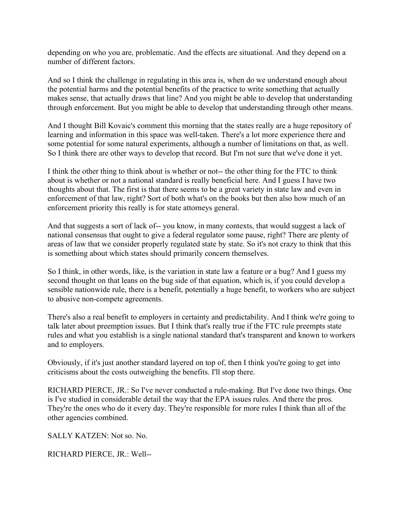depending on who you are, problematic. And the effects are situational. And they depend on a number of different factors.

 And so I think the challenge in regulating in this area is, when do we understand enough about the potential harms and the potential benefits of the practice to write something that actually makes sense, that actually draws that line? And you might be able to develop that understanding through enforcement. But you might be able to develop that understanding through other means.

 And I thought Bill Kovaic's comment this morning that the states really are a huge repository of learning and information in this space was well-taken. There's a lot more experience there and some potential for some natural experiments, although a number of limitations on that, as well. So I think there are other ways to develop that record. But I'm not sure that we've done it yet.

 I think the other thing to think about is whether or not-- the other thing for the FTC to think about is whether or not a national standard is really beneficial here. And I guess I have two thoughts about that. The first is that there seems to be a great variety in state law and even in enforcement of that law, right? Sort of both what's on the books but then also how much of an enforcement priority this really is for state attorneys general.

 And that suggests a sort of lack of-- you know, in many contexts, that would suggest a lack of national consensus that ought to give a federal regulator some pause, right? There are plenty of areas of law that we consider properly regulated state by state. So it's not crazy to think that this is something about which states should primarily concern themselves.

 So I think, in other words, like, is the variation in state law a feature or a bug? And I guess my second thought on that leans on the bug side of that equation, which is, if you could develop a sensible nationwide rule, there is a benefit, potentially a huge benefit, to workers who are subject to abusive non-compete agreements.

 There's also a real benefit to employers in certainty and predictability. And I think we're going to talk later about preemption issues. But I think that's really true if the FTC rule preempts state rules and what you establish is a single national standard that's transparent and known to workers and to employers.

and to employers.<br>Obviously, if it's just another standard layered on top of, then I think you're going to get into criticisms about the costs outweighing the benefits. I'll stop there.

 RICHARD PIERCE, JR.: So I've never conducted a rule-making. But I've done two things. One is I've studied in considerable detail the way that the EPA issues rules. And there the pros. They're the ones who do it every day. They're responsible for more rules I think than all of the other agencies combined.

SALLY KATZEN: Not so. No.

RICHARD PIERCE, JR.: Well--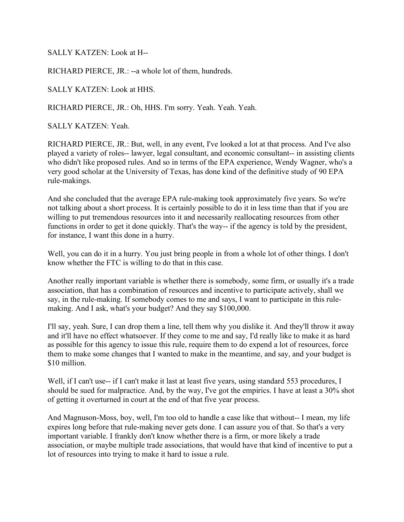SALLY KATZEN: Look at H--

RICHARD PIERCE, JR.: --a whole lot of them, hundreds.

SALLY KATZEN: Look at HHS.

RICHARD PIERCE, JR.: Oh, HHS. I'm sorry. Yeah. Yeah. Yeah.

SALLY KATZEN: Yeah.

 RICHARD PIERCE, JR.: But, well, in any event, I've looked a lot at that process. And I've also played a variety of roles-- lawyer, legal consultant, and economic consultant-- in assisting clients who didn't like proposed rules. And so in terms of the EPA experience, Wendy Wagner, who's a very good scholar at the University of Texas, has done kind of the definitive study of 90 EPA rule-makings.

rule-makings.<br>And she concluded that the average EPA rule-making took approximately five years. So we're not talking about a short process. It is certainly possible to do it in less time than that if you are willing to put tremendous resources into it and necessarily reallocating resources from other functions in order to get it done quickly. That's the way-- if the agency is told by the president, for instance, I want this done in a hurry.

 Well, you can do it in a hurry. You just bring people in from a whole lot of other things. I don't know whether the FTC is willing to do that in this case.

 Another really important variable is whether there is somebody, some firm, or usually it's a trade association, that has a combination of resources and incentive to participate actively, shall we say, in the rule-making. If somebody comes to me and says, I want to participate in this rule-making. And I ask, what's your budget? And they say \$100,000.

 I'll say, yeah. Sure, I can drop them a line, tell them why you dislike it. And they'll throw it away and it'll have no effect whatsoever. If they come to me and say, I'd really like to make it as hard as possible for this agency to issue this rule, require them to do expend a lot of resources, force them to make some changes that I wanted to make in the meantime, and say, and your budget is \$10 million.

\$10 million.<br>Well, if I can't use-- if I can't make it last at least five years, using standard 553 procedures, I should be sued for malpractice. And, by the way, I've got the empirics. I have at least a 30% shot of getting it overturned in court at the end of that five year process.

 And Magnuson-Moss, boy, well, I'm too old to handle a case like that without-- I mean, my life expires long before that rule-making never gets done. I can assure you of that. So that's a very important variable. I frankly don't know whether there is a firm, or more likely a trade association, or maybe multiple trade associations, that would have that kind of incentive to put a lot of resources into trying to make it hard to issue a rule.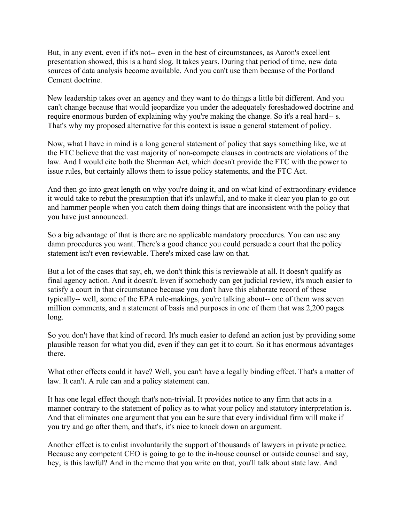But, in any event, even if it's not-- even in the best of circumstances, as Aaron's excellent presentation showed, this is a hard slog. It takes years. During that period of time, new data sources of data analysis become available. And you can't use them because of the Portland Cement doctrine.

 New leadership takes over an agency and they want to do things a little bit different. And you can't change because that would jeopardize you under the adequately foreshadowed doctrine and require enormous burden of explaining why you're making the change. So it's a real hard-- s. That's why my proposed alternative for this context is issue a general statement of policy.

 Now, what I have in mind is a long general statement of policy that says something like, we at the FTC believe that the vast majority of non-compete clauses in contracts are violations of the law. And I would cite both the Sherman Act, which doesn't provide the FTC with the power to issue rules, but certainly allows them to issue policy statements, and the FTC Act.

 And then go into great length on why you're doing it, and on what kind of extraordinary evidence it would take to rebut the presumption that it's unlawful, and to make it clear you plan to go out and hammer people when you catch them doing things that are inconsistent with the policy that you have just announced.

 So a big advantage of that is there are no applicable mandatory procedures. You can use any damn procedures you want. There's a good chance you could persuade a court that the policy statement isn't even reviewable. There's mixed case law on that.

 But a lot of the cases that say, eh, we don't think this is reviewable at all. It doesn't qualify as final agency action. And it doesn't. Even if somebody can get judicial review, it's much easier to satisfy a court in that circumstance because you don't have this elaborate record of these typically-- well, some of the EPA rule-makings, you're talking about-- one of them was seven million comments, and a statement of basis and purposes in one of them that was 2,200 pages long.

long.<br>So you don't have that kind of record. It's much easier to defend an action just by providing some plausible reason for what you did, even if they can get it to court. So it has enormous advantages there.

 What other effects could it have? Well, you can't have a legally binding effect. That's a matter of law. It can't. A rule can and a policy statement can.

 It has one legal effect though that's non-trivial. It provides notice to any firm that acts in a manner contrary to the statement of policy as to what your policy and statutory interpretation is. And that eliminates one argument that you can be sure that every individual firm will make if you try and go after them, and that's, it's nice to knock down an argument.

 Another effect is to enlist involuntarily the support of thousands of lawyers in private practice. Because any competent CEO is going to go to the in-house counsel or outside counsel and say, hey, is this lawful? And in the memo that you write on that, you'll talk about state law. And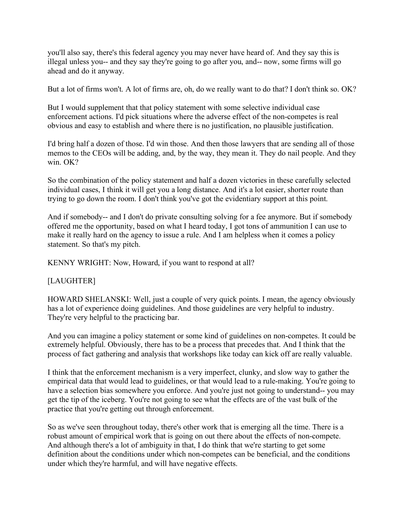you'll also say, there's this federal agency you may never have heard of. And they say this is illegal unless you-- and they say they're going to go after you, and-- now, some firms will go ahead and do it anyway.

But a lot of firms won't. A lot of firms are, oh, do we really want to do that? I don't think so. OK?

 But I would supplement that that policy statement with some selective individual case enforcement actions. I'd pick situations where the adverse effect of the non-competes is real obvious and easy to establish and where there is no justification, no plausible justification.

 I'd bring half a dozen of those. I'd win those. And then those lawyers that are sending all of those memos to the CEOs will be adding, and, by the way, they mean it. They do nail people. And they win. OK?

 So the combination of the policy statement and half a dozen victories in these carefully selected individual cases, I think it will get you a long distance. And it's a lot easier, shorter route than trying to go down the room. I don't think you've got the evidentiary support at this point.

 And if somebody-- and I don't do private consulting solving for a fee anymore. But if somebody offered me the opportunity, based on what I heard today, I got tons of ammunition I can use to make it really hard on the agency to issue a rule. And I am helpless when it comes a policy statement. So that's my pitch.

KENNY WRIGHT: Now, Howard, if you want to respond at all?

### [LAUGHTER]

 HOWARD SHELANSKI: Well, just a couple of very quick points. I mean, the agency obviously has a lot of experience doing guidelines. And those guidelines are very helpful to industry. They're very helpful to the practicing bar.

 And you can imagine a policy statement or some kind of guidelines on non-competes. It could be extremely helpful. Obviously, there has to be a process that precedes that. And I think that the process of fact gathering and analysis that workshops like today can kick off are really valuable.

 I think that the enforcement mechanism is a very imperfect, clunky, and slow way to gather the empirical data that would lead to guidelines, or that would lead to a rule-making. You're going to have a selection bias somewhere you enforce. And you're just not going to understand-- you may get the tip of the iceberg. You're not going to see what the effects are of the vast bulk of the practice that you're getting out through enforcement.

 So as we've seen throughout today, there's other work that is emerging all the time. There is a robust amount of empirical work that is going on out there about the effects of non-compete. And although there's a lot of ambiguity in that, I do think that we're starting to get some definition about the conditions under which non-competes can be beneficial, and the conditions under which they're harmful, and will have negative effects.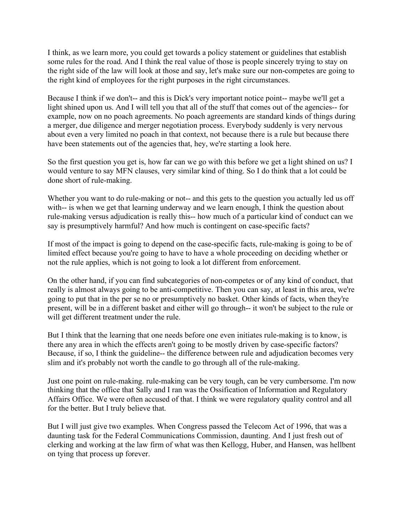I think, as we learn more, you could get towards a policy statement or guidelines that establish some rules for the road. And I think the real value of those is people sincerely trying to stay on the right side of the law will look at those and say, let's make sure our non-competes are going to the right kind of employees for the right purposes in the right circumstances.

 Because I think if we don't-- and this is Dick's very important notice point-- maybe we'll get a light shined upon us. And I will tell you that all of the stuff that comes out of the agencies-- for example, now on no poach agreements. No poach agreements are standard kinds of things during a merger, due diligence and merger negotiation process. Everybody suddenly is very nervous about even a very limited no poach in that context, not because there is a rule but because there have been statements out of the agencies that, hey, we're starting a look here.

 So the first question you get is, how far can we go with this before we get a light shined on us? I would venture to say MFN clauses, very similar kind of thing. So I do think that a lot could be done short of rule-making.

Whether you want to do rule-making or not-- and this gets to the question you actually led us off with-- is when we get that learning underway and we learn enough, I think the question about rule-making versus adjudication is really this-- how much of a particular kind of conduct can we say is presumptively harmful? And how much is contingent on case-specific facts?

 If most of the impact is going to depend on the case-specific facts, rule-making is going to be of limited effect because you're going to have to have a whole proceeding on deciding whether or not the rule applies, which is not going to look a lot different from enforcement.

 On the other hand, if you can find subcategories of non-competes or of any kind of conduct, that really is almost always going to be anti-competitive. Then you can say, at least in this area, we're going to put that in the per se no or presumptively no basket. Other kinds of facts, when they're present, will be in a different basket and either will go through-- it won't be subject to the rule or will get different treatment under the rule.

 But I think that the learning that one needs before one even initiates rule-making is to know, is there any area in which the effects aren't going to be mostly driven by case-specific factors? Because, if so, I think the guideline-- the difference between rule and adjudication becomes very slim and it's probably not worth the candle to go through all of the rule-making.

 Just one point on rule-making. rule-making can be very tough, can be very cumbersome. I'm now thinking that the office that Sally and I ran was the Ossification of Information and Regulatory Affairs Office. We were often accused of that. I think we were regulatory quality control and all for the better. But I truly believe that.

 But I will just give two examples. When Congress passed the Telecom Act of 1996, that was a daunting task for the Federal Communications Commission, daunting. And I just fresh out of clerking and working at the law firm of what was then Kellogg, Huber, and Hansen, was hellbent on tying that process up forever.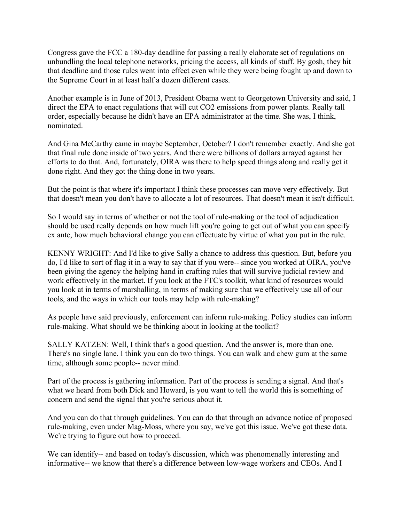Congress gave the FCC a 180-day deadline for passing a really elaborate set of regulations on unbundling the local telephone networks, pricing the access, all kinds of stuff. By gosh, they hit that deadline and those rules went into effect even while they were being fought up and down to the Supreme Court in at least half a dozen different cases.

 Another example is in June of 2013, President Obama went to Georgetown University and said, I direct the EPA to enact regulations that will cut CO2 emissions from power plants. Really tall order, especially because he didn't have an EPA administrator at the time. She was, I think, nominated

nominated.<br>And Gina McCarthy came in maybe September, October? I don't remember exactly. And she got that final rule done inside of two years. And there were billions of dollars arrayed against her efforts to do that. And, fortunately, OIRA was there to help speed things along and really get it done right. And they got the thing done in two years.

 But the point is that where it's important I think these processes can move very effectively. But that doesn't mean you don't have to allocate a lot of resources. That doesn't mean it isn't difficult.

 So I would say in terms of whether or not the tool of rule-making or the tool of adjudication should be used really depends on how much lift you're going to get out of what you can specify ex ante, how much behavioral change you can effectuate by virtue of what you put in the rule.

 KENNY WRIGHT: And I'd like to give Sally a chance to address this question. But, before you do, I'd like to sort of flag it in a way to say that if you were-- since you worked at OIRA, you've been giving the agency the helping hand in crafting rules that will survive judicial review and work effectively in the market. If you look at the FTC's toolkit, what kind of resources would you look at in terms of marshalling, in terms of making sure that we effectively use all of our tools, and the ways in which our tools may help with rule-making?

 As people have said previously, enforcement can inform rule-making. Policy studies can inform rule-making. What should we be thinking about in looking at the toolkit?

 SALLY KATZEN: Well, I think that's a good question. And the answer is, more than one. There's no single lane. I think you can do two things. You can walk and chew gum at the same time, although some people-- never mind.

 Part of the process is gathering information. Part of the process is sending a signal. And that's what we heard from both Dick and Howard, is you want to tell the world this is something of concern and send the signal that you're serious about it.

 And you can do that through guidelines. You can do that through an advance notice of proposed rule-making, even under Mag-Moss, where you say, we've got this issue. We've got these data. We're trying to figure out how to proceed.

 We can identify-- and based on today's discussion, which was phenomenally interesting and informative-- we know that there's a difference between low-wage workers and CEOs. And I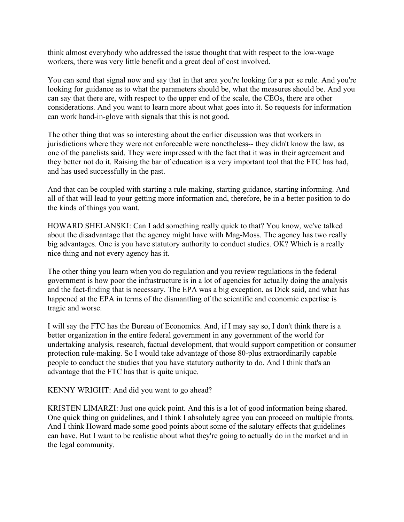think almost everybody who addressed the issue thought that with respect to the low-wage workers, there was very little benefit and a great deal of cost involved.

 You can send that signal now and say that in that area you're looking for a per se rule. And you're looking for guidance as to what the parameters should be, what the measures should be. And you can say that there are, with respect to the upper end of the scale, the CEOs, there are other considerations. And you want to learn more about what goes into it. So requests for information can work hand-in-glove with signals that this is not good.

 The other thing that was so interesting about the earlier discussion was that workers in jurisdictions where they were not enforceable were nonetheless-- they didn't know the law, as one of the panelists said. They were impressed with the fact that it was in their agreement and they better not do it. Raising the bar of education is a very important tool that the FTC has had, and has used successfully in the past.

 And that can be coupled with starting a rule-making, starting guidance, starting informing. And all of that will lead to your getting more information and, therefore, be in a better position to do the kinds of things you want.

 HOWARD SHELANSKI: Can I add something really quick to that? You know, we've talked about the disadvantage that the agency might have with Mag-Moss. The agency has two really big advantages. One is you have statutory authority to conduct studies. OK? Which is a really nice thing and not every agency has it.

 The other thing you learn when you do regulation and you review regulations in the federal government is how poor the infrastructure is in a lot of agencies for actually doing the analysis and the fact-finding that is necessary. The EPA was a big exception, as Dick said, and what has happened at the EPA in terms of the dismantling of the scientific and economic expertise is tragic and worse.

 I will say the FTC has the Bureau of Economics. And, if I may say so, I don't think there is a better organization in the entire federal government in any government of the world for undertaking analysis, research, factual development, that would support competition or consumer protection rule-making. So I would take advantage of those 80-plus extraordinarily capable people to conduct the studies that you have statutory authority to do. And I think that's an advantage that the FTC has that is quite unique.

KENNY WRIGHT: And did you want to go ahead?

 KRISTEN LIMARZI: Just one quick point. And this is a lot of good information being shared. One quick thing on guidelines, and I think I absolutely agree you can proceed on multiple fronts. And I think Howard made some good points about some of the salutary effects that guidelines can have. But I want to be realistic about what they're going to actually do in the market and in the legal community.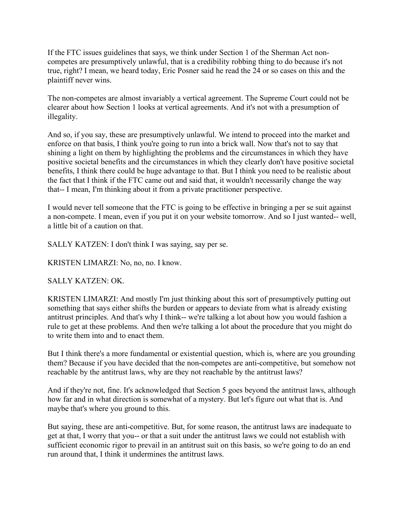If the FTC issues guidelines that says, we think under Section 1 of the Sherman Act non- competes are presumptively unlawful, that is a credibility robbing thing to do because it's not true, right? I mean, we heard today, Eric Posner said he read the 24 or so cases on this and the plaintiff never wins.

 The non-competes are almost invariably a vertical agreement. The Supreme Court could not be clearer about how Section 1 looks at vertical agreements. And it's not with a presumption of illegality.

illegality.<br>And so, if you say, these are presumptively unlawful. We intend to proceed into the market and enforce on that basis, I think you're going to run into a brick wall. Now that's not to say that shining a light on them by highlighting the problems and the circumstances in which they have positive societal benefits and the circumstances in which they clearly don't have positive societal benefits, I think there could be huge advantage to that. But I think you need to be realistic about the fact that I think if the FTC came out and said that, it wouldn't necessarily change the way that-- I mean, I'm thinking about it from a private practitioner perspective.

 I would never tell someone that the FTC is going to be effective in bringing a per se suit against a non-compete. I mean, even if you put it on your website tomorrow. And so I just wanted-- well, a little bit of a caution on that.

SALLY KATZEN: I don't think I was saying, say per se.

KRISTEN LIMARZI: No, no, no. I know.

## SALLY KATZEN: OK.

 KRISTEN LIMARZI: And mostly I'm just thinking about this sort of presumptively putting out something that says either shifts the burden or appears to deviate from what is already existing antitrust principles. And that's why I think-- we're talking a lot about how you would fashion a rule to get at these problems. And then we're talking a lot about the procedure that you might do to write them into and to enact them.

 But I think there's a more fundamental or existential question, which is, where are you grounding them? Because if you have decided that the non-competes are anti-competitive, but somehow not reachable by the antitrust laws, why are they not reachable by the antitrust laws?

 And if they're not, fine. It's acknowledged that Section 5 goes beyond the antitrust laws, although how far and in what direction is somewhat of a mystery. But let's figure out what that is. And maybe that's where you ground to this.

 But saying, these are anti-competitive. But, for some reason, the antitrust laws are inadequate to get at that, I worry that you-- or that a suit under the antitrust laws we could not establish with sufficient economic rigor to prevail in an antitrust suit on this basis, so we're going to do an end run around that, I think it undermines the antitrust laws.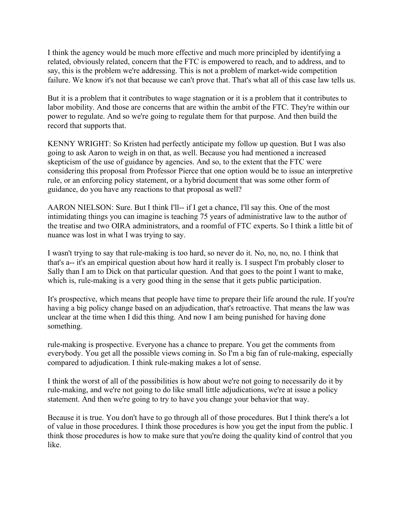I think the agency would be much more effective and much more principled by identifying a related, obviously related, concern that the FTC is empowered to reach, and to address, and to say, this is the problem we're addressing. This is not a problem of market-wide competition failure. We know it's not that because we can't prove that. That's what all of this case law tells us.

 But it is a problem that it contributes to wage stagnation or it is a problem that it contributes to labor mobility. And those are concerns that are within the ambit of the FTC. They're within our power to regulate. And so we're going to regulate them for that purpose. And then build the record that supports that.

 KENNY WRIGHT: So Kristen had perfectly anticipate my follow up question. But I was also going to ask Aaron to weigh in on that, as well. Because you had mentioned a increased skepticism of the use of guidance by agencies. And so, to the extent that the FTC were considering this proposal from Professor Pierce that one option would be to issue an interpretive rule, or an enforcing policy statement, or a hybrid document that was some other form of guidance, do you have any reactions to that proposal as well?

 AARON NIELSON: Sure. But I think I'll-- if I get a chance, I'll say this. One of the most intimidating things you can imagine is teaching 75 years of administrative law to the author of the treatise and two OIRA administrators, and a roomful of FTC experts. So I think a little bit of nuance was lost in what I was trying to say.

 I wasn't trying to say that rule-making is too hard, so never do it. No, no, no, no. I think that that's a-- it's an empirical question about how hard it really is. I suspect I'm probably closer to Sally than I am to Dick on that particular question. And that goes to the point I want to make, which is, rule-making is a very good thing in the sense that it gets public participation.

 It's prospective, which means that people have time to prepare their life around the rule. If you're having a big policy change based on an adjudication, that's retroactive. That means the law was unclear at the time when I did this thing. And now I am being punished for having done something.

something.<br>rule-making is prospective. Everyone has a chance to prepare. You get the comments from everybody. You get all the possible views coming in. So I'm a big fan of rule-making, especially compared to adjudication. I think rule-making makes a lot of sense.

 I think the worst of all of the possibilities is how about we're not going to necessarily do it by rule-making, and we're not going to do like small little adjudications, we're at issue a policy statement. And then we're going to try to have you change your behavior that way.

 Because it is true. You don't have to go through all of those procedures. But I think there's a lot of value in those procedures. I think those procedures is how you get the input from the public. I think those procedures is how to make sure that you're doing the quality kind of control that you like.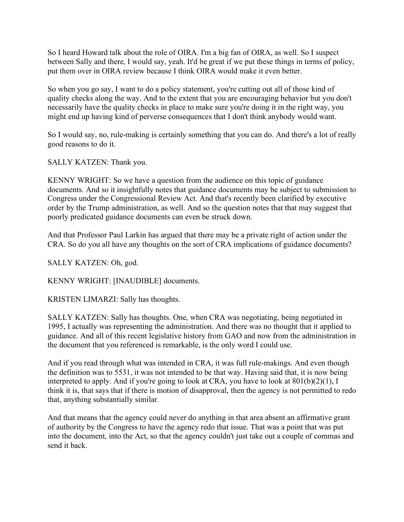So I heard Howard talk about the role of OIRA. I'm a big fan of OIRA, as well. So I suspect between Sally and there, I would say, yeah. It'd be great if we put these things in terms of policy, put them over in OIRA review because I think OIRA would make it even better.

 So when you go say, I want to do a policy statement, you're cutting out all of those kind of quality checks along the way. And to the extent that you are encouraging behavior but you don't necessarily have the quality checks in place to make sure you're doing it in the right way, you might end up having kind of perverse consequences that I don't think anybody would want.

 So I would say, no, rule-making is certainly something that you can do. And there's a lot of really good reasons to do it.

SALLY KATZEN: Thank you.

 KENNY WRIGHT: So we have a question from the audience on this topic of guidance documents. And so it insightfully notes that guidance documents may be subject to submission to Congress under the Congressional Review Act. And that's recently been clarified by executive order by the Trump administration, as well. And so the question notes that that may suggest that poorly predicated guidance documents can even be struck down.

 And that Professor Paul Larkin has argued that there may be a private right of action under the CRA. So do you all have any thoughts on the sort of CRA implications of guidance documents?

SALLY KATZEN: Oh, god.

KENNY WRIGHT: [INAUDIBLE] documents.

KRISTEN LIMARZI: Sally has thoughts.

 SALLY KATZEN: Sally has thoughts. One, when CRA was negotiating, being negotiated in 1995, I actually was representing the administration. And there was no thought that it applied to guidance. And all of this recent legislative history from GAO and now from the administration in the document that you referenced is remarkable, is the only word I could use.

 And if you read through what was intended in CRA, it was full rule-makings. And even though the definition was to 5531, it was not intended to be that way. Having said that, it is now being interpreted to apply. And if you're going to look at CRA, you have to look at 801(b)(2)(1), I think it is, that says that if there is motion of disapproval, then the agency is not permitted to redo that, anything substantially similar.

 And that means that the agency could never do anything in that area absent an affirmative grant of authority by the Congress to have the agency redo that issue. That was a point that was put into the document, into the Act, so that the agency couldn't just take out a couple of commas and send it back.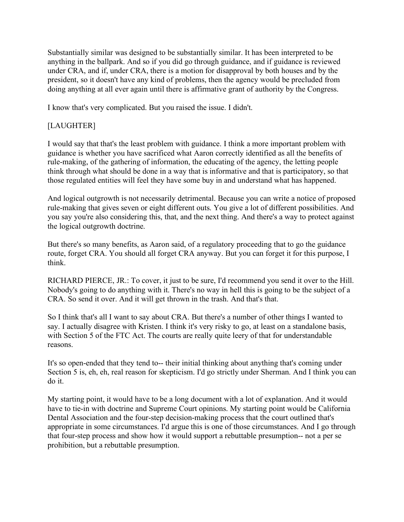Substantially similar was designed to be substantially similar. It has been interpreted to be anything in the ballpark. And so if you did go through guidance, and if guidance is reviewed under CRA, and if, under CRA, there is a motion for disapproval by both houses and by the president, so it doesn't have any kind of problems, then the agency would be precluded from doing anything at all ever again until there is affirmative grant of authority by the Congress.

I know that's very complicated. But you raised the issue. I didn't.

# [LAUGHTER]

 I would say that that's the least problem with guidance. I think a more important problem with guidance is whether you have sacrificed what Aaron correctly identified as all the benefits of rule-making, of the gathering of information, the educating of the agency, the letting people think through what should be done in a way that is informative and that is participatory, so that those regulated entities will feel they have some buy in and understand what has happened.

 And logical outgrowth is not necessarily detrimental. Because you can write a notice of proposed rule-making that gives seven or eight different outs. You give a lot of different possibilities. And you say you're also considering this, that, and the next thing. And there's a way to protect against the logical outgrowth doctrine.

 But there's so many benefits, as Aaron said, of a regulatory proceeding that to go the guidance route, forget CRA. You should all forget CRA anyway. But you can forget it for this purpose, I think

think.<br>RICHARD PIERCE, JR.: To cover, it just to be sure, I'd recommend you send it over to the Hill. Nobody's going to do anything with it. There's no way in hell this is going to be the subject of a CRA. So send it over. And it will get thrown in the trash. And that's that.

 So I think that's all I want to say about CRA. But there's a number of other things I wanted to say. I actually disagree with Kristen. I think it's very risky to go, at least on a standalone basis, with Section 5 of the FTC Act. The courts are really quite leery of that for understandable reasons.

reasons.<br>It's so open-ended that they tend to-- their initial thinking about anything that's coming under Section 5 is, eh, eh, real reason for skepticism. I'd go strictly under Sherman. And I think you can do it.

do it.<br>My starting point, it would have to be a long document with a lot of explanation. And it would have to tie-in with doctrine and Supreme Court opinions. My starting point would be California Dental Association and the four-step decision-making process that the court outlined that's appropriate in some circumstances. I'd argue this is one of those circumstances. And I go through that four-step process and show how it would support a rebuttable presumption-- not a per se prohibition, but a rebuttable presumption.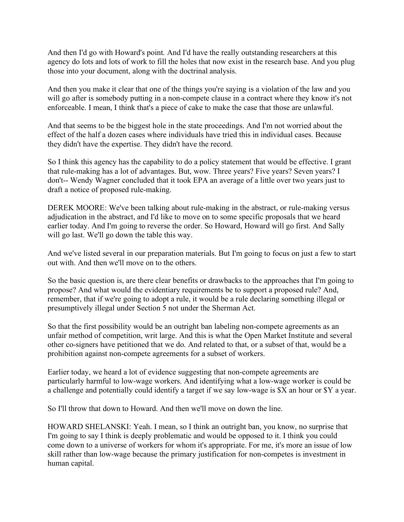And then I'd go with Howard's point. And I'd have the really outstanding researchers at this agency do lots and lots of work to fill the holes that now exist in the research base. And you plug those into your document, along with the doctrinal analysis.

 And then you make it clear that one of the things you're saying is a violation of the law and you will go after is somebody putting in a non-compete clause in a contract where they know it's not enforceable. I mean, I think that's a piece of cake to make the case that those are unlawful.

 And that seems to be the biggest hole in the state proceedings. And I'm not worried about the effect of the half a dozen cases where individuals have tried this in individual cases. Because they didn't have the expertise. They didn't have the record.

 So I think this agency has the capability to do a policy statement that would be effective. I grant that rule-making has a lot of advantages. But, wow. Three years? Five years? Seven years? I don't-- Wendy Wagner concluded that it took EPA an average of a little over two years just to draft a notice of proposed rule-making.

 DEREK MOORE: We've been talking about rule-making in the abstract, or rule-making versus adjudication in the abstract, and I'd like to move on to some specific proposals that we heard earlier today. And I'm going to reverse the order. So Howard, Howard will go first. And Sally will go last. We'll go down the table this way.

 And we've listed several in our preparation materials. But I'm going to focus on just a few to start out with. And then we'll move on to the others.

 So the basic question is, are there clear benefits or drawbacks to the approaches that I'm going to propose? And what would the evidentiary requirements be to support a proposed rule? And, remember, that if we're going to adopt a rule, it would be a rule declaring something illegal or presumptively illegal under Section 5 not under the Sherman Act.

 So that the first possibility would be an outright ban labeling non-compete agreements as an unfair method of competition, writ large. And this is what the Open Market Institute and several other co-signers have petitioned that we do. And related to that, or a subset of that, would be a prohibition against non-compete agreements for a subset of workers.

 Earlier today, we heard a lot of evidence suggesting that non-compete agreements are particularly harmful to low-wage workers. And identifying what a low-wage worker is could be a challenge and potentially could identify a target if we say low-wage is \$X an hour or \$Y a year.

So I'll throw that down to Howard. And then we'll move on down the line.

 HOWARD SHELANSKI: Yeah. I mean, so I think an outright ban, you know, no surprise that I'm going to say I think is deeply problematic and would be opposed to it. I think you could come down to a universe of workers for whom it's appropriate. For me, it's more an issue of low skill rather than low-wage because the primary justification for non-competes is investment in human capital.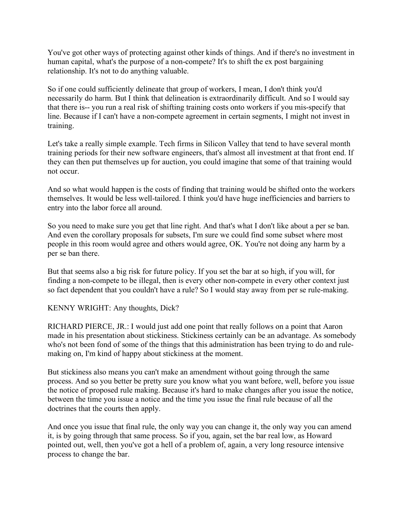You've got other ways of protecting against other kinds of things. And if there's no investment in human capital, what's the purpose of a non-compete? It's to shift the ex post bargaining relationship. It's not to do anything valuable.

 So if one could sufficiently delineate that group of workers, I mean, I don't think you'd necessarily do harm. But I think that delineation is extraordinarily difficult. And so I would say that there is-- you run a real risk of shifting training costs onto workers if you mis-specify that line. Because if I can't have a non-compete agreement in certain segments, I might not invest in training.

training.<br>Let's take a really simple example. Tech firms in Silicon Valley that tend to have several month training periods for their new software engineers, that's almost all investment at that front end. If they can then put themselves up for auction, you could imagine that some of that training would not occur.

 And so what would happen is the costs of finding that training would be shifted onto the workers themselves. It would be less well-tailored. I think you'd have huge inefficiencies and barriers to entry into the labor force all around.

 So you need to make sure you get that line right. And that's what I don't like about a per se ban. And even the corollary proposals for subsets, I'm sure we could find some subset where most people in this room would agree and others would agree, OK. You're not doing any harm by a per se ban there.

 But that seems also a big risk for future policy. If you set the bar at so high, if you will, for finding a non-compete to be illegal, then is every other non-compete in every other context just so fact dependent that you couldn't have a rule? So I would stay away from per se rule-making.

KENNY WRIGHT: Any thoughts, Dick?

 RICHARD PIERCE, JR.: I would just add one point that really follows on a point that Aaron made in his presentation about stickiness. Stickiness certainly can be an advantage. As somebody who's not been fond of some of the things that this administration has been trying to do and rule-making on, I'm kind of happy about stickiness at the moment.

 But stickiness also means you can't make an amendment without going through the same process. And so you better be pretty sure you know what you want before, well, before you issue the notice of proposed rule making. Because it's hard to make changes after you issue the notice, between the time you issue a notice and the time you issue the final rule because of all the doctrines that the courts then apply.

 And once you issue that final rule, the only way you can change it, the only way you can amend it, is by going through that same process. So if you, again, set the bar real low, as Howard pointed out, well, then you've got a hell of a problem of, again, a very long resource intensive process to change the bar.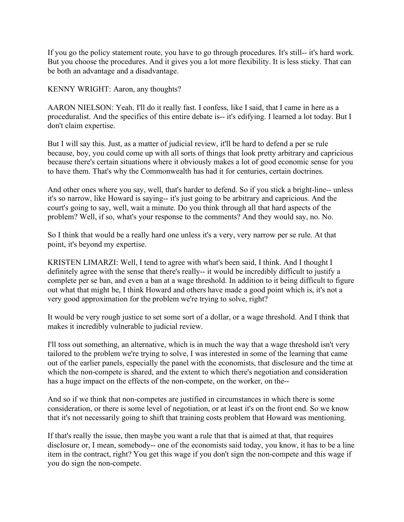If you go the policy statement route, you have to go through procedures. It's still-- it's hard work. But you choose the procedures. And it gives you a lot more flexibility. It is less sticky. That can be both an advantage and a disadvantage.

KENNY WRIGHT: Aaron, any thoughts?

 AARON NIELSON: Yeah. I'll do it really fast. I confess, like I said, that I came in here as a proceduralist. And the specifics of this entire debate is-- it's edifying. I learned a lot today. But I don't claim expertise.

 But I will say this. Just, as a matter of judicial review, it'll be hard to defend a per se rule because, boy, you could come up with all sorts of things that look pretty arbitrary and capricious because there's certain situations where it obviously makes a lot of good economic sense for you to have them. That's why the Commonwealth has had it for centuries, certain doctrines.

 And other ones where you say, well, that's harder to defend. So if you stick a bright-line-- unless it's so narrow, like Howard is saying-- it's just going to be arbitrary and capricious. And the court's going to say, well, wait a minute. Do you think through all that hard aspects of the problem? Well, if so, what's your response to the comments? And they would say, no. No.

 So I think that would be a really hard one unless it's a very, very narrow per se rule. At that point, it's beyond my expertise.

 KRISTEN LIMARZI: Well, I tend to agree with what's been said, I think. And I thought I definitely agree with the sense that there's really-- it would be incredibly difficult to justify a complete per se ban, and even a ban at a wage threshold. In addition to it being difficult to figure out what that might be, I think Howard and others have made a good point which is, it's not a very good approximation for the problem we're trying to solve, right?

 It would be very rough justice to set some sort of a dollar, or a wage threshold. And I think that makes it incredibly vulnerable to judicial review.

 I'll toss out something, an alternative, which is in much the way that a wage threshold isn't very tailored to the problem we're trying to solve, I was interested in some of the learning that came out of the earlier panels, especially the panel with the economists, that disclosure and the time at which the non-compete is shared, and the extent to which there's negotiation and consideration has a huge impact on the effects of the non-compete, on the worker, on the--

 And so if we think that non-competes are justified in circumstances in which there is some consideration, or there is some level of negotiation, or at least it's on the front end. So we know that it's not necessarily going to shift that training costs problem that Howard was mentioning.

 If that's really the issue, then maybe you want a rule that that is aimed at that, that requires disclosure or, I mean, somebody-- one of the economists said today, you know, it has to be a line item in the contract, right? You get this wage if you don't sign the non-compete and this wage if you do sign the non-compete.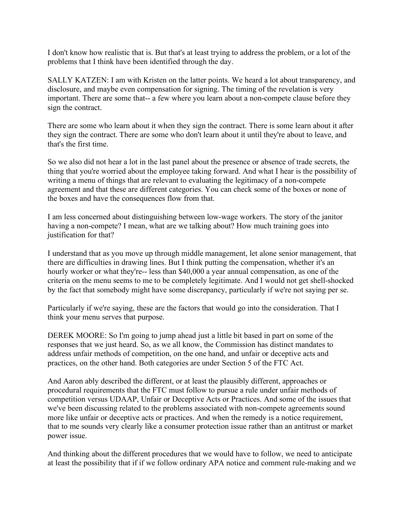I don't know how realistic that is. But that's at least trying to address the problem, or a lot of the problems that I think have been identified through the day.

 SALLY KATZEN: I am with Kristen on the latter points. We heard a lot about transparency, and disclosure, and maybe even compensation for signing. The timing of the revelation is very important. There are some that-- a few where you learn about a non-compete clause before they sign the contract.

 There are some who learn about it when they sign the contract. There is some learn about it after they sign the contract. There are some who don't learn about it until they're about to leave, and that's the first time.

 So we also did not hear a lot in the last panel about the presence or absence of trade secrets, the thing that you're worried about the employee taking forward. And what I hear is the possibility of writing a menu of things that are relevant to evaluating the legitimacy of a non-compete agreement and that these are different categories. You can check some of the boxes or none of the boxes and have the consequences flow from that.

 I am less concerned about distinguishing between low-wage workers. The story of the janitor having a non-compete? I mean, what are we talking about? How much training goes into justification for that?

 I understand that as you move up through middle management, let alone senior management, that there are difficulties in drawing lines. But I think putting the compensation, whether it's an hourly worker or what they're-- less than \$40,000 a year annual compensation, as one of the criteria on the menu seems to me to be completely legitimate. And I would not get shell-shocked by the fact that somebody might have some discrepancy, particularly if we're not saying per se.

 Particularly if we're saying, these are the factors that would go into the consideration. That I think your menu serves that purpose.

 DEREK MOORE: So I'm going to jump ahead just a little bit based in part on some of the responses that we just heard. So, as we all know, the Commission has distinct mandates to address unfair methods of competition, on the one hand, and unfair or deceptive acts and practices, on the other hand. Both categories are under Section 5 of the FTC Act.

 And Aaron ably described the different, or at least the plausibly different, approaches or procedural requirements that the FTC must follow to pursue a rule under unfair methods of competition versus UDAAP, Unfair or Deceptive Acts or Practices. And some of the issues that we've been discussing related to the problems associated with non-compete agreements sound more like unfair or deceptive acts or practices. And when the remedy is a notice requirement, that to me sounds very clearly like a consumer protection issue rather than an antitrust or market power issue.

 And thinking about the different procedures that we would have to follow, we need to anticipate at least the possibility that if if we follow ordinary APA notice and comment rule-making and we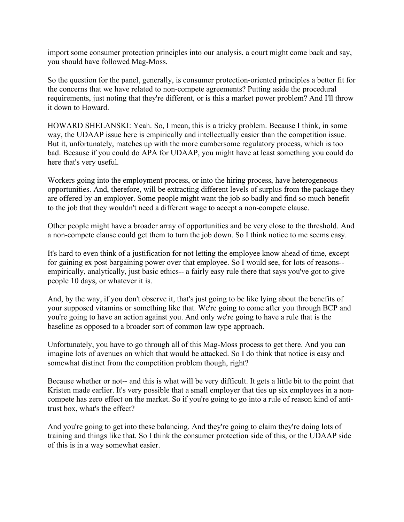import some consumer protection principles into our analysis, a court might come back and say, you should have followed Mag-Moss.

 So the question for the panel, generally, is consumer protection-oriented principles a better fit for the concerns that we have related to non-compete agreements? Putting aside the procedural requirements, just noting that they're different, or is this a market power problem? And I'll throw it down to Howard.

 HOWARD SHELANSKI: Yeah. So, I mean, this is a tricky problem. Because I think, in some way, the UDAAP issue here is empirically and intellectually easier than the competition issue. But it, unfortunately, matches up with the more cumbersome regulatory process, which is too bad. Because if you could do APA for UDAAP, you might have at least something you could do here that's very useful.

 Workers going into the employment process, or into the hiring process, have heterogeneous opportunities. And, therefore, will be extracting different levels of surplus from the package they are offered by an employer. Some people might want the job so badly and find so much benefit to the job that they wouldn't need a different wage to accept a non-compete clause.

 Other people might have a broader array of opportunities and be very close to the threshold. And a non-compete clause could get them to turn the job down. So I think notice to me seems easy.

 It's hard to even think of a justification for not letting the employee know ahead of time, except for gaining ex post bargaining power over that employee. So I would see, for lots of reasons-- empirically, analytically, just basic ethics-- a fairly easy rule there that says you've got to give people 10 days, or whatever it is.

 And, by the way, if you don't observe it, that's just going to be like lying about the benefits of your supposed vitamins or something like that. We're going to come after you through BCP and you're going to have an action against you. And only we're going to have a rule that is the baseline as opposed to a broader sort of common law type approach.

 Unfortunately, you have to go through all of this Mag-Moss process to get there. And you can imagine lots of avenues on which that would be attacked. So I do think that notice is easy and somewhat distinct from the competition problem though, right?

 Because whether or not-- and this is what will be very difficult. It gets a little bit to the point that Kristen made earlier. It's very possible that a small employer that ties up six employees in a non- compete has zero effect on the market. So if you're going to go into a rule of reason kind of anti-trust box, what's the effect?

 And you're going to get into these balancing. And they're going to claim they're doing lots of training and things like that. So I think the consumer protection side of this, or the UDAAP side of this is in a way somewhat easier.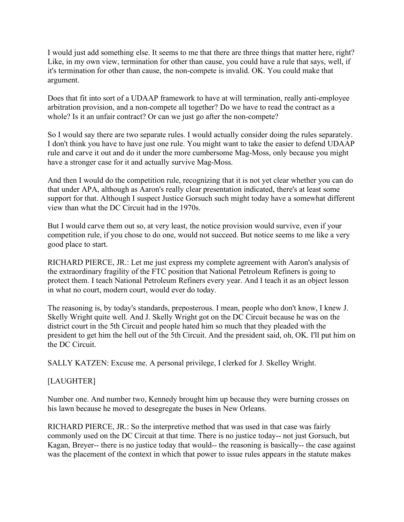I would just add something else. It seems to me that there are three things that matter here, right? Like, in my own view, termination for other than cause, you could have a rule that says, well, if it's termination for other than cause, the non-compete is invalid. OK. You could make that argument.

argument.<br>Does that fit into sort of a UDAAP framework to have at will termination, really anti-employee arbitration provision, and a non-compete all together? Do we have to read the contract as a whole? Is it an unfair contract? Or can we just go after the non-compete?

 So I would say there are two separate rules. I would actually consider doing the rules separately. I don't think you have to have just one rule. You might want to take the easier to defend UDAAP rule and carve it out and do it under the more cumbersome Mag-Moss, only because you might have a stronger case for it and actually survive Mag-Moss.

 And then I would do the competition rule, recognizing that it is not yet clear whether you can do that under APA, although as Aaron's really clear presentation indicated, there's at least some support for that. Although I suspect Justice Gorsuch such might today have a somewhat different view than what the DC Circuit had in the 1970s.

 But I would carve them out so, at very least, the notice provision would survive, even if your competition rule, if you chose to do one, would not succeed. But notice seems to me like a very good place to start.

 RICHARD PIERCE, JR.: Let me just express my complete agreement with Aaron's analysis of the extraordinary fragility of the FTC position that National Petroleum Refiners is going to protect them. I teach National Petroleum Refiners every year. And I teach it as an object lesson in what no court, modern court, would ever do today.

 The reasoning is, by today's standards, preposterous. I mean, people who don't know, I knew J. Skelly Wright quite well. And J. Skelly Wright got on the DC Circuit because he was on the district court in the 5th Circuit and people hated him so much that they pleaded with the president to get him the hell out of the 5th Circuit. And the president said, oh, OK. I'll put him on the DC Circuit.

SALLY KATZEN: Excuse me. A personal privilege, I clerked for J. Skelley Wright.

### [LAUGHTER]

 Number one. And number two, Kennedy brought him up because they were burning crosses on his lawn because he moved to desegregate the buses in New Orleans.

 RICHARD PIERCE, JR.: So the interpretive method that was used in that case was fairly commonly used on the DC Circuit at that time. There is no justice today-- not just Gorsuch, but Kagan, Breyer-- there is no justice today that would-- the reasoning is basically-- the case against was the placement of the context in which that power to issue rules appears in the statute makes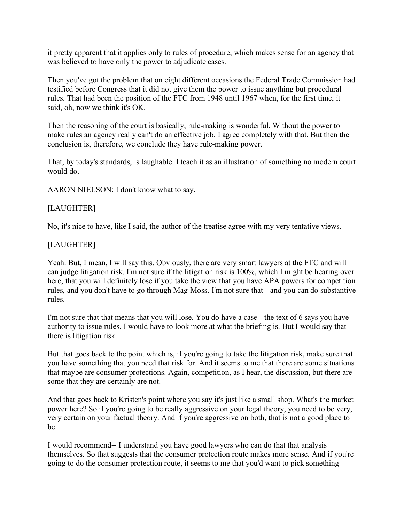it pretty apparent that it applies only to rules of procedure, which makes sense for an agency that was believed to have only the power to adjudicate cases.

 Then you've got the problem that on eight different occasions the Federal Trade Commission had testified before Congress that it did not give them the power to issue anything but procedural rules. That had been the position of the FTC from 1948 until 1967 when, for the first time, it said, oh, now we think it's OK.

 Then the reasoning of the court is basically, rule-making is wonderful. Without the power to make rules an agency really can't do an effective job. I agree completely with that. But then the conclusion is, therefore, we conclude they have rule-making power.

 That, by today's standards, is laughable. I teach it as an illustration of something no modern court would do.

AARON NIELSON: I don't know what to say.

### [LAUGHTER]

No, it's nice to have, like I said, the author of the treatise agree with my very tentative views.

### [LAUGHTER]

 Yeah. But, I mean, I will say this. Obviously, there are very smart lawyers at the FTC and will can judge litigation risk. I'm not sure if the litigation risk is 100%, which I might be hearing over here, that you will definitely lose if you take the view that you have APA powers for competition rules, and you don't have to go through Mag-Moss. I'm not sure that-- and you can do substantive rules.

rules.<br>I'm not sure that that means that you will lose. You do have a case-- the text of 6 says you have authority to issue rules. I would have to look more at what the briefing is. But I would say that there is litigation risk.

 But that goes back to the point which is, if you're going to take the litigation risk, make sure that you have something that you need that risk for. And it seems to me that there are some situations that maybe are consumer protections. Again, competition, as I hear, the discussion, but there are some that they are certainly are not.

 And that goes back to Kristen's point where you say it's just like a small shop. What's the market power here? So if you're going to be really aggressive on your legal theory, you need to be very, very certain on your factual theory. And if you're aggressive on both, that is not a good place to he

be.<br>I would recommend-- I understand you have good lawyers who can do that that analysis themselves. So that suggests that the consumer protection route makes more sense. And if you're going to do the consumer protection route, it seems to me that you'd want to pick something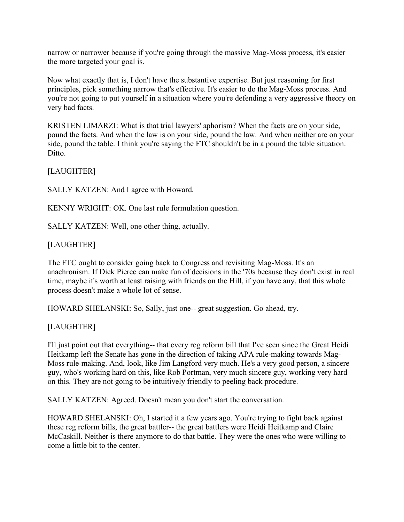narrow or narrower because if you're going through the massive Mag-Moss process, it's easier the more targeted your goal is.

 Now what exactly that is, I don't have the substantive expertise. But just reasoning for first principles, pick something narrow that's effective. It's easier to do the Mag-Moss process. And you're not going to put yourself in a situation where you're defending a very aggressive theory on very bad facts.

very bad facts.<br>KRISTEN LIMARZI: What is that trial lawyers' aphorism? When the facts are on your side, pound the facts. And when the law is on your side, pound the law. And when neither are on your side, pound the table. I think you're saying the FTC shouldn't be in a pound the table situation. Ditto.

[LAUGHTER]

SALLY KATZEN: And I agree with Howard.

KENNY WRIGHT: OK. One last rule formulation question.

SALLY KATZEN: Well, one other thing, actually.

# [LAUGHTER]

 The FTC ought to consider going back to Congress and revisiting Mag-Moss. It's an anachronism. If Dick Pierce can make fun of decisions in the '70s because they don't exist in real time, maybe it's worth at least raising with friends on the Hill, if you have any, that this whole process doesn't make a whole lot of sense.

HOWARD SHELANSKI: So, Sally, just one-- great suggestion. Go ahead, try.

# [LAUGHTER]

 I'll just point out that everything-- that every reg reform bill that I've seen since the Great Heidi Heitkamp left the Senate has gone in the direction of taking APA rule-making towards Mag- Moss rule-making. And, look, like Jim Langford very much. He's a very good person, a sincere guy, who's working hard on this, like Rob Portman, very much sincere guy, working very hard on this. They are not going to be intuitively friendly to peeling back procedure.

SALLY KATZEN: Agreed. Doesn't mean you don't start the conversation.

 HOWARD SHELANSKI: Oh, I started it a few years ago. You're trying to fight back against these reg reform bills, the great battler-- the great battlers were Heidi Heitkamp and Claire McCaskill. Neither is there anymore to do that battle. They were the ones who were willing to come a little bit to the center.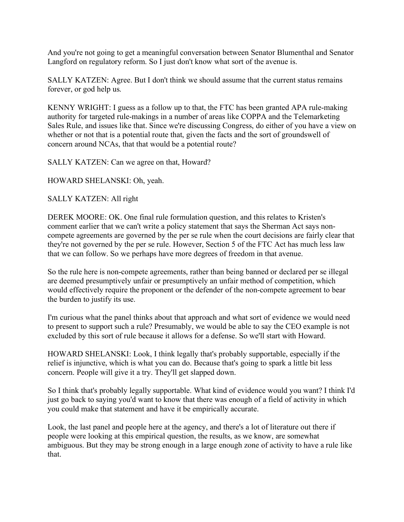And you're not going to get a meaningful conversation between Senator Blumenthal and Senator Langford on regulatory reform. So I just don't know what sort of the avenue is.

 SALLY KATZEN: Agree. But I don't think we should assume that the current status remains forever, or god help us.

 KENNY WRIGHT: I guess as a follow up to that, the FTC has been granted APA rule-making authority for targeted rule-makings in a number of areas like COPPA and the Telemarketing Sales Rule, and issues like that. Since we're discussing Congress, do either of you have a view on whether or not that is a potential route that, given the facts and the sort of groundswell of concern around NCAs, that that would be a potential route?

SALLY KATZEN: Can we agree on that, Howard?

HOWARD SHELANSKI: Oh, yeah.

SALLY KATZEN: All right

 DEREK MOORE: OK. One final rule formulation question, and this relates to Kristen's comment earlier that we can't write a policy statement that says the Sherman Act says non- compete agreements are governed by the per se rule when the court decisions are fairly clear that they're not governed by the per se rule. However, Section 5 of the FTC Act has much less law that we can follow. So we perhaps have more degrees of freedom in that avenue.

 So the rule here is non-compete agreements, rather than being banned or declared per se illegal are deemed presumptively unfair or presumptively an unfair method of competition, which would effectively require the proponent or the defender of the non-compete agreement to bear the burden to justify its use.

 I'm curious what the panel thinks about that approach and what sort of evidence we would need to present to support such a rule? Presumably, we would be able to say the CEO example is not excluded by this sort of rule because it allows for a defense. So we'll start with Howard.

 HOWARD SHELANSKI: Look, I think legally that's probably supportable, especially if the relief is injunctive, which is what you can do. Because that's going to spark a little bit less concern. People will give it a try. They'll get slapped down.

 So I think that's probably legally supportable. What kind of evidence would you want? I think I'd just go back to saying you'd want to know that there was enough of a field of activity in which you could make that statement and have it be empirically accurate.

 Look, the last panel and people here at the agency, and there's a lot of literature out there if people were looking at this empirical question, the results, as we know, are somewhat ambiguous. But they may be strong enough in a large enough zone of activity to have a rule like that.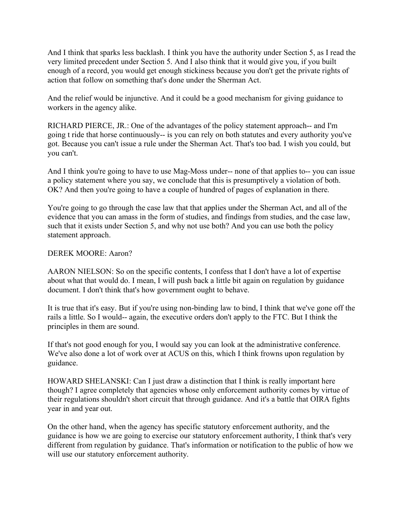And I think that sparks less backlash. I think you have the authority under Section 5, as I read the very limited precedent under Section 5. And I also think that it would give you, if you built enough of a record, you would get enough stickiness because you don't get the private rights of action that follow on something that's done under the Sherman Act.

 And the relief would be injunctive. And it could be a good mechanism for giving guidance to workers in the agency alike.

 RICHARD PIERCE, JR.: One of the advantages of the policy statement approach-- and I'm going t ride that horse continuously-- is you can rely on both statutes and every authority you've got. Because you can't issue a rule under the Sherman Act. That's too bad. I wish you could, but you can't.

you can't.<br>And I think you're going to have to use Mag-Moss under-- none of that applies to-- you can issue a policy statement where you say, we conclude that this is presumptively a violation of both. OK? And then you're going to have a couple of hundred of pages of explanation in there.

 You're going to go through the case law that that applies under the Sherman Act, and all of the evidence that you can amass in the form of studies, and findings from studies, and the case law, such that it exists under Section 5, and why not use both? And you can use both the policy statement approach.

#### DEREK MOORE: Aaron?

 AARON NIELSON: So on the specific contents, I confess that I don't have a lot of expertise about what that would do. I mean, I will push back a little bit again on regulation by guidance document. I don't think that's how government ought to behave.

 It is true that it's easy. But if you're using non-binding law to bind, I think that we've gone off the rails a little. So I would-- again, the executive orders don't apply to the FTC. But I think the principles in them are sound.

 If that's not good enough for you, I would say you can look at the administrative conference. We've also done a lot of work over at ACUS on this, which I think frowns upon regulation by guidance.

guidance.<br>HOWARD SHELANSKI: Can I just draw a distinction that I think is really important here though? I agree completely that agencies whose only enforcement authority comes by virtue of their regulations shouldn't short circuit that through guidance. And it's a battle that OIRA fights year in and year out.

 On the other hand, when the agency has specific statutory enforcement authority, and the guidance is how we are going to exercise our statutory enforcement authority, I think that's very different from regulation by guidance. That's information or notification to the public of how we will use our statutory enforcement authority.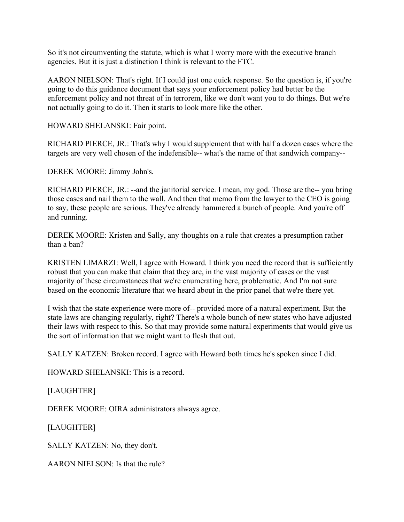So it's not circumventing the statute, which is what I worry more with the executive branch agencies. But it is just a distinction I think is relevant to the FTC.

 AARON NIELSON: That's right. If I could just one quick response. So the question is, if you're going to do this guidance document that says your enforcement policy had better be the enforcement policy and not threat of in terrorem, like we don't want you to do things. But we're not actually going to do it. Then it starts to look more like the other.

HOWARD SHELANSKI: Fair point.

 RICHARD PIERCE, JR.: That's why I would supplement that with half a dozen cases where the targets are very well chosen of the indefensible-- what's the name of that sandwich company--

DEREK MOORE: Jimmy John's.

 RICHARD PIERCE, JR.: --and the janitorial service. I mean, my god. Those are the-- you bring those cases and nail them to the wall. And then that memo from the lawyer to the CEO is going to say, these people are serious. They've already hammered a bunch of people. And you're off and running.

and running.<br>DEREK MOORE: Kristen and Sally, any thoughts on a rule that creates a presumption rather than a ban?

 KRISTEN LIMARZI: Well, I agree with Howard. I think you need the record that is sufficiently robust that you can make that claim that they are, in the vast majority of cases or the vast majority of these circumstances that we're enumerating here, problematic. And I'm not sure based on the economic literature that we heard about in the prior panel that we're there yet.

 I wish that the state experience were more of-- provided more of a natural experiment. But the state laws are changing regularly, right? There's a whole bunch of new states who have adjusted their laws with respect to this. So that may provide some natural experiments that would give us the sort of information that we might want to flesh that out.

SALLY KATZEN: Broken record. I agree with Howard both times he's spoken since I did.

HOWARD SHELANSKI: This is a record.

[LAUGHTER]

DEREK MOORE: OIRA administrators always agree.

[LAUGHTER]

SALLY KATZEN: No, they don't.

AARON NIELSON: Is that the rule?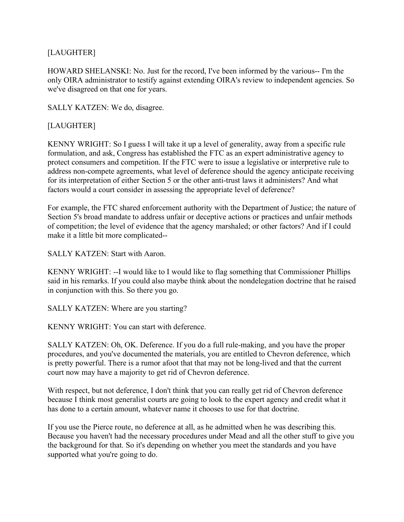# [LAUGHTER]

 HOWARD SHELANSKI: No. Just for the record, I've been informed by the various-- I'm the only OIRA administrator to testify against extending OIRA's review to independent agencies. So we've disagreed on that one for years.

SALLY KATZEN: We do, disagree.

## [LAUGHTER]

 KENNY WRIGHT: So I guess I will take it up a level of generality, away from a specific rule formulation, and ask, Congress has established the FTC as an expert administrative agency to protect consumers and competition. If the FTC were to issue a legislative or interpretive rule to address non-compete agreements, what level of deference should the agency anticipate receiving for its interpretation of either Section 5 or the other anti-trust laws it administers? And what factors would a court consider in assessing the appropriate level of deference?

 For example, the FTC shared enforcement authority with the Department of Justice; the nature of Section 5's broad mandate to address unfair or deceptive actions or practices and unfair methods of competition; the level of evidence that the agency marshaled; or other factors? And if I could make it a little bit more complicated--

SALLY KATZEN: Start with Aaron.

 KENNY WRIGHT: --I would like to I would like to flag something that Commissioner Phillips said in his remarks. If you could also maybe think about the nondelegation doctrine that he raised in conjunction with this. So there you go.

SALLY KATZEN: Where are you starting?

KENNY WRIGHT: You can start with deference.

 SALLY KATZEN: Oh, OK. Deference. If you do a full rule-making, and you have the proper procedures, and you've documented the materials, you are entitled to Chevron deference, which is pretty powerful. There is a rumor afoot that that may not be long-lived and that the current court now may have a majority to get rid of Chevron deference.

 With respect, but not deference, I don't think that you can really get rid of Chevron deference because I think most generalist courts are going to look to the expert agency and credit what it has done to a certain amount, whatever name it chooses to use for that doctrine.

 If you use the Pierce route, no deference at all, as he admitted when he was describing this. Because you haven't had the necessary procedures under Mead and all the other stuff to give you the background for that. So it's depending on whether you meet the standards and you have supported what you're going to do.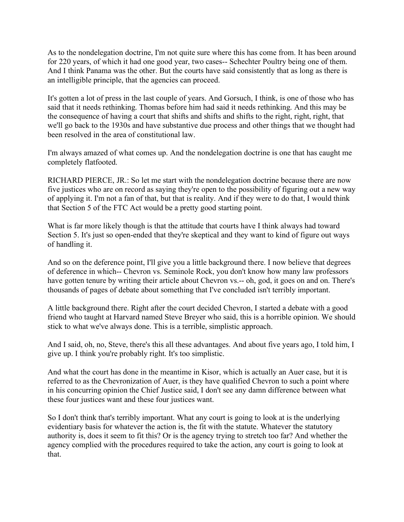As to the nondelegation doctrine, I'm not quite sure where this has come from. It has been around for 220 years, of which it had one good year, two cases-- Schechter Poultry being one of them. And I think Panama was the other. But the courts have said consistently that as long as there is an intelligible principle, that the agencies can proceed.

 It's gotten a lot of press in the last couple of years. And Gorsuch, I think, is one of those who has said that it needs rethinking. Thomas before him had said it needs rethinking. And this may be the consequence of having a court that shifts and shifts and shifts to the right, right, right, that we'll go back to the 1930s and have substantive due process and other things that we thought had been resolved in the area of constitutional law.

 I'm always amazed of what comes up. And the nondelegation doctrine is one that has caught me completely flatfooted.

completely flatfooted.<br>RICHARD PIERCE, JR.: So let me start with the nondelegation doctrine because there are now five justices who are on record as saying they're open to the possibility of figuring out a new way of applying it. I'm not a fan of that, but that is reality. And if they were to do that, I would think that Section 5 of the FTC Act would be a pretty good starting point.

 What is far more likely though is that the attitude that courts have I think always had toward Section 5. It's just so open-ended that they're skeptical and they want to kind of figure out ways of handling it.

 And so on the deference point, I'll give you a little background there. I now believe that degrees of deference in which-- Chevron vs. Seminole Rock, you don't know how many law professors have gotten tenure by writing their article about Chevron vs.-- oh, god, it goes on and on. There's thousands of pages of debate about something that I've concluded isn't terribly important.

 A little background there. Right after the court decided Chevron, I started a debate with a good friend who taught at Harvard named Steve Breyer who said, this is a horrible opinion. We should stick to what we've always done. This is a terrible, simplistic approach.

 And I said, oh, no, Steve, there's this all these advantages. And about five years ago, I told him, I give up. I think you're probably right. It's too simplistic.

 And what the court has done in the meantime in Kisor, which is actually an Auer case, but it is referred to as the Chevronization of Auer, is they have qualified Chevron to such a point where in his concurring opinion the Chief Justice said, I don't see any damn difference between what these four justices want and these four justices want.

 So I don't think that's terribly important. What any court is going to look at is the underlying evidentiary basis for whatever the action is, the fit with the statute. Whatever the statutory authority is, does it seem to fit this? Or is the agency trying to stretch too far? And whether the agency complied with the procedures required to take the action, any court is going to look at that.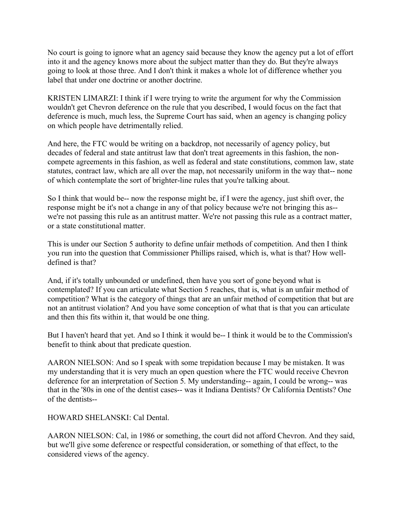No court is going to ignore what an agency said because they know the agency put a lot of effort into it and the agency knows more about the subject matter than they do. But they're always going to look at those three. And I don't think it makes a whole lot of difference whether you label that under one doctrine or another doctrine.

 KRISTEN LIMARZI: I think if I were trying to write the argument for why the Commission wouldn't get Chevron deference on the rule that you described, I would focus on the fact that deference is much, much less, the Supreme Court has said, when an agency is changing policy on which people have detrimentally relied.

 And here, the FTC would be writing on a backdrop, not necessarily of agency policy, but decades of federal and state antitrust law that don't treat agreements in this fashion, the non- compete agreements in this fashion, as well as federal and state constitutions, common law, state statutes, contract law, which are all over the map, not necessarily uniform in the way that-- none of which contemplate the sort of brighter-line rules that you're talking about.

 So I think that would be-- now the response might be, if I were the agency, just shift over, the response might be it's not a change in any of that policy because we're not bringing this as-- we're not passing this rule as an antitrust matter. We're not passing this rule as a contract matter, or a state constitutional matter.

 This is under our Section 5 authority to define unfair methods of competition. And then I think you run into the question that Commissioner Phillips raised, which is, what is that? How well-defined is that?

 And, if it's totally unbounded or undefined, then have you sort of gone beyond what is contemplated? If you can articulate what Section 5 reaches, that is, what is an unfair method of competition? What is the category of things that are an unfair method of competition that but are not an antitrust violation? And you have some conception of what that is that you can articulate and then this fits within it, that would be one thing.

 But I haven't heard that yet. And so I think it would be-- I think it would be to the Commission's benefit to think about that predicate question.

 AARON NIELSON: And so I speak with some trepidation because I may be mistaken. It was my understanding that it is very much an open question where the FTC would receive Chevron deference for an interpretation of Section 5. My understanding-- again, I could be wrong-- was that in the '80s in one of the dentist cases-- was it Indiana Dentists? Or California Dentists? One of the dentists--

HOWARD SHELANSKI: Cal Dental.

 AARON NIELSON: Cal, in 1986 or something, the court did not afford Chevron. And they said, but we'll give some deference or respectful consideration, or something of that effect, to the considered views of the agency.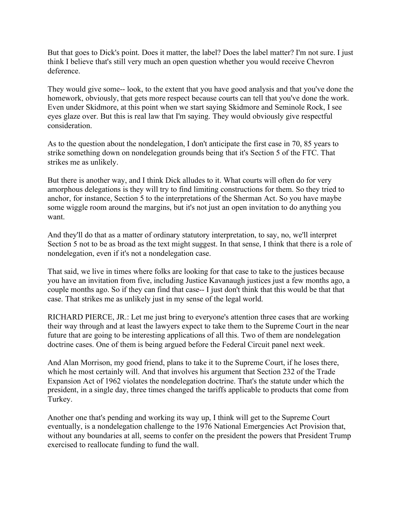But that goes to Dick's point. Does it matter, the label? Does the label matter? I'm not sure. I just think I believe that's still very much an open question whether you would receive Chevron deference.

deference.<br>They would give some-- look, to the extent that you have good analysis and that you've done the homework, obviously, that gets more respect because courts can tell that you've done the work. Even under Skidmore, at this point when we start saying Skidmore and Seminole Rock, I see eyes glaze over. But this is real law that I'm saying. They would obviously give respectful consideration

consideration.<br>As to the question about the nondelegation, I don't anticipate the first case in 70, 85 years to strike something down on nondelegation grounds being that it's Section 5 of the FTC. That strikes me as unlikely.

 But there is another way, and I think Dick alludes to it. What courts will often do for very amorphous delegations is they will try to find limiting constructions for them. So they tried to anchor, for instance, Section 5 to the interpretations of the Sherman Act. So you have maybe some wiggle room around the margins, but it's not just an open invitation to do anything you want.

want.<br>And they'll do that as a matter of ordinary statutory interpretation, to say, no, we'll interpret Section 5 not to be as broad as the text might suggest. In that sense, I think that there is a role of nondelegation, even if it's not a nondelegation case.

 That said, we live in times where folks are looking for that case to take to the justices because you have an invitation from five, including Justice Kavanaugh justices just a few months ago, a couple months ago. So if they can find that case-- I just don't think that this would be that that case. That strikes me as unlikely just in my sense of the legal world.

 RICHARD PIERCE, JR.: Let me just bring to everyone's attention three cases that are working their way through and at least the lawyers expect to take them to the Supreme Court in the near future that are going to be interesting applications of all this. Two of them are nondelegation doctrine cases. One of them is being argued before the Federal Circuit panel next week.

 And Alan Morrison, my good friend, plans to take it to the Supreme Court, if he loses there, which he most certainly will. And that involves his argument that Section 232 of the Trade Expansion Act of 1962 violates the nondelegation doctrine. That's the statute under which the president, in a single day, three times changed the tariffs applicable to products that come from Turkey.

 Turkey. Another one that's pending and working its way up, I think will get to the Supreme Court eventually, is a nondelegation challenge to the 1976 National Emergencies Act Provision that, without any boundaries at all, seems to confer on the president the powers that President Trump exercised to reallocate funding to fund the wall.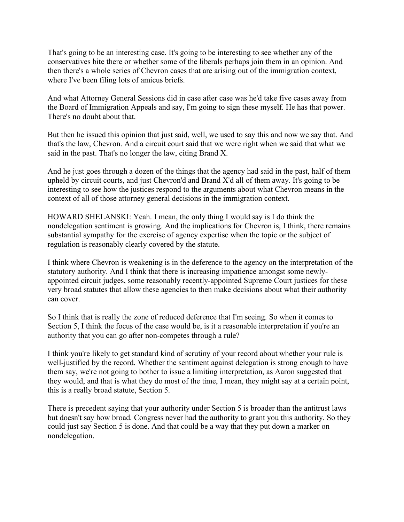That's going to be an interesting case. It's going to be interesting to see whether any of the conservatives bite there or whether some of the liberals perhaps join them in an opinion. And then there's a whole series of Chevron cases that are arising out of the immigration context, where I've been filing lots of amicus briefs.

 And what Attorney General Sessions did in case after case was he'd take five cases away from the Board of Immigration Appeals and say, I'm going to sign these myself. He has that power. There's no doubt about that.

 But then he issued this opinion that just said, well, we used to say this and now we say that. And that's the law, Chevron. And a circuit court said that we were right when we said that what we said in the past. That's no longer the law, citing Brand X.

 And he just goes through a dozen of the things that the agency had said in the past, half of them upheld by circuit courts, and just Chevron'd and Brand X'd all of them away. It's going to be interesting to see how the justices respond to the arguments about what Chevron means in the context of all of those attorney general decisions in the immigration context.

 HOWARD SHELANSKI: Yeah. I mean, the only thing I would say is I do think the nondelegation sentiment is growing. And the implications for Chevron is, I think, there remains substantial sympathy for the exercise of agency expertise when the topic or the subject of regulation is reasonably clearly covered by the statute.

 I think where Chevron is weakening is in the deference to the agency on the interpretation of the statutory authority. And I think that there is increasing impatience amongst some newly- appointed circuit judges, some reasonably recently-appointed Supreme Court justices for these very broad statutes that allow these agencies to then make decisions about what their authority can cover.

can cover.<br>So I think that is really the zone of reduced deference that I'm seeing. So when it comes to Section 5, I think the focus of the case would be, is it a reasonable interpretation if you're an authority that you can go after non-competes through a rule?

 I think you're likely to get standard kind of scrutiny of your record about whether your rule is well-justified by the record. Whether the sentiment against delegation is strong enough to have them say, we're not going to bother to issue a limiting interpretation, as Aaron suggested that they would, and that is what they do most of the time, I mean, they might say at a certain point, this is a really broad statute, Section 5.

 There is precedent saying that your authority under Section 5 is broader than the antitrust laws but doesn't say how broad. Congress never had the authority to grant you this authority. So they could just say Section 5 is done. And that could be a way that they put down a marker on nondelegation.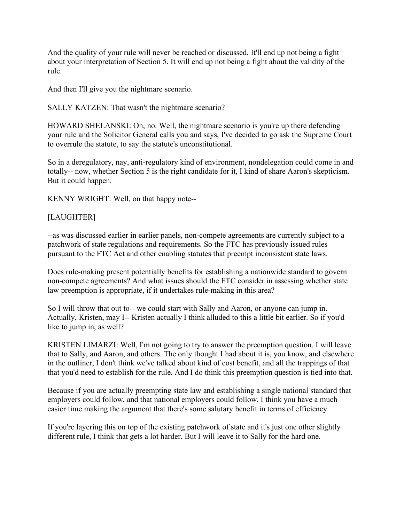And the quality of your rule will never be reached or discussed. It'll end up not being a fight about your interpretation of Section 5. It will end up not being a fight about the validity of the rule.

rule.<br>And then I'll give you the nightmare scenario.

SALLY KATZEN: That wasn't the nightmare scenario?

 HOWARD SHELANSKI: Oh, no. Well, the nightmare scenario is you're up there defending your rule and the Solicitor General calls you and says, I've decided to go ask the Supreme Court to overrule the statute, to say the statute's unconstitutional.

 So in a deregulatory, nay, anti-regulatory kind of environment, nondelegation could come in and totally-- now, whether Section 5 is the right candidate for it, I kind of share Aaron's skepticism. But it could happen.

KENNY WRIGHT: Well, on that happy note--

## [LAUGHTER]

 --as was discussed earlier in earlier panels, non-compete agreements are currently subject to a patchwork of state regulations and requirements. So the FTC has previously issued rules pursuant to the FTC Act and other enabling statutes that preempt inconsistent state laws.

 Does rule-making present potentially benefits for establishing a nationwide standard to govern non-compete agreements? And what issues should the FTC consider in assessing whether state law preemption is appropriate, if it undertakes rule-making in this area?

 So I will throw that out to-- we could start with Sally and Aaron, or anyone can jump in. Actually, Kristen, may I-- Kristen actually I think alluded to this a little bit earlier. So if you'd like to jump in, as well?

 KRISTEN LIMARZI: Well, I'm not going to try to answer the preemption question. I will leave that to Sally, and Aaron, and others. The only thought I had about it is, you know, and elsewhere in the outliner, I don't think we've talked about kind of cost benefit, and all the trappings of that that you'd need to establish for the rule. And I do think this preemption question is tied into that.

 Because if you are actually preempting state law and establishing a single national standard that employers could follow, and that national employers could follow, I think you have a much easier time making the argument that there's some salutary benefit in terms of efficiency.

 If you're layering this on top of the existing patchwork of state and it's just one other slightly different rule, I think that gets a lot harder. But I will leave it to Sally for the hard one.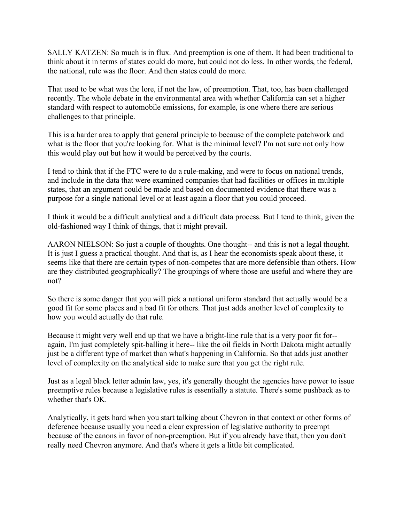SALLY KATZEN: So much is in flux. And preemption is one of them. It had been traditional to think about it in terms of states could do more, but could not do less. In other words, the federal, the national, rule was the floor. And then states could do more.

 That used to be what was the lore, if not the law, of preemption. That, too, has been challenged recently. The whole debate in the environmental area with whether California can set a higher standard with respect to automobile emissions, for example, is one where there are serious challenges to that principle.

 This is a harder area to apply that general principle to because of the complete patchwork and what is the floor that you're looking for. What is the minimal level? I'm not sure not only how this would play out but how it would be perceived by the courts.

 I tend to think that if the FTC were to do a rule-making, and were to focus on national trends, and include in the data that were examined companies that had facilities or offices in multiple states, that an argument could be made and based on documented evidence that there was a purpose for a single national level or at least again a floor that you could proceed.

 I think it would be a difficult analytical and a difficult data process. But I tend to think, given the old-fashioned way I think of things, that it might prevail.

AARON NIELSON: So just a couple of thoughts. One thought-- and this is not a legal thought. It is just I guess a practical thought. And that is, as I hear the economists speak about these, it seems like that there are certain types of non-competes that are more defensible than others. How are they distributed geographically? The groupings of where those are useful and where they are  $not?$ 

not?<br>So there is some danger that you will pick a national uniform standard that actually would be a good fit for some places and a bad fit for others. That just adds another level of complexity to how you would actually do that rule.

 Because it might very well end up that we have a bright-line rule that is a very poor fit for-- again, I'm just completely spit-balling it here-- like the oil fields in North Dakota might actually just be a different type of market than what's happening in California. So that adds just another level of complexity on the analytical side to make sure that you get the right rule.

 Just as a legal black letter admin law, yes, it's generally thought the agencies have power to issue preemptive rules because a legislative rules is essentially a statute. There's some pushback as to whether that's OK.

 Analytically, it gets hard when you start talking about Chevron in that context or other forms of deference because usually you need a clear expression of legislative authority to preempt because of the canons in favor of non-preemption. But if you already have that, then you don't really need Chevron anymore. And that's where it gets a little bit complicated.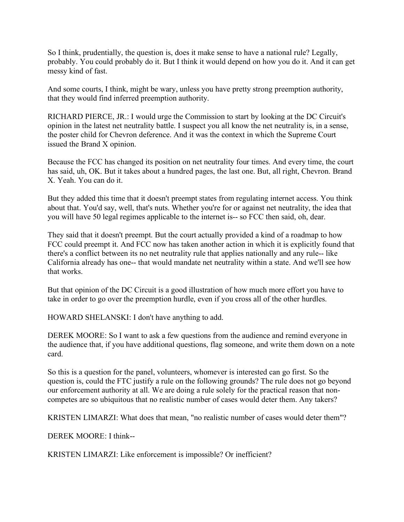So I think, prudentially, the question is, does it make sense to have a national rule? Legally, probably. You could probably do it. But I think it would depend on how you do it. And it can get messy kind of fast.

 And some courts, I think, might be wary, unless you have pretty strong preemption authority, that they would find inferred preemption authority.

 RICHARD PIERCE, JR.: I would urge the Commission to start by looking at the DC Circuit's opinion in the latest net neutrality battle. I suspect you all know the net neutrality is, in a sense, the poster child for Chevron deference. And it was the context in which the Supreme Court issued the Brand X opinion.

 Because the FCC has changed its position on net neutrality four times. And every time, the court has said, uh, OK. But it takes about a hundred pages, the last one. But, all right, Chevron. Brand X. Yeah. You can do it.

 But they added this time that it doesn't preempt states from regulating internet access. You think about that. You'd say, well, that's nuts. Whether you're for or against net neutrality, the idea that you will have 50 legal regimes applicable to the internet is-- so FCC then said, oh, dear.

 They said that it doesn't preempt. But the court actually provided a kind of a roadmap to how FCC could preempt it. And FCC now has taken another action in which it is explicitly found that there's a conflict between its no net neutrality rule that applies nationally and any rule-- like California already has one-- that would mandate net neutrality within a state. And we'll see how that works.

 But that opinion of the DC Circuit is a good illustration of how much more effort you have to take in order to go over the preemption hurdle, even if you cross all of the other hurdles.

HOWARD SHELANSKI: I don't have anything to add.

 DEREK MOORE: So I want to ask a few questions from the audience and remind everyone in the audience that, if you have additional questions, flag someone, and write them down on a note card

card.<br>So this is a question for the panel, volunteers, whomever is interested can go first. So the question is, could the FTC justify a rule on the following grounds? The rule does not go beyond our enforcement authority at all. We are doing a rule solely for the practical reason that non-competes are so ubiquitous that no realistic number of cases would deter them. Any takers?

KRISTEN LIMARZI: What does that mean, "no realistic number of cases would deter them"?

DEREK MOORE: I think--

KRISTEN LIMARZI: Like enforcement is impossible? Or inefficient?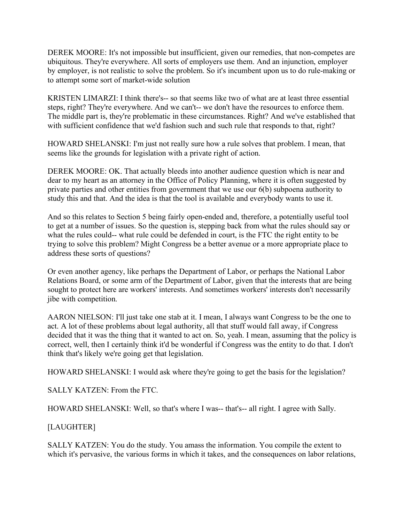DEREK MOORE: It's not impossible but insufficient, given our remedies, that non-competes are ubiquitous. They're everywhere. All sorts of employers use them. And an injunction, employer by employer, is not realistic to solve the problem. So it's incumbent upon us to do rule-making or to attempt some sort of market-wide solution

 KRISTEN LIMARZI: I think there's-- so that seems like two of what are at least three essential steps, right? They're everywhere. And we can't-- we don't have the resources to enforce them. The middle part is, they're problematic in these circumstances. Right? And we've established that with sufficient confidence that we'd fashion such and such rule that responds to that, right?

 HOWARD SHELANSKI: I'm just not really sure how a rule solves that problem. I mean, that seems like the grounds for legislation with a private right of action.

 DEREK MOORE: OK. That actually bleeds into another audience question which is near and dear to my heart as an attorney in the Office of Policy Planning, where it is often suggested by private parties and other entities from government that we use our 6(b) subpoena authority to study this and that. And the idea is that the tool is available and everybody wants to use it.

 And so this relates to Section 5 being fairly open-ended and, therefore, a potentially useful tool to get at a number of issues. So the question is, stepping back from what the rules should say or what the rules could-- what rule could be defended in court, is the FTC the right entity to be trying to solve this problem? Might Congress be a better avenue or a more appropriate place to address these sorts of questions?

 Or even another agency, like perhaps the Department of Labor, or perhaps the National Labor Relations Board, or some arm of the Department of Labor, given that the interests that are being sought to protect here are workers' interests. And sometimes workers' interests don't necessarily jibe with competition.

jibe with competition.<br>AARON NIELSON: I'll just take one stab at it. I mean, I always want Congress to be the one to act. A lot of these problems about legal authority, all that stuff would fall away, if Congress decided that it was the thing that it wanted to act on. So, yeah. I mean, assuming that the policy is correct, well, then I certainly think it'd be wonderful if Congress was the entity to do that. I don't think that's likely we're going get that legislation.

HOWARD SHELANSKI: I would ask where they're going to get the basis for the legislation?

SALLY KATZEN: From the FTC.

HOWARD SHELANSKI: Well, so that's where I was-- that's-- all right. I agree with Sally.

## [LAUGHTER]

 SALLY KATZEN: You do the study. You amass the information. You compile the extent to which it's pervasive, the various forms in which it takes, and the consequences on labor relations,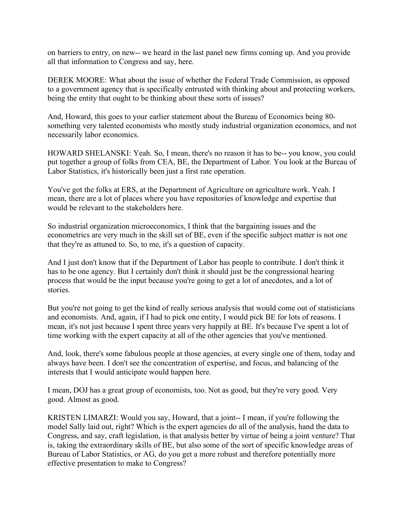on barriers to entry, on new-- we heard in the last panel new firms coming up. And you provide all that information to Congress and say, here.

 DEREK MOORE: What about the issue of whether the Federal Trade Commission, as opposed to a government agency that is specifically entrusted with thinking about and protecting workers, being the entity that ought to be thinking about these sorts of issues?

 And, Howard, this goes to your earlier statement about the Bureau of Economics being 80- something very talented economists who mostly study industrial organization economics, and not necessarily labor economics.

 HOWARD SHELANSKI: Yeah. So, I mean, there's no reason it has to be-- you know, you could put together a group of folks from CEA, BE, the Department of Labor. You look at the Bureau of Labor Statistics, it's historically been just a first rate operation.

 You've got the folks at ERS, at the Department of Agriculture on agriculture work. Yeah. I mean, there are a lot of places where you have repositories of knowledge and expertise that would be relevant to the stakeholders here.

 So industrial organization microeconomics, I think that the bargaining issues and the econometrics are very much in the skill set of BE, even if the specific subject matter is not one that they're as attuned to. So, to me, it's a question of capacity.

 And I just don't know that if the Department of Labor has people to contribute. I don't think it has to be one agency. But I certainly don't think it should just be the congressional hearing process that would be the input because you're going to get a lot of anecdotes, and a lot of stories.

stories.<br>But you're not going to get the kind of really serious analysis that would come out of statisticians and economists. And, again, if I had to pick one entity, I would pick BE for lots of reasons. I mean, it's not just because I spent three years very happily at BE. It's because I've spent a lot of time working with the expert capacity at all of the other agencies that you've mentioned.

 And, look, there's some fabulous people at those agencies, at every single one of them, today and always have been. I don't see the concentration of expertise, and focus, and balancing of the interests that I would anticipate would happen here.

 I mean, DOJ has a great group of economists, too. Not as good, but they're very good. Very good. Almost as good.

 KRISTEN LIMARZI: Would you say, Howard, that a joint-- I mean, if you're following the model Sally laid out, right? Which is the expert agencies do all of the analysis, hand the data to Congress, and say, craft legislation, is that analysis better by virtue of being a joint venture? That is, taking the extraordinary skills of BE, but also some of the sort of specific knowledge areas of Bureau of Labor Statistics, or AG, do you get a more robust and therefore potentially more effective presentation to make to Congress?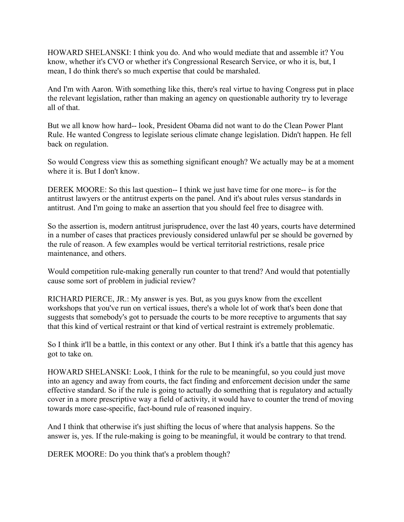HOWARD SHELANSKI: I think you do. And who would mediate that and assemble it? You know, whether it's CVO or whether it's Congressional Research Service, or who it is, but, I mean, I do think there's so much expertise that could be marshaled.

 And I'm with Aaron. With something like this, there's real virtue to having Congress put in place the relevant legislation, rather than making an agency on questionable authority try to leverage all of that.

 But we all know how hard-- look, President Obama did not want to do the Clean Power Plant Rule. He wanted Congress to legislate serious climate change legislation. Didn't happen. He fell back on regulation.

back on regulation.<br>So would Congress view this as something significant enough? We actually may be at a moment where it is. But I don't know.

 DEREK MOORE: So this last question-- I think we just have time for one more-- is for the antitrust lawyers or the antitrust experts on the panel. And it's about rules versus standards in antitrust. And I'm going to make an assertion that you should feel free to disagree with.

 So the assertion is, modern antitrust jurisprudence, over the last 40 years, courts have determined in a number of cases that practices previously considered unlawful per se should be governed by the rule of reason. A few examples would be vertical territorial restrictions, resale price maintenance, and others.

 Would competition rule-making generally run counter to that trend? And would that potentially cause some sort of problem in judicial review?

 RICHARD PIERCE, JR.: My answer is yes. But, as you guys know from the excellent workshops that you've run on vertical issues, there's a whole lot of work that's been done that suggests that somebody's got to persuade the courts to be more receptive to arguments that say that this kind of vertical restraint or that kind of vertical restraint is extremely problematic.

 So I think it'll be a battle, in this context or any other. But I think it's a battle that this agency has got to take on.

 HOWARD SHELANSKI: Look, I think for the rule to be meaningful, so you could just move into an agency and away from courts, the fact finding and enforcement decision under the same effective standard. So if the rule is going to actually do something that is regulatory and actually cover in a more prescriptive way a field of activity, it would have to counter the trend of moving towards more case-specific, fact-bound rule of reasoned inquiry.

 And I think that otherwise it's just shifting the locus of where that analysis happens. So the answer is, yes. If the rule-making is going to be meaningful, it would be contrary to that trend.

DEREK MOORE: Do you think that's a problem though?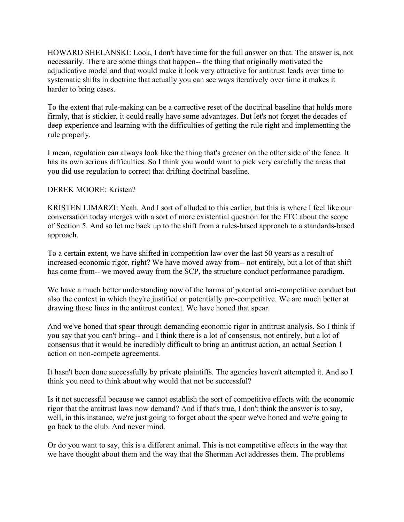HOWARD SHELANSKI: Look, I don't have time for the full answer on that. The answer is, not necessarily. There are some things that happen-- the thing that originally motivated the adjudicative model and that would make it look very attractive for antitrust leads over time to systematic shifts in doctrine that actually you can see ways iteratively over time it makes it harder to bring cases.

harder to bring cases.<br>To the extent that rule-making can be a corrective reset of the doctrinal baseline that holds more firmly, that is stickier, it could really have some advantages. But let's not forget the decades of deep experience and learning with the difficulties of getting the rule right and implementing the rule properly.

 I mean, regulation can always look like the thing that's greener on the other side of the fence. It has its own serious difficulties. So I think you would want to pick very carefully the areas that you did use regulation to correct that drifting doctrinal baseline.

## DEREK MOORE: Kristen?

 KRISTEN LIMARZI: Yeah. And I sort of alluded to this earlier, but this is where I feel like our conversation today merges with a sort of more existential question for the FTC about the scope of Section 5. And so let me back up to the shift from a rules-based approach to a standards-based approach.

approach.<br>To a certain extent, we have shifted in competition law over the last 50 years as a result of increased economic rigor, right? We have moved away from-- not entirely, but a lot of that shift has come from-- we moved away from the SCP, the structure conduct performance paradigm.

 We have a much better understanding now of the harms of potential anti-competitive conduct but also the context in which they're justified or potentially pro-competitive. We are much better at drawing those lines in the antitrust context. We have honed that spear.

 And we've honed that spear through demanding economic rigor in antitrust analysis. So I think if you say that you can't bring-- and I think there is a lot of consensus, not entirely, but a lot of consensus that it would be incredibly difficult to bring an antitrust action, an actual Section 1 action on non-compete agreements.

 It hasn't been done successfully by private plaintiffs. The agencies haven't attempted it. And so I think you need to think about why would that not be successful?

 Is it not successful because we cannot establish the sort of competitive effects with the economic rigor that the antitrust laws now demand? And if that's true, I don't think the answer is to say, well, in this instance, we're just going to forget about the spear we've honed and we're going to go back to the club. And never mind.

 Or do you want to say, this is a different animal. This is not competitive effects in the way that we have thought about them and the way that the Sherman Act addresses them. The problems